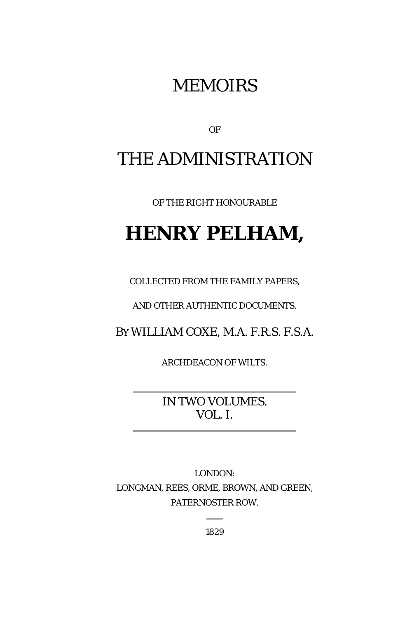## MEMOIRS

OF

# THE ADMINISTRATION

OF THE RIGHT HONOURABLE

# **HENRY PELHAM,**

COLLECTED FROM THE FAMILY PAPERS,

AND OTHER AUTHENTIC DOCUMENTS.

BY WILLIAM COXE, M.A. F.R.S. F.S.A.

ARCHDEACON OF WILTS.

IN TWO VOLUMES. VOL. I.

LONDON: LONGMAN, REES, ORME, BROWN, AND GREEN, PATERNOSTER ROW.

1829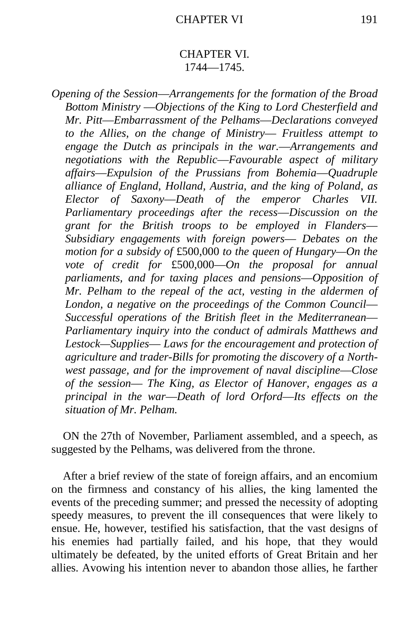## CHAPTER VI. 1744—1745.

*Opening of the Session*—*Arrangements for the formation of the Broad Bottom Ministry* —*Objections of the King to Lord Chesterfield and Mr. Pitt*—*Embarrassment of the Pelhams*—*Declarations conveyed to the Allies, on the change of Ministry*— *Fruitless attempt to engage the Dutch as principals in the war.*—*Arrangements and negotiations with the Republic*—*Favourable aspect of military affairs*—*Expulsion of the Prussians from Bohemia*—*Quadruple alliance of England, Holland, Austria, and the king of Poland, as Elector of Saxony*—*Death of the emperor Charles VII. Parliamentary proceedings after the recess*—*Discussion on the grant for the British troops to be employed in Flanders*— *Subsidiary engagements with foreign powers*— *Debates on the motion for a subsidy of* £500,000 *to the queen of Hungary—On the vote of credit for* £500,000—*On the proposal for annual parliaments, and for taxing places and pensions*—*Opposition of Mr. Pelham to the repeal of the act, vesting in the aldermen of London, a negative on the proceedings of the Common Council*— *Successful operations of the British fleet in the Mediterranean*— *Parliamentary inquiry into the conduct of admirals Matthews and Lestock—Supplies*— *Laws for the encouragement and protection of agriculture and trader-Bills for promoting the discovery of a Northwest passage, and for the improvement of naval discipline—Close of the session*— *The King, as Elector of Hanover, engages as a principal in the war*—*Death of lord Orford*—*Its effects on the situation of Mr. Pelham.*

ON the 27th of November, Parliament assembled, and a speech, as suggested by the Pelhams, was delivered from the throne.

After a brief review of the state of foreign affairs, and an encomium on the firmness and constancy of his allies, the king lamented the events of the preceding summer; and pressed the necessity of adopting speedy measures, to prevent the ill consequences that were likely to ensue. He, however, testified his satisfaction, that the vast designs of his enemies had partially failed, and his hope, that they would ultimately be defeated, by the united efforts of Great Britain and her allies. Avowing his intention never to abandon those allies, he farther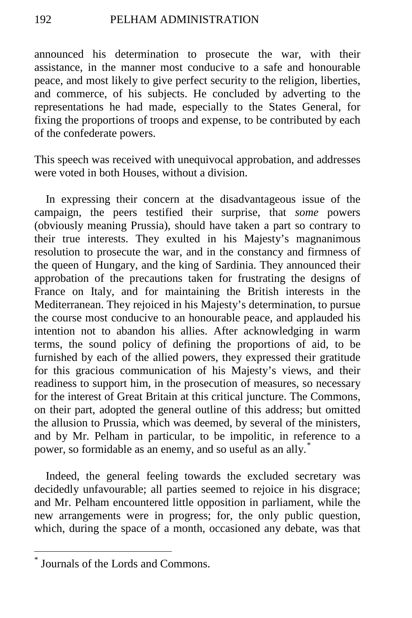announced his determination to prosecute the war, with their assistance, in the manner most conducive to a safe and honourable peace, and most likely to give perfect security to the religion, liberties, and commerce, of his subjects. He concluded by adverting to the representations he had made, especially to the States General, for fixing the proportions of troops and expense, to be contributed by each of the confederate powers.

This speech was received with unequivocal approbation, and addresses were voted in both Houses, without a division.

In expressing their concern at the disadvantageous issue of the campaign, the peers testified their surprise, that *some* powers (obviously meaning Prussia), should have taken a part so contrary to their true interests. They exulted in his Majesty's magnanimous resolution to prosecute the war, and in the constancy and firmness of the queen of Hungary, and the king of Sardinia. They announced their approbation of the precautions taken for frustrating the designs of France on Italy, and for maintaining the British interests in the Mediterranean. They rejoiced in his Majesty's determination, to pursue the course most conducive to an honourable peace, and applauded his intention not to abandon his allies. After acknowledging in warm terms, the sound policy of defining the proportions of aid, to be furnished by each of the allied powers, they expressed their gratitude for this gracious communication of his Majesty's views, and their readiness to support him, in the prosecution of measures, so necessary for the interest of Great Britain at this critical juncture. The Commons, on their part, adopted the general outline of this address; but omitted the allusion to Prussia, which was deemed, by several of the ministers, and by Mr. Pelham in particular, to be impolitic, in reference to a power, so formidable as an enemy, and so useful as an ally.<sup>[\\*](#page-3-0)</sup>

Indeed, the general feeling towards the excluded secretary was decidedly unfavourable; all parties seemed to rejoice in his disgrace; and Mr. Pelham encountered little opposition in parliament, while the new arrangements were in progress; for, the only public question, which, during the space of a month, occasioned any debate, was that

<span id="page-3-0"></span>Journals of the Lords and Commons.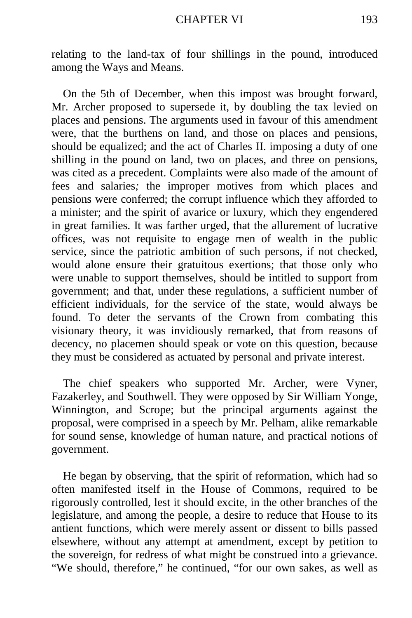relating to the land-tax of four shillings in the pound, introduced among the Ways and Means.

On the 5th of December, when this impost was brought forward, Mr. Archer proposed to supersede it, by doubling the tax levied on places and pensions. The arguments used in favour of this amendment were, that the burthens on land, and those on places and pensions, should be equalized; and the act of Charles II. imposing a duty of one shilling in the pound on land, two on places, and three on pensions, was cited as a precedent. Complaints were also made of the amount of fees and salaries*;* the improper motives from which places and pensions were conferred; the corrupt influence which they afforded to a minister; and the spirit of avarice or luxury, which they engendered in great families. It was farther urged, that the allurement of lucrative offices, was not requisite to engage men of wealth in the public service, since the patriotic ambition of such persons, if not checked, would alone ensure their gratuitous exertions; that those only who were unable to support themselves, should be intitled to support from government; and that, under these regulations, a sufficient number of efficient individuals, for the service of the state, would always be found. To deter the servants of the Crown from combating this visionary theory, it was invidiously remarked, that from reasons of decency, no placemen should speak or vote on this question, because they must be considered as actuated by personal and private interest.

The chief speakers who supported Mr. Archer, were Vyner, Fazakerley, and Southwell. They were opposed by Sir William Yonge, Winnington, and Scrope; but the principal arguments against the proposal, were comprised in a speech by Mr. Pelham, alike remarkable for sound sense, knowledge of human nature, and practical notions of government.

He began by observing, that the spirit of reformation, which had so often manifested itself in the House of Commons, required to be rigorously controlled, lest it should excite, in the other branches of the legislature, and among the people, a desire to reduce that House to its antient functions, which were merely assent or dissent to bills passed elsewhere, without any attempt at amendment, except by petition to the sovereign, for redress of what might be construed into a grievance. "We should, therefore," he continued, "for our own sakes, as well as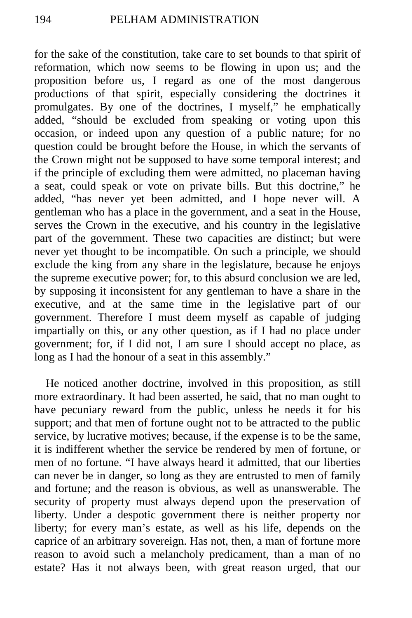for the sake of the constitution, take care to set bounds to that spirit of reformation, which now seems to be flowing in upon us; and the proposition before us, I regard as one of the most dangerous productions of that spirit, especially considering the doctrines it promulgates. By one of the doctrines, I myself," he emphatically added, "should be excluded from speaking or voting upon this occasion, or indeed upon any question of a public nature; for no question could be brought before the House, in which the servants of the Crown might not be supposed to have some temporal interest; and if the principle of excluding them were admitted, no placeman having a seat, could speak or vote on private bills. But this doctrine," he added, "has never yet been admitted, and I hope never will. A gentleman who has a place in the government, and a seat in the House, serves the Crown in the executive, and his country in the legislative part of the government. These two capacities are distinct; but were never yet thought to be incompatible. On such a principle, we should exclude the king from any share in the legislature, because he enjoys the supreme executive power; for, to this absurd conclusion we are led, by supposing it inconsistent for any gentleman to have a share in the executive, and at the same time in the legislative part of our government. Therefore I must deem myself as capable of judging impartially on this, or any other question, as if I had no place under government; for, if I did not, I am sure I should accept no place, as long as I had the honour of a seat in this assembly."

He noticed another doctrine, involved in this proposition, as still more extraordinary. It had been asserted, he said, that no man ought to have pecuniary reward from the public, unless he needs it for his support; and that men of fortune ought not to be attracted to the public service, by lucrative motives; because, if the expense is to be the same, it is indifferent whether the service be rendered by men of fortune, or men of no fortune. "I have always heard it admitted, that our liberties can never be in danger, so long as they are entrusted to men of family and fortune; and the reason is obvious, as well as unanswerable. The security of property must always depend upon the preservation of liberty. Under a despotic government there is neither property nor liberty; for every man's estate, as well as his life, depends on the caprice of an arbitrary sovereign. Has not, then, a man of fortune more reason to avoid such a melancholy predicament, than a man of no estate? Has it not always been, with great reason urged, that our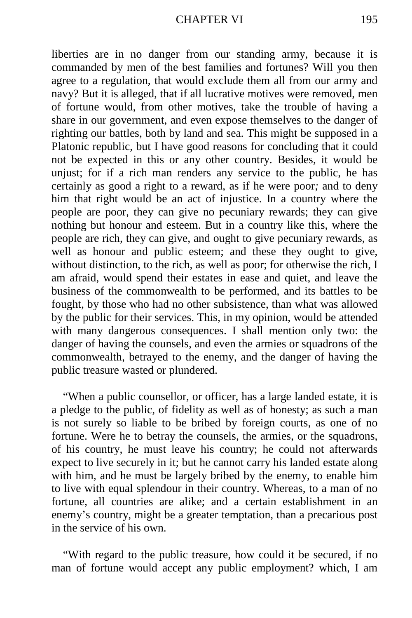liberties are in no danger from our standing army, because it is commanded by men of the best families and fortunes? Will you then agree to a regulation, that would exclude them all from our army and navy? But it is alleged, that if all lucrative motives were removed, men of fortune would, from other motives, take the trouble of having a share in our government, and even expose themselves to the danger of righting our battles, both by land and sea. This might be supposed in a Platonic republic, but I have good reasons for concluding that it could not be expected in this or any other country. Besides, it would be unjust; for if a rich man renders any service to the public, he has certainly as good a right to a reward, as if he were poor*;* and to deny him that right would be an act of injustice. In a country where the people are poor, they can give no pecuniary rewards; they can give nothing but honour and esteem. But in a country like this, where the people are rich, they can give, and ought to give pecuniary rewards, as well as honour and public esteem; and these they ought to give, without distinction, to the rich, as well as poor; for otherwise the rich, I am afraid, would spend their estates in ease and quiet, and leave the business of the commonwealth to be performed, and its battles to be fought, by those who had no other subsistence, than what was allowed by the public for their services. This, in my opinion, would be attended with many dangerous consequences. I shall mention only two: the danger of having the counsels, and even the armies or squadrons of the commonwealth, betrayed to the enemy, and the danger of having the public treasure wasted or plundered.

"When a public counsellor, or officer, has a large landed estate, it is a pledge to the public, of fidelity as well as of honesty; as such a man is not surely so liable to be bribed by foreign courts, as one of no fortune. Were he to betray the counsels, the armies, or the squadrons, of his country, he must leave his country; he could not afterwards expect to live securely in it; but he cannot carry his landed estate along with him, and he must be largely bribed by the enemy, to enable him to live with equal splendour in their country. Whereas, to a man of no fortune, all countries are alike; and a certain establishment in an enemy's country, might be a greater temptation, than a precarious post in the service of his own.

"With regard to the public treasure, how could it be secured, if no man of fortune would accept any public employment? which, I am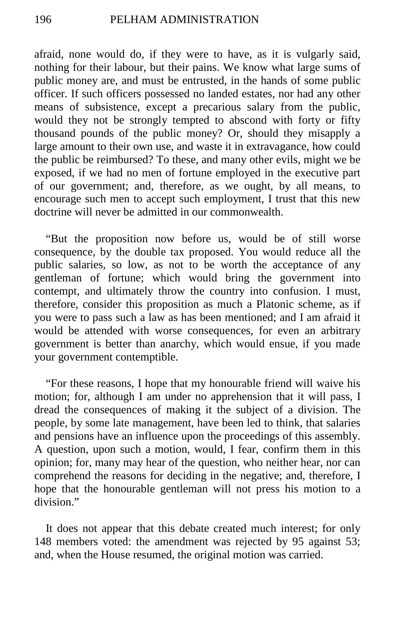afraid, none would do, if they were to have, as it is vulgarly said, nothing for their labour, but their pains. We know what large sums of public money are, and must be entrusted, in the hands of some public officer. If such officers possessed no landed estates, nor had any other means of subsistence, except a precarious salary from the public, would they not be strongly tempted to abscond with forty or fifty thousand pounds of the public money? Or, should they misapply a large amount to their own use, and waste it in extravagance, how could the public be reimbursed? To these, and many other evils, might we be exposed, if we had no men of fortune employed in the executive part of our government; and, therefore, as we ought, by all means, to encourage such men to accept such employment, I trust that this new doctrine will never be admitted in our commonwealth.

"But the proposition now before us, would be of still worse consequence, by the double tax proposed. You would reduce all the public salaries, so low, as not to be worth the acceptance of any gentleman of fortune; which would bring the government into contempt, and ultimately throw the country into confusion. I must, therefore, consider this proposition as much a Platonic scheme, as if you were to pass such a law as has been mentioned; and I am afraid it would be attended with worse consequences, for even an arbitrary government is better than anarchy, which would ensue, if you made your government contemptible.

"For these reasons, I hope that my honourable friend will waive his motion; for, although I am under no apprehension that it will pass, I dread the consequences of making it the subject of a division. The people, by some late management, have been led to think, that salaries and pensions have an influence upon the proceedings of this assembly. A question, upon such a motion, would, I fear, confirm them in this opinion; for, many may hear of the question, who neither hear, nor can comprehend the reasons for deciding in the negative; and, therefore, I hope that the honourable gentleman will not press his motion to a division."

It does not appear that this debate created much interest; for only 148 members voted: the amendment was rejected by 95 against 53; and, when the House resumed, the original motion was carried.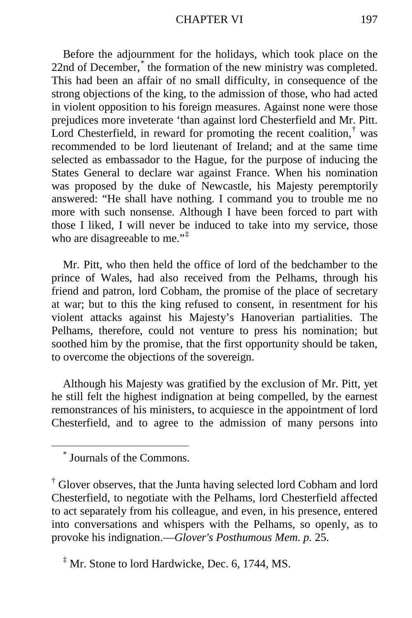Before the adjournment for the holidays, which took place on the 22nd of December,<sup>[\\*](#page-8-0)</sup> the formation of the new ministry was completed. This had been an affair of no small difficulty, in consequence of the strong objections of the king, to the admission of those, who had acted in violent opposition to his foreign measures. Against none were those prejudices more inveterate 'than against lord Chesterfield and Mr. Pitt. Lord Chesterfield, in reward for promoting the recent coalition, $\phi$  was recommended to be lord lieutenant of Ireland; and at the same time selected as embassador to the Hague, for the purpose of inducing the States General to declare war against France. When his nomination was proposed by the duke of Newcastle, his Majesty peremptorily answered: "He shall have nothing. I command you to trouble me no more with such nonsense. Although I have been forced to part with those I liked, I will never be induced to take into my service, those who are disagreeable to me."<sup>[‡](#page-8-2)</sup>

Mr. Pitt, who then held the office of lord of the bedchamber to the prince of Wales, had also received from the Pelhams, through his friend and patron, lord Cobham, the promise of the place of secretary at war; but to this the king refused to consent, in resentment for his violent attacks against his Majesty's Hanoverian partialities. The Pelhams, therefore, could not venture to press his nomination; but soothed him by the promise, that the first opportunity should be taken, to overcome the objections of the sovereign.

Although his Majesty was gratified by the exclusion of Mr. Pitt, yet he still felt the highest indignation at being compelled, by the earnest remonstrances of his ministers, to acquiesce in the appointment of lord Chesterfield, and to agree to the admission of many persons into

\* Journals of the Commons.

<span id="page-8-2"></span> $\rm^{\ddagger}$  Mr. Stone to lord Hardwicke, Dec. 6, 1744, MS.

<span id="page-8-1"></span><span id="page-8-0"></span><sup>†</sup> Glover observes, that the Junta having selected lord Cobham and lord Chesterfield, to negotiate with the Pelhams, lord Chesterfield affected to act separately from his colleague, and even, in his presence, entered into conversations and whispers with the Pelhams, so openly, as to provoke his indignation.—*Glover's Posthumous Mem. p.* 25.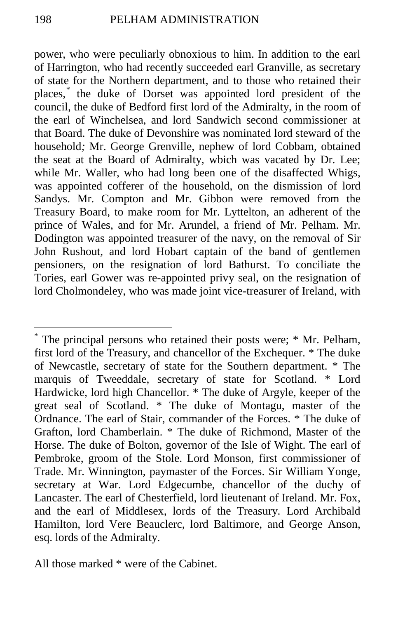power, who were peculiarly obnoxious to him. In addition to the earl of Harrington, who had recently succeeded earl Granville, as secretary of state for the Northern department, and to those who retained their places,[\\*](#page-9-0) the duke of Dorset was appointed lord president of the council, the duke of Bedford first lord of the Admiralty, in the room of the earl of Winchelsea, and lord Sandwich second commissioner at that Board. The duke of Devonshire was nominated lord steward of the household*;* Mr. George Grenville, nephew of lord Cobbam, obtained the seat at the Board of Admiralty, wbich was vacated by Dr. Lee; while Mr. Waller, who had long been one of the disaffected Whigs, was appointed cofferer of the household, on the dismission of lord Sandys. Mr. Compton and Mr. Gibbon were removed from the Treasury Board, to make room for Mr. Lyttelton, an adherent of the prince of Wales, and for Mr. Arundel, a friend of Mr. Pelham. Mr. Dodington was appointed treasurer of the navy, on the removal of Sir John Rushout, and lord Hobart captain of the band of gentlemen pensioners, on the resignation of lord Bathurst. To conciliate the Tories, earl Gower was re-appointed privy seal, on the resignation of lord Cholmondeley, who was made joint vice-treasurer of Ireland, with

<span id="page-9-0"></span> <sup>\*</sup> The principal persons who retained their posts were; \* Mr. Pelham, first lord of the Treasury, and chancellor of the Exchequer. \* The duke of Newcastle, secretary of state for the Southern department. \* The marquis of Tweeddale, secretary of state for Scotland. \* Lord Hardwicke, lord high Chancellor. \* The duke of Argyle, keeper of the great seal of Scotland. \* The duke of Montagu, master of the Ordnance. The earl of Stair, commander of the Forces. \* The duke of Grafton, lord Chamberlain. \* The duke of Richmond, Master of the Horse. The duke of Bolton, governor of the Isle of Wight. The earl of Pembroke, groom of the Stole. Lord Monson, first commissioner of Trade. Mr. Winnington, paymaster of the Forces. Sir William Yonge, secretary at War. Lord Edgecumbe, chancellor of the duchy of Lancaster. The earl of Chesterfield, lord lieutenant of Ireland. Mr. Fox, and the earl of Middlesex, lords of the Treasury. Lord Archibald Hamilton, lord Vere Beauclerc, lord Baltimore, and George Anson, esq. lords of the Admiralty.

All those marked \* were of the Cabinet.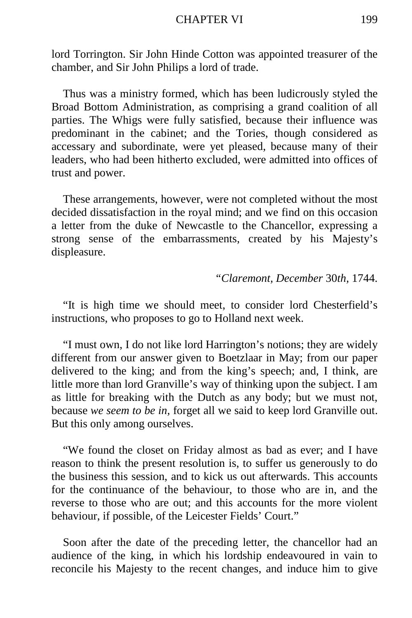#### CHAPTER VI 199

lord Torrington. Sir John Hinde Cotton was appointed treasurer of the chamber, and Sir John Philips a lord of trade.

Thus was a ministry formed, which has been ludicrously styled the Broad Bottom Administration, as comprising a grand coalition of all parties. The Whigs were fully satisfied, because their influence was predominant in the cabinet; and the Tories, though considered as accessary and subordinate, were yet pleased, because many of their leaders, who had been hitherto excluded, were admitted into offices of trust and power.

These arrangements, however, were not completed without the most decided dissatisfaction in the royal mind; and we find on this occasion a letter from the duke of Newcastle to the Chancellor, expressing a strong sense of the embarrassments, created by his Majesty's displeasure.

#### *"Claremont, December* 30*th,* 1744.

"It is high time we should meet, to consider lord Chesterfield's instructions, who proposes to go to Holland next week.

"I must own, I do not like lord Harrington's notions; they are widely different from our answer given to Boetzlaar in May; from our paper delivered to the king; and from the king's speech; and, I think, are little more than lord Granville's way of thinking upon the subject. I am as little for breaking with the Dutch as any body; but we must not, because *we seem to be in,* forget all we said to keep lord Granville out. But this only among ourselves.

"We found the closet on Friday almost as bad as ever; and I have reason to think the present resolution is, to suffer us generously to do the business this session, and to kick us out afterwards. This accounts for the continuance of the behaviour, to those who are in, and the reverse to those who are out; and this accounts for the more violent behaviour, if possible, of the Leicester Fields' Court."

Soon after the date of the preceding letter, the chancellor had an audience of the king, in which his lordship endeavoured in vain to reconcile his Majesty to the recent changes, and induce him to give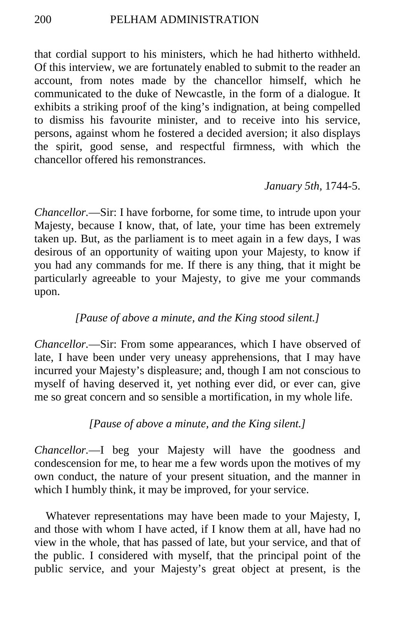that cordial support to his ministers, which he had hitherto withheld. Of this interview, we are fortunately enabled to submit to the reader an account, from notes made by the chancellor himself, which he communicated to the duke of Newcastle, in the form of a dialogue. It exhibits a striking proof of the king's indignation, at being compelled to dismiss his favourite minister, and to receive into his service, persons, against whom he fostered a decided aversion; it also displays the spirit, good sense, and respectful firmness, with which the chancellor offered his remonstrances.

## *January 5th,* 1744-5.

*Chancellor.*—Sir: I have forborne, for some time, to intrude upon your Majesty, because I know, that, of late, your time has been extremely taken up. But, as the parliament is to meet again in a few days, I was desirous of an opportunity of waiting upon your Majesty, to know if you had any commands for me. If there is any thing, that it might be particularly agreeable to your Majesty, to give me your commands upon.

## *[Pause of above a minute, and the King stood silent.]*

*Chancellor.*—Sir: From some appearances, which I have observed of late, I have been under very uneasy apprehensions, that I may have incurred your Majesty's displeasure; and, though I am not conscious to myself of having deserved it, yet nothing ever did, or ever can, give me so great concern and so sensible a mortification, in my whole life.

## *[Pause of above a minute, and the King silent.]*

*Chancellor.*—I beg your Majesty will have the goodness and condescension for me, to hear me a few words upon the motives of my own conduct, the nature of your present situation, and the manner in which I humbly think, it may be improved, for your service.

Whatever representations may have been made to your Majesty, I, and those with whom I have acted, if I know them at all, have had no view in the whole, that has passed of late, but your service, and that of the public. I considered with myself, that the principal point of the public service, and your Majesty's great object at present, is the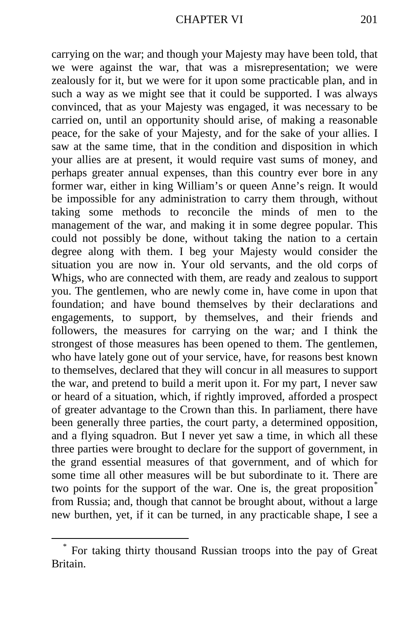carrying on the war; and though your Majesty may have been told, that we were against the war, that was a misrepresentation; we were zealously for it, but we were for it upon some practicable plan, and in such a way as we might see that it could be supported. I was always convinced, that as your Majesty was engaged, it was necessary to be carried on, until an opportunity should arise, of making a reasonable peace, for the sake of your Majesty, and for the sake of your allies. I saw at the same time, that in the condition and disposition in which your allies are at present, it would require vast sums of money, and perhaps greater annual expenses, than this country ever bore in any former war, either in king William's or queen Anne's reign. It would be impossible for any administration to carry them through, without taking some methods to reconcile the minds of men to the management of the war, and making it in some degree popular. This could not possibly be done, without taking the nation to a certain degree along with them. I beg your Majesty would consider the situation you are now in. Your old servants, and the old corps of Whigs, who are connected with them, are ready and zealous to support you. The gentlemen, who are newly come in, have come in upon that foundation; and have bound themselves by their declarations and engagements, to support, by themselves, and their friends and followers, the measures for carrying on the war*;* and I think the strongest of those measures has been opened to them. The gentlemen, who have lately gone out of your service, have, for reasons best known to themselves, declared that they will concur in all measures to support the war, and pretend to build a merit upon it. For my part, I never saw or heard of a situation, which, if rightly improved, afforded a prospect of greater advantage to the Crown than this. In parliament, there have been generally three parties, the court party, a determined opposition, and a flying squadron. But I never yet saw a time, in which all these three parties were brought to declare for the support of government, in the grand essential measures of that government, and of which for some time all other measures will be but subordinate to it. There are two points for the support of the war. One is, the great proposition<sup>[\\*](#page-12-0)</sup> from Russia; and, though that cannot be brought about, without a large new burthen, yet, if it can be turned, in any practicable shape, I see a

<span id="page-12-0"></span> <sup>\*</sup> For taking thirty thousand Russian troops into the pay of Great Britain.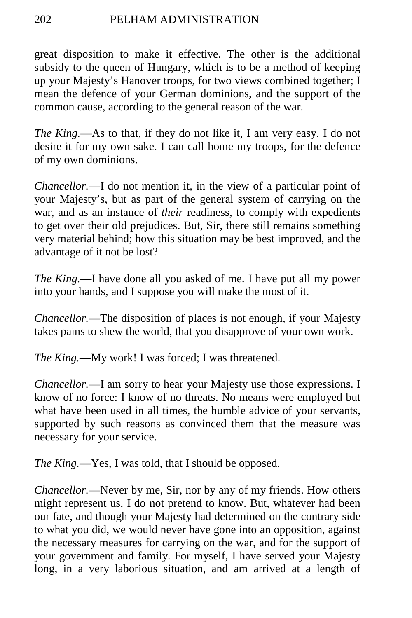## 202 PELHAM ADMINISTRATION

great disposition to make it effective. The other is the additional subsidy to the queen of Hungary, which is to be a method of keeping up your Majesty's Hanover troops, for two views combined together; I mean the defence of your German dominions, and the support of the common cause, according to the general reason of the war.

*The King.*—As to that, if they do not like it, I am very easy. I do not desire it for my own sake. I can call home my troops, for the defence of my own dominions.

*Chancellor.*—I do not mention it, in the view of a particular point of your Majesty's, but as part of the general system of carrying on the war, and as an instance of *their* readiness, to comply with expedients to get over their old prejudices. But, Sir, there still remains something very material behind; how this situation may be best improved, and the advantage of it not be lost?

*The King.*—I have done all you asked of me. I have put all my power into your hands, and I suppose you will make the most of it.

*Chancellor.*—The disposition of places is not enough, if your Majesty takes pains to shew the world, that you disapprove of your own work.

*The King.*—My work! I was forced; I was threatened.

*Chancellor.*—I am sorry to hear your Majesty use those expressions. I know of no force: I know of no threats. No means were employed but what have been used in all times, the humble advice of your servants, supported by such reasons as convinced them that the measure was necessary for your service.

*The King.*—Yes, I was told, that I should be opposed.

*Chancellor.*—Never by me, Sir, nor by any of my friends. How others might represent us, I do not pretend to know. But, whatever had been our fate, and though your Majesty had determined on the contrary side to what you did, we would never have gone into an opposition, against the necessary measures for carrying on the war, and for the support of your government and family. For myself, I have served your Majesty long, in a very laborious situation, and am arrived at a length of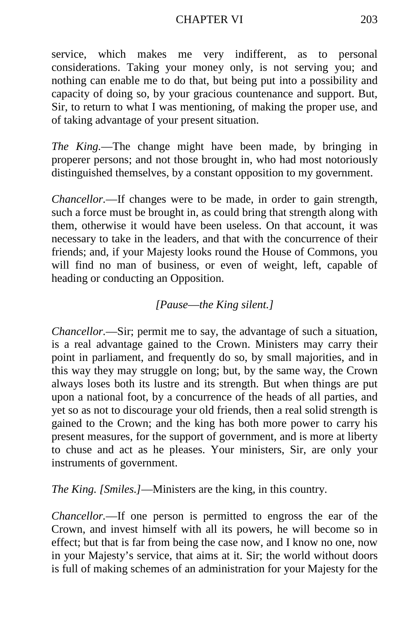#### CHAPTER VI 203

service, which makes me very indifferent, as to personal considerations. Taking your money only, is not serving you; and nothing can enable me to do that, but being put into a possibility and capacity of doing so, by your gracious countenance and support. But, Sir, to return to what I was mentioning, of making the proper use, and of taking advantage of your present situation.

*The King.*—The change might have been made, by bringing in properer persons; and not those brought in, who had most notoriously distinguished themselves, by a constant opposition to my government.

*Chancellor.*—If changes were to be made, in order to gain strength, such a force must be brought in, as could bring that strength along with them, otherwise it would have been useless. On that account, it was necessary to take in the leaders, and that with the concurrence of their friends; and, if your Majesty looks round the House of Commons, you will find no man of business, or even of weight, left, capable of heading or conducting an Opposition.

## *[Pause*—*the King silent.]*

*Chancellor.*—Sir; permit me to say, the advantage of such a situation, is a real advantage gained to the Crown. Ministers may carry their point in parliament, and frequently do so, by small majorities, and in this way they may struggle on long; but, by the same way, the Crown always loses both its lustre and its strength. But when things are put upon a national foot, by a concurrence of the heads of all parties, and yet so as not to discourage your old friends, then a real solid strength is gained to the Crown; and the king has both more power to carry his present measures, for the support of government, and is more at liberty to chuse and act as he pleases. Your ministers, Sir, are only your instruments of government.

*The King. [Smiles.]*—Ministers are the king, in this country.

*Chancellor.*—If one person is permitted to engross the ear of the Crown, and invest himself with all its powers, he will become so in effect; but that is far from being the case now, and I know no one, now in your Majesty's service, that aims at it. Sir; the world without doors is full of making schemes of an administration for your Majesty for the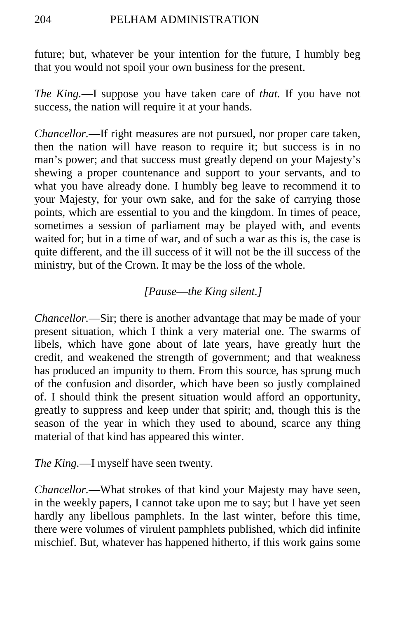future; but, whatever be your intention for the future, I humbly beg that you would not spoil your own business for the present.

*The King.*—I suppose you have taken care of *that.* If you have not success, the nation will require it at your hands.

*Chancellor.*—If right measures are not pursued, nor proper care taken, then the nation will have reason to require it; but success is in no man's power; and that success must greatly depend on your Majesty's shewing a proper countenance and support to your servants, and to what you have already done. I humbly beg leave to recommend it to your Majesty, for your own sake, and for the sake of carrying those points, which are essential to you and the kingdom. In times of peace, sometimes a session of parliament may be played with, and events waited for; but in a time of war, and of such a war as this is, the case is quite different, and the ill success of it will not be the ill success of the ministry, but of the Crown. It may be the loss of the whole.

## *[Pause*—*the King silent.]*

*Chancellor.*—Sir; there is another advantage that may be made of your present situation, which I think a very material one. The swarms of libels, which have gone about of late years, have greatly hurt the credit, and weakened the strength of government; and that weakness has produced an impunity to them. From this source, has sprung much of the confusion and disorder, which have been so justly complained of. I should think the present situation would afford an opportunity, greatly to suppress and keep under that spirit; and, though this is the season of the year in which they used to abound, scarce any thing material of that kind has appeared this winter.

*The King.*—I myself have seen twenty.

*Chancellor.*—What strokes of that kind your Majesty may have seen, in the weekly papers, I cannot take upon me to say; but I have yet seen hardly any libellous pamphlets. In the last winter, before this time, there were volumes of virulent pamphlets published, which did infinite mischief. But, whatever has happened hitherto, if this work gains some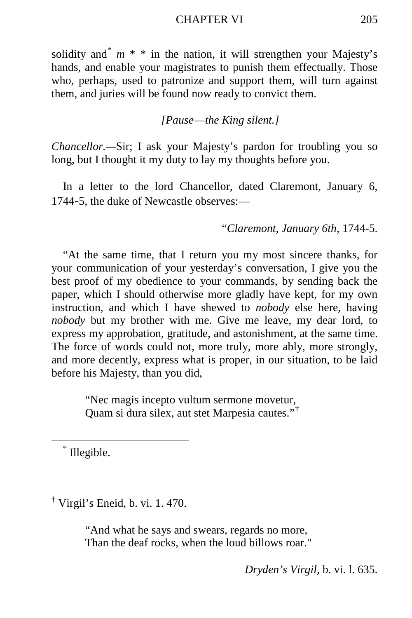#### CHAPTER VI 205

solidity and<sup>[\\*](#page-16-0)</sup>  $m$  \* \* in the nation, it will strengthen your Majesty's hands, and enable your magistrates to punish them effectually. Those who, perhaps, used to patronize and support them, will turn against them, and juries will be found now ready to convict them.

#### *[Pause*—*the King silent.]*

*Chancellor.—*Sir; I ask your Majesty's pardon for troubling you so long, but I thought it my duty to lay my thoughts before you.

In a letter to the lord Chancellor, dated Claremont, January 6, 1744-5, the duke of Newcastle observes:—

"*Claremont, January 6th,* 1744-5.

"At the same time, that I return you my most sincere thanks, for your communication of your yesterday's conversation, I give you the best proof of my obedience to your commands, by sending back the paper, which I should otherwise more gladly have kept, for my own instruction, and which I have shewed to *nobody* else here, having *nobody* but my brother with me. Give me leave, my dear lord, to express my approbation, gratitude, and astonishment, at the same time. The force of words could not, more truly, more ably, more strongly, and more decently, express what is proper, in our situation, to be laid before his Majesty, than you did,

> "Nec magis incepto vultum sermone movetur, Quam si dura silex, aut stet Marpesia cautes."[†](#page-16-1)

<span id="page-16-0"></span>\* Illegible.

<span id="page-16-1"></span><sup>†</sup> Virgil's Eneid, b. vi. 1. 470.

"And what he says and swears, regards no more, Than the deaf rocks, when the loud billows roar."

*Dryden's Virgil,* b. vi. l. 635.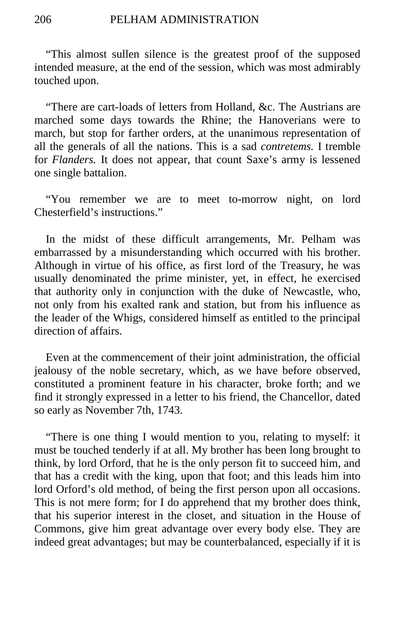"This almost sullen silence is the greatest proof of the supposed intended measure, at the end of the session, which was most admirably touched upon.

"There are cart-loads of letters from Holland, &c. The Austrians are marched some days towards the Rhine; the Hanoverians were to march, but stop for farther orders, at the unanimous representation of all the generals of all the nations. This is a sad *contretems.* I tremble for *Flanders.* It does not appear, that count Saxe's army is lessened one single battalion.

"You remember we are to meet to-morrow night, on lord Chesterfield's instructions."

In the midst of these difficult arrangements, Mr. Pelham was embarrassed by a misunderstanding which occurred with his brother. Although in virtue of his office, as first lord of the Treasury, he was usually denominated the prime minister, yet, in effect, he exercised that authority only in conjunction with the duke of Newcastle, who, not only from his exalted rank and station, but from his influence as the leader of the Whigs, considered himself as entitled to the principal direction of affairs.

Even at the commencement of their joint administration, the official jealousy of the noble secretary, which, as we have before observed, constituted a prominent feature in his character, broke forth; and we find it strongly expressed in a letter to his friend, the Chancellor, dated so early as November 7th, 1743.

"There is one thing I would mention to you, relating to myself: it must be touched tenderly if at all. My brother has been long brought to think, by lord Orford, that he is the only person fit to succeed him, and that has a credit with the king, upon that foot; and this leads him into lord Orford's old method, of being the first person upon all occasions. This is not mere form; for I do apprehend that my brother does think, that his superior interest in the closet, and situation in the House of Commons, give him great advantage over every body else. They are indeed great advantages; but may be counterbalanced, especially if it is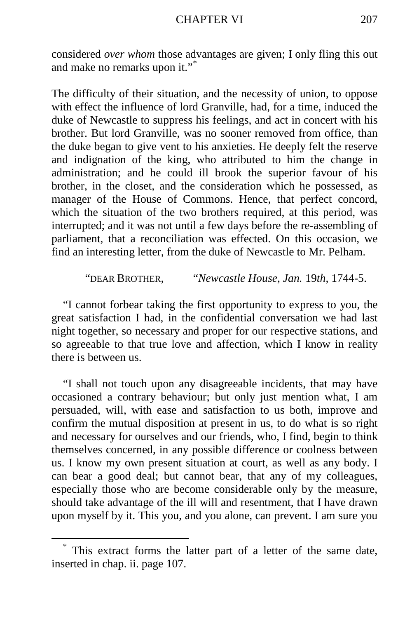considered *over whom* those advantages are given; I only fling this out and make no remarks upon it."[\\*](#page-18-0)

The difficulty of their situation, and the necessity of union, to oppose with effect the influence of lord Granville, had, for a time, induced the duke of Newcastle to suppress his feelings, and act in concert with his brother. But lord Granville, was no sooner removed from office, than the duke began to give vent to his anxieties. He deeply felt the reserve and indignation of the king, who attributed to him the change in administration; and he could ill brook the superior favour of his brother, in the closet, and the consideration which he possessed, as manager of the House of Commons. Hence, that perfect concord, which the situation of the two brothers required, at this period, was interrupted; and it was not until a few days before the re-assembling of parliament, that a reconciliation was effected. On this occasion, we find an interesting letter, from the duke of Newcastle to Mr. Pelham.

"DEAR BROTHER, "*Newcastle House, Jan.* 19*th*, 1744-5.

"I cannot forbear taking the first opportunity to express to you, the great satisfaction I had, in the confidential conversation we had last night together, so necessary and proper for our respective stations, and so agreeable to that true love and affection, which I know in reality there is between us.

"I shall not touch upon any disagreeable incidents, that may have occasioned a contrary behaviour; but only just mention what, I am persuaded, will, with ease and satisfaction to us both, improve and confirm the mutual disposition at present in us, to do what is so right and necessary for ourselves and our friends, who, I find, begin to think themselves concerned, in any possible difference or coolness between us. I know my own present situation at court, as well as any body. I can bear a good deal; but cannot bear, that any of my colleagues, especially those who are become considerable only by the measure, should take advantage of the ill will and resentment, that I have drawn upon myself by it. This you, and you alone, can prevent. I am sure you

<span id="page-18-0"></span> <sup>\*</sup> This extract forms the latter part of a letter of the same date, inserted in chap. ii. page 107.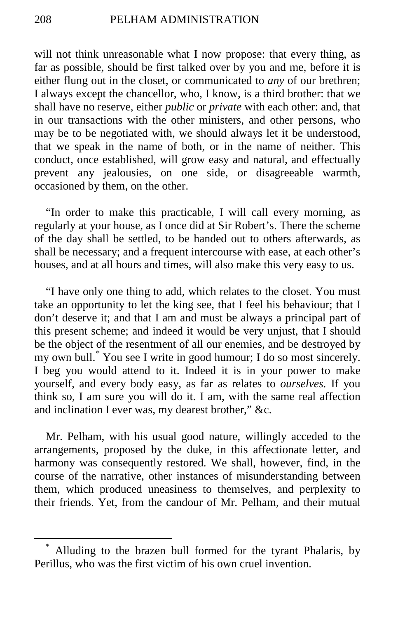will not think unreasonable what I now propose: that every thing, as far as possible, should be first talked over by you and me, before it is either flung out in the closet, or communicated to *any* of our brethren; I always except the chancellor, who, I know, is a third brother: that we shall have no reserve, either *public* or *private* with each other: and, that in our transactions with the other ministers, and other persons, who may be to be negotiated with, we should always let it be understood, that we speak in the name of both, or in the name of neither. This conduct, once established, will grow easy and natural, and effectually prevent any jealousies, on one side, or disagreeable warmth, occasioned by them, on the other.

"In order to make this practicable, I will call every morning, as regularly at your house, as I once did at Sir Robert's. There the scheme of the day shall be settled, to be handed out to others afterwards, as shall be necessary; and a frequent intercourse with ease, at each other's houses, and at all hours and times, will also make this very easy to us.

"I have only one thing to add, which relates to the closet. You must take an opportunity to let the king see, that I feel his behaviour; that I don't deserve it; and that I am and must be always a principal part of this present scheme; and indeed it would be very unjust, that I should be the object of the resentment of all our enemies, and be destroyed by my own bull.[\\*](#page-19-0) You see I write in good humour; I do so most sincerely. I beg you would attend to it. Indeed it is in your power to make yourself, and every body easy, as far as relates to *ourselves.* If you think so, I am sure you will do it. I am, with the same real affection and inclination I ever was, my dearest brother," &c.

Mr. Pelham, with his usual good nature, willingly acceded to the arrangements, proposed by the duke, in this affectionate letter, and harmony was consequently restored. We shall, however, find, in the course of the narrative, other instances of misunderstanding between them, which produced uneasiness to themselves, and perplexity to their friends. Yet, from the candour of Mr. Pelham, and their mutual

<span id="page-19-0"></span>Alluding to the brazen bull formed for the tyrant Phalaris, by Perillus, who was the first victim of his own cruel invention.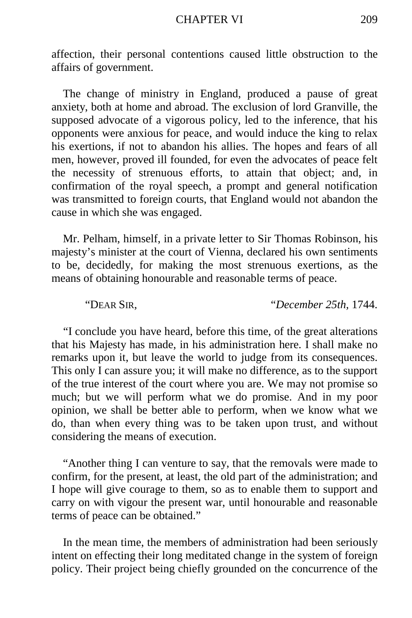affection, their personal contentions caused little obstruction to the affairs of government.

The change of ministry in England, produced a pause of great anxiety, both at home and abroad. The exclusion of lord Granville, the supposed advocate of a vigorous policy, led to the inference, that his opponents were anxious for peace, and would induce the king to relax his exertions, if not to abandon his allies. The hopes and fears of all men, however, proved ill founded, for even the advocates of peace felt the necessity of strenuous efforts, to attain that object; and, in confirmation of the royal speech, a prompt and general notification was transmitted to foreign courts, that England would not abandon the cause in which she was engaged.

Mr. Pelham, himself, in a private letter to Sir Thomas Robinson, his majesty's minister at the court of Vienna, declared his own sentiments to be, decidedly, for making the most strenuous exertions, as the means of obtaining honourable and reasonable terms of peace.

"DEAR SIR, "*December 25th,* 1744.

"I conclude you have heard, before this time, of the great alterations that his Majesty has made, in his administration here. I shall make no remarks upon it, but leave the world to judge from its consequences. This only I can assure you; it will make no difference, as to the support of the true interest of the court where you are. We may not promise so much; but we will perform what we do promise. And in my poor opinion, we shall be better able to perform, when we know what we do, than when every thing was to be taken upon trust, and without considering the means of execution.

"Another thing I can venture to say, that the removals were made to confirm, for the present, at least, the old part of the administration; and I hope will give courage to them, so as to enable them to support and carry on with vigour the present war, until honourable and reasonable terms of peace can be obtained."

In the mean time, the members of administration had been seriously intent on effecting their long meditated change in the system of foreign policy. Their project being chiefly grounded on the concurrence of the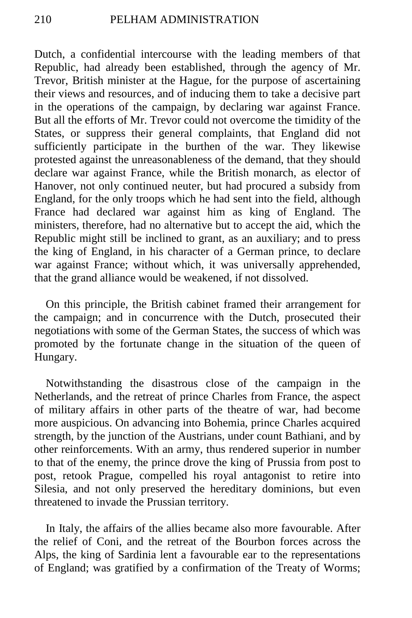Dutch, a confidential intercourse with the leading members of that Republic, had already been established, through the agency of Mr. Trevor, British minister at the Hague, for the purpose of ascertaining their views and resources, and of inducing them to take a decisive part in the operations of the campaign, by declaring war against France. But all the efforts of Mr. Trevor could not overcome the timidity of the States, or suppress their general complaints, that England did not sufficiently participate in the burthen of the war. They likewise protested against the unreasonableness of the demand, that they should declare war against France, while the British monarch, as elector of Hanover, not only continued neuter, but had procured a subsidy from England, for the only troops which he had sent into the field, although France had declared war against him as king of England. The ministers, therefore, had no alternative but to accept the aid, which the Republic might still be inclined to grant, as an auxiliary; and to press the king of England, in his character of a German prince, to declare war against France; without which, it was universally apprehended, that the grand alliance would be weakened, if not dissolved.

On this principle, the British cabinet framed their arrangement for the campaign; and in concurrence with the Dutch, prosecuted their negotiations with some of the German States, the success of which was promoted by the fortunate change in the situation of the queen of Hungary.

Notwithstanding the disastrous close of the campaign in the Netherlands, and the retreat of prince Charles from France, the aspect of military affairs in other parts of the theatre of war, had become more auspicious. On advancing into Bohemia, prince Charles acquired strength, by the junction of the Austrians, under count Bathiani, and by other reinforcements. With an army, thus rendered superior in number to that of the enemy, the prince drove the king of Prussia from post to post, retook Prague, compelled his royal antagonist to retire into Silesia, and not only preserved the hereditary dominions, but even threatened to invade the Prussian territory.

In Italy, the affairs of the allies became also more favourable. After the relief of Coni, and the retreat of the Bourbon forces across the Alps, the king of Sardinia lent a favourable ear to the representations of England; was gratified by a confirmation of the Treaty of Worms;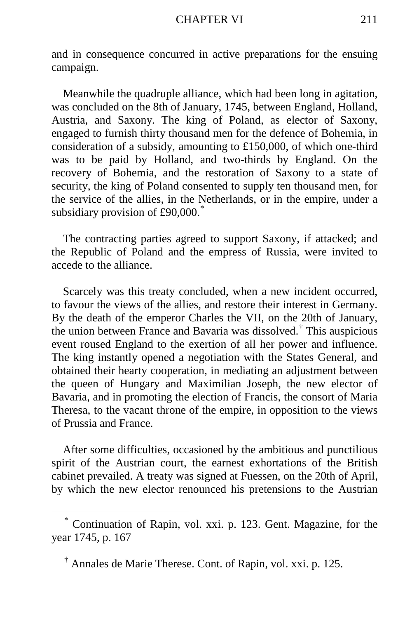and in consequence concurred in active preparations for the ensuing campaign.

Meanwhile the quadruple alliance, which had been long in agitation, was concluded on the 8th of January, 1745, between England, Holland, Austria, and Saxony. The king of Poland, as elector of Saxony, engaged to furnish thirty thousand men for the defence of Bohemia, in consideration of a subsidy, amounting to £150,000, of which one-third was to be paid by Holland, and two-thirds by England. On the recovery of Bohemia, and the restoration of Saxony to a state of security, the king of Poland consented to supply ten thousand men, for the service of the allies, in the Netherlands, or in the empire, under a subsidiary provision of £90,000.<sup>[\\*](#page-22-0)</sup>

The contracting parties agreed to support Saxony, if attacked; and the Republic of Poland and the empress of Russia, were invited to accede to the alliance.

Scarcely was this treaty concluded, when a new incident occurred, to favour the views of the allies, and restore their interest in Germany. By the death of the emperor Charles the VII, on the 20th of January, the union between France and Bavaria was dissolved.[†](#page-22-1) This auspicious event roused England to the exertion of all her power and influence. The king instantly opened a negotiation with the States General, and obtained their hearty cooperation, in mediating an adjustment between the queen of Hungary and Maximilian Joseph, the new elector of Bavaria, and in promoting the election of Francis, the consort of Maria Theresa, to the vacant throne of the empire, in opposition to the views of Prussia and France.

After some difficulties, occasioned by the ambitious and punctilious spirit of the Austrian court, the earnest exhortations of the British cabinet prevailed. A treaty was signed at Fuessen, on the 20th of April, by which the new elector renounced his pretensions to the Austrian

<span id="page-22-0"></span> <sup>\*</sup> Continuation of Rapin, vol. xxi. p. 123. Gent. Magazine, for the year 1745, p. 167

<span id="page-22-1"></span><sup>†</sup> Annales de Marie Therese. Cont. of Rapin, vol. xxi. p. 125.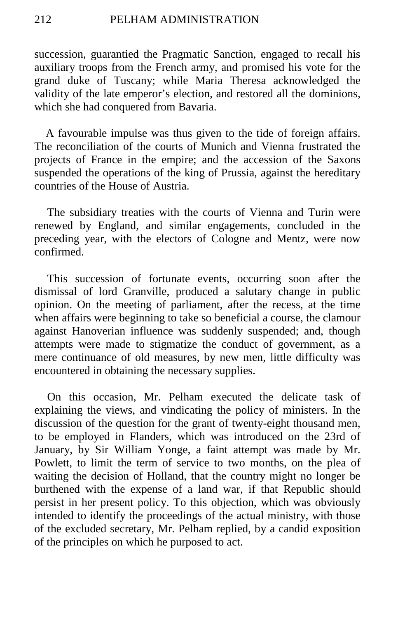succession, guarantied the Pragmatic Sanction, engaged to recall his auxiliary troops from the French army, and promised his vote for the grand duke of Tuscany; while Maria Theresa acknowledged the validity of the late emperor's election, and restored all the dominions, which she had conquered from Bavaria.

A favourable impulse was thus given to the tide of foreign affairs. The reconciliation of the courts of Munich and Vienna frustrated the projects of France in the empire; and the accession of the Saxons suspended the operations of the king of Prussia, against the hereditary countries of the House of Austria.

The subsidiary treaties with the courts of Vienna and Turin were renewed by England, and similar engagements, concluded in the preceding year, with the electors of Cologne and Mentz, were now confirmed.

This succession of fortunate events, occurring soon after the dismissal of lord Granville, produced a salutary change in public opinion. On the meeting of parliament, after the recess, at the time when affairs were beginning to take so beneficial a course, the clamour against Hanoverian influence was suddenly suspended; and, though attempts were made to stigmatize the conduct of government, as a mere continuance of old measures, by new men, little difficulty was encountered in obtaining the necessary supplies.

On this occasion, Mr. Pelham executed the delicate task of explaining the views, and vindicating the policy of ministers. In the discussion of the question for the grant of twenty-eight thousand men, to be employed in Flanders, which was introduced on the 23rd of January, by Sir William Yonge, a faint attempt was made by Mr. Powlett, to limit the term of service to two months, on the plea of waiting the decision of Holland, that the country might no longer be burthened with the expense of a land war, if that Republic should persist in her present policy. To this objection, which was obviously intended to identify the proceedings of the actual ministry, with those of the excluded secretary, Mr. Pelham replied, by a candid exposition of the principles on which he purposed to act.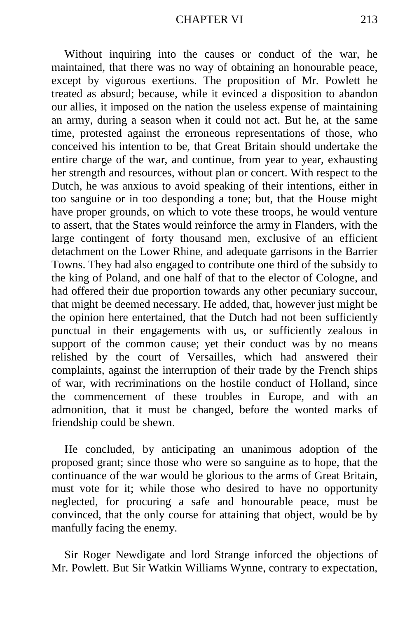Without inquiring into the causes or conduct of the war, he maintained, that there was no way of obtaining an honourable peace, except by vigorous exertions. The proposition of Mr. Powlett he treated as absurd; because, while it evinced a disposition to abandon our allies, it imposed on the nation the useless expense of maintaining an army, during a season when it could not act. But he, at the same time, protested against the erroneous representations of those, who conceived his intention to be, that Great Britain should undertake the entire charge of the war, and continue, from year to year, exhausting her strength and resources, without plan or concert. With respect to the Dutch, he was anxious to avoid speaking of their intentions, either in too sanguine or in too desponding a tone; but, that the House might have proper grounds, on which to vote these troops, he would venture to assert, that the States would reinforce the army in Flanders, with the large contingent of forty thousand men, exclusive of an efficient detachment on the Lower Rhine, and adequate garrisons in the Barrier Towns. They had also engaged to contribute one third of the subsidy to the king of Poland, and one half of that to the elector of Cologne, and had offered their due proportion towards any other pecuniary succour, that might be deemed necessary. He added, that, however just might be the opinion here entertained, that the Dutch had not been sufficiently punctual in their engagements with us, or sufficiently zealous in support of the common cause; yet their conduct was by no means relished by the court of Versailles, which had answered their complaints, against the interruption of their trade by the French ships of war, with recriminations on the hostile conduct of Holland, since the commencement of these troubles in Europe, and with an admonition, that it must be changed, before the wonted marks of friendship could be shewn.

He concluded, by anticipating an unanimous adoption of the proposed grant; since those who were so sanguine as to hope, that the continuance of the war would be glorious to the arms of Great Britain, must vote for it; while those who desired to have no opportunity neglected, for procuring a safe and honourable peace, must be convinced, that the only course for attaining that object, would be by manfully facing the enemy.

Sir Roger Newdigate and lord Strange inforced the objections of Mr. Powlett. But Sir Watkin Williams Wynne, contrary to expectation,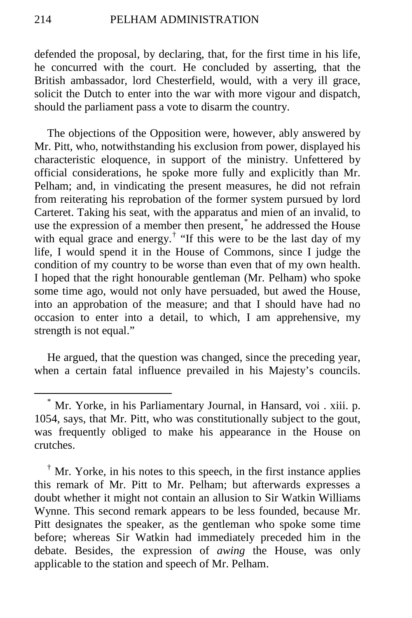defended the proposal, by declaring, that, for the first time in his life, he concurred with the court. He concluded by asserting, that the British ambassador, lord Chesterfield, would, with a very ill grace, solicit the Dutch to enter into the war with more vigour and dispatch, should the parliament pass a vote to disarm the country.

The objections of the Opposition were, however, ably answered by Mr. Pitt, who, notwithstanding his exclusion from power, displayed his characteristic eloquence, in support of the ministry. Unfettered by official considerations, he spoke more fully and explicitly than Mr. Pelham; and, in vindicating the present measures, he did not refrain from reiterating his reprobation of the former system pursued by lord Carteret. Taking his seat, with the apparatus and mien of an invalid, to use the expression of a member then present,<sup>[\\*](#page-25-0)</sup> he addressed the House with equal grace and energy.<sup>[†](#page-25-1)</sup> "If this were to be the last day of my life, I would spend it in the House of Commons, since I judge the condition of my country to be worse than even that of my own health. I hoped that the right honourable gentleman (Mr. Pelham) who spoke some time ago, would not only have persuaded, but awed the House, into an approbation of the measure; and that I should have had no occasion to enter into a detail, to which, I am apprehensive, my strength is not equal."

He argued, that the question was changed, since the preceding year, when a certain fatal influence prevailed in his Majesty's councils.

<span id="page-25-0"></span> <sup>\*</sup> Mr. Yorke, in his Parliamentary Journal, in Hansard, voi . xiii. p. 1054, says, that Mr. Pitt, who was constitutionally subject to the gout, was frequently obliged to make his appearance in the House on crutches.

<span id="page-25-1"></span><sup>†</sup> Mr. Yorke, in his notes to this speech, in the first instance applies this remark of Mr. Pitt to Mr. Pelham; but afterwards expresses a doubt whether it might not contain an allusion to Sir Watkin Williams Wynne. This second remark appears to be less founded, because Mr. Pitt designates the speaker, as the gentleman who spoke some time before; whereas Sir Watkin had immediately preceded him in the debate. Besides, the expression of *awing* the House, was only applicable to the station and speech of Mr. Pelham.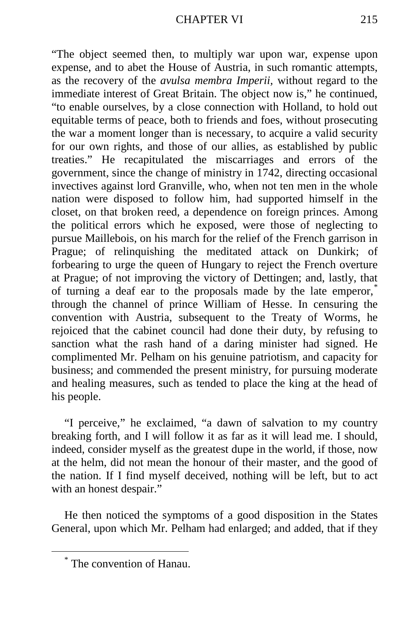"The object seemed then, to multiply war upon war, expense upon expense, and to abet the House of Austria, in such romantic attempts, as the recovery of the *avulsa membra Imperii,* without regard to the immediate interest of Great Britain. The object now is," he continued, "to enable ourselves, by a close connection with Holland, to hold out equitable terms of peace, both to friends and foes, without prosecuting the war a moment longer than is necessary, to acquire a valid security for our own rights, and those of our allies, as established by public treaties." He recapitulated the miscarriages and errors of the government, since the change of ministry in 1742, directing occasional invectives against lord Granville, who, when not ten men in the whole nation were disposed to follow him, had supported himself in the closet, on that broken reed, a dependence on foreign princes. Among the political errors which he exposed, were those of neglecting to pursue Maillebois, on his march for the relief of the French garrison in Prague; of relinquishing the meditated attack on Dunkirk; of forbearing to urge the queen of Hungary to reject the French overture at Prague; of not improving the victory of Dettingen; and, lastly, that of turning a deaf ear to the proposals made by the late emperor,[\\*](#page-26-0) through the channel of prince William of Hesse. In censuring the convention with Austria, subsequent to the Treaty of Worms, he rejoiced that the cabinet council had done their duty, by refusing to sanction what the rash hand of a daring minister had signed. He complimented Mr. Pelham on his genuine patriotism, and capacity for business; and commended the present ministry, for pursuing moderate and healing measures, such as tended to place the king at the head of his people.

"I perceive," he exclaimed, "a dawn of salvation to my country breaking forth, and I will follow it as far as it will lead me. I should, indeed, consider myself as the greatest dupe in the world, if those, now at the helm, did not mean the honour of their master, and the good of the nation. If I find myself deceived, nothing will be left, but to act with an honest despair."

He then noticed the symptoms of a good disposition in the States General, upon which Mr. Pelham had enlarged; and added, that if they

<span id="page-26-0"></span>The convention of Hanau.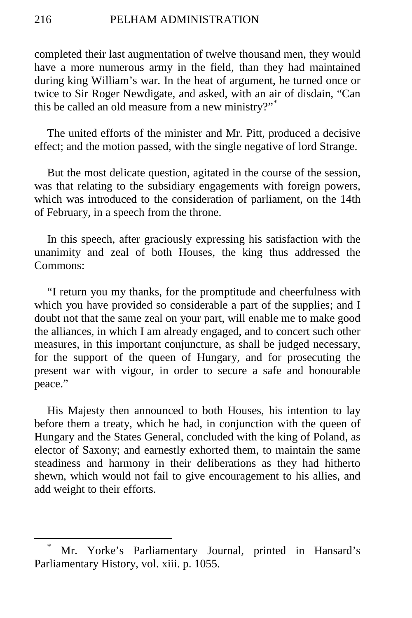completed their last augmentation of twelve thousand men, they would have a more numerous army in the field, than they had maintained during king William's war. In the heat of argument, he turned once or twice to Sir Roger Newdigate, and asked, with an air of disdain, "Can this be called an old measure from a new ministry?"[\\*](#page-27-0)

The united efforts of the minister and Mr. Pitt, produced a decisive effect; and the motion passed, with the single negative of lord Strange.

But the most delicate question, agitated in the course of the session, was that relating to the subsidiary engagements with foreign powers, which was introduced to the consideration of parliament, on the 14th of February, in a speech from the throne.

In this speech, after graciously expressing his satisfaction with the unanimity and zeal of both Houses, the king thus addressed the Commons:

"I return you my thanks, for the promptitude and cheerfulness with which you have provided so considerable a part of the supplies; and I doubt not that the same zeal on your part, will enable me to make good the alliances, in which I am already engaged, and to concert such other measures, in this important conjuncture, as shall be judged necessary, for the support of the queen of Hungary, and for prosecuting the present war with vigour, in order to secure a safe and honourable peace."

His Majesty then announced to both Houses, his intention to lay before them a treaty, which he had, in conjunction with the queen of Hungary and the States General, concluded with the king of Poland, as elector of Saxony; and earnestly exhorted them, to maintain the same steadiness and harmony in their deliberations as they had hitherto shewn, which would not fail to give encouragement to his allies, and add weight to their efforts.

<span id="page-27-0"></span>Mr. Yorke's Parliamentary Journal, printed in Hansard's Parliamentary History, vol. xiii. p. 1055.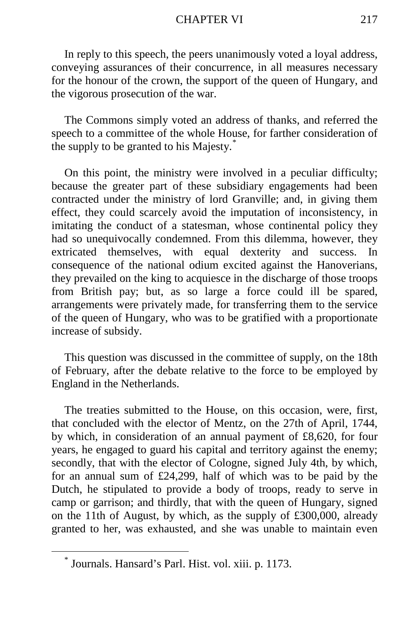#### CHAPTER VI 217

In reply to this speech, the peers unanimously voted a loyal address, conveying assurances of their concurrence, in all measures necessary for the honour of the crown, the support of the queen of Hungary, and the vigorous prosecution of the war.

The Commons simply voted an address of thanks, and referred the speech to a committee of the whole House, for farther consideration of the supply to be granted to his Majesty.[\\*](#page-28-0)

On this point, the ministry were involved in a peculiar difficulty; because the greater part of these subsidiary engagements had been contracted under the ministry of lord Granville; and, in giving them effect, they could scarcely avoid the imputation of inconsistency, in imitating the conduct of a statesman, whose continental policy they had so unequivocally condemned. From this dilemma, however, they extricated themselves, with equal dexterity and success. In consequence of the national odium excited against the Hanoverians, they prevailed on the king to acquiesce in the discharge of those troops from British pay; but, as so large a force could ill be spared, arrangements were privately made, for transferring them to the service of the queen of Hungary, who was to be gratified with a proportionate increase of subsidy.

This question was discussed in the committee of supply, on the 18th of February, after the debate relative to the force to be employed by England in the Netherlands.

The treaties submitted to the House, on this occasion, were, first, that concluded with the elector of Mentz, on the 27th of April, 1744, by which, in consideration of an annual payment of £8,620, for four years, he engaged to guard his capital and territory against the enemy; secondly, that with the elector of Cologne, signed July 4th, by which, for an annual sum of £24,299, half of which was to be paid by the Dutch, he stipulated to provide a body of troops, ready to serve in camp or garrison; and thirdly, that with the queen of Hungary, signed on the 11th of August, by which, as the supply of £300,000, already granted to her, was exhausted, and she was unable to maintain even

<span id="page-28-0"></span>Journals. Hansard's Parl. Hist. vol. xiii. p. 1173.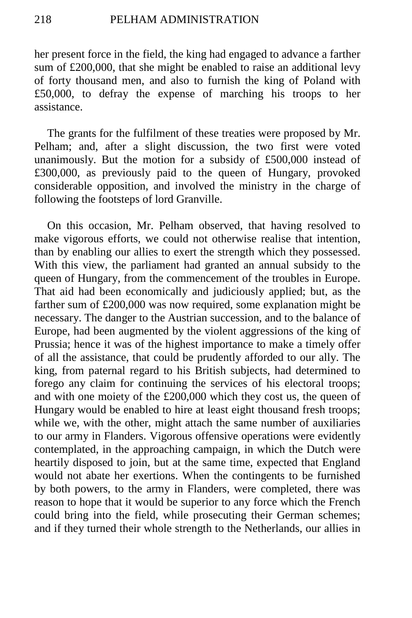her present force in the field, the king had engaged to advance a farther sum of £200,000, that she might be enabled to raise an additional levy of forty thousand men, and also to furnish the king of Poland with £50,000, to defray the expense of marching his troops to her assistance.

The grants for the fulfilment of these treaties were proposed by Mr. Pelham; and, after a slight discussion, the two first were voted unanimously. But the motion for a subsidy of £500,000 instead of £300,000, as previously paid to the queen of Hungary, provoked considerable opposition, and involved the ministry in the charge of following the footsteps of lord Granville.

On this occasion, Mr. Pelham observed, that having resolved to make vigorous efforts, we could not otherwise realise that intention, than by enabling our allies to exert the strength which they possessed. With this view, the parliament had granted an annual subsidy to the queen of Hungary, from the commencement of the troubles in Europe. That aid had been economically and judiciously applied; but, as the farther sum of £200,000 was now required, some explanation might be necessary. The danger to the Austrian succession, and to the balance of Europe, had been augmented by the violent aggressions of the king of Prussia; hence it was of the highest importance to make a timely offer of all the assistance, that could be prudently afforded to our ally. The king, from paternal regard to his British subjects, had determined to forego any claim for continuing the services of his electoral troops; and with one moiety of the £200,000 which they cost us, the queen of Hungary would be enabled to hire at least eight thousand fresh troops; while we, with the other, might attach the same number of auxiliaries to our army in Flanders. Vigorous offensive operations were evidently contemplated, in the approaching campaign, in which the Dutch were heartily disposed to join, but at the same time, expected that England would not abate her exertions. When the contingents to be furnished by both powers, to the army in Flanders, were completed, there was reason to hope that it would be superior to any force which the French could bring into the field, while prosecuting their German schemes; and if they turned their whole strength to the Netherlands, our allies in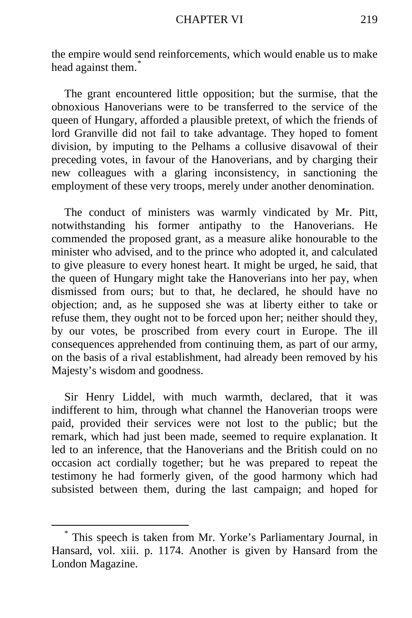the empire would send reinforcements, which would enable us to make head against them.<sup>[\\*](#page-30-0)</sup>

The grant encountered little opposition; but the surmise, that the obnoxious Hanoverians were to be transferred to the service of the queen of Hungary, afforded a plausible pretext, of which the friends of lord Granville did not fail to take advantage. They hoped to foment division, by imputing to the Pelhams a collusive disavowal of their preceding votes, in favour of the Hanoverians, and by charging their new colleagues with a glaring inconsistency, in sanctioning the employment of these very troops, merely under another denomination.

The conduct of ministers was warmly vindicated by Mr. Pitt, notwithstanding his former antipathy to the Hanoverians. He commended the proposed grant, as a measure alike honourable to the minister who advised, and to the prince who adopted it, and calculated to give pleasure to every honest heart. It might be urged, he said, that the queen of Hungary might take the Hanoverians into her pay, when dismissed from ours; but to that, he declared, he should have no objection; and, as he supposed she was at liberty either to take or refuse them, they ought not to be forced upon her; neither should they, by our votes, be proscribed from every court in Europe. The ill consequences apprehended from continuing them, as part of our army, on the basis of a rival establishment, had already been removed by his Majesty's wisdom and goodness.

Sir Henry Liddel, with much warmth, declared, that it was indifferent to him, through what channel the Hanoverian troops were paid, provided their services were not lost to the public; but the remark, which had just been made, seemed to require explanation. It led to an inference, that the Hanoverians and the British could on no occasion act cordially together; but he was prepared to repeat the testimony he had formerly given, of the good harmony which had subsisted between them, during the last campaign; and hoped for

<span id="page-30-0"></span> <sup>\*</sup> This speech is taken from Mr. Yorke's Parliamentary Journal, in Hansard, vol. xiii. p. 1174. Another is given by Hansard from the London Magazine.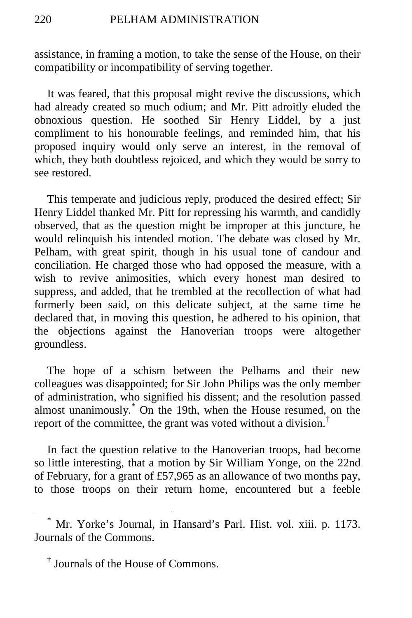assistance, in framing a motion, to take the sense of the House, on their compatibility or incompatibility of serving together.

It was feared, that this proposal might revive the discussions, which had already created so much odium; and Mr. Pitt adroitly eluded the obnoxious question. He soothed Sir Henry Liddel, by a just compliment to his honourable feelings, and reminded him, that his proposed inquiry would only serve an interest, in the removal of which, they both doubtless rejoiced, and which they would be sorry to see restored.

This temperate and judicious reply, produced the desired effect; Sir Henry Liddel thanked Mr. Pitt for repressing his warmth, and candidly observed, that as the question might be improper at this juncture, he would relinquish his intended motion. The debate was closed by Mr. Pelham, with great spirit, though in his usual tone of candour and conciliation. He charged those who had opposed the measure, with a wish to revive animosities, which every honest man desired to suppress, and added, that he trembled at the recollection of what had formerly been said, on this delicate subject, at the same time he declared that, in moving this question, he adhered to his opinion, that the objections against the Hanoverian troops were altogether groundless.

The hope of a schism between the Pelhams and their new colleagues was disappointed; for Sir John Philips was the only member of administration, who signified his dissent; and the resolution passed almost unanimously.[\\*](#page-31-0) On the 19th, when the House resumed, on the report of the committee, the grant was voted without a division.[†](#page-31-1)

In fact the question relative to the Hanoverian troops, had become so little interesting, that a motion by Sir William Yonge, on the 22nd of February, for a grant of £57,965 as an allowance of two months pay, to those troops on their return home, encountered but a feeble

<span id="page-31-0"></span>Mr. Yorke's Journal, in Hansard's Parl. Hist. vol. xiii. p. 1173. Journals of the Commons.

<span id="page-31-1"></span><sup>†</sup> Journals of the House of Commons.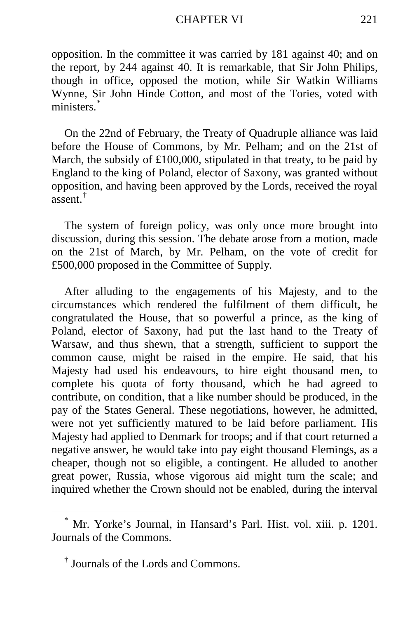#### CHAPTER VI 221

opposition. In the committee it was carried by 181 against 40; and on the report, by 244 against 40. It is remarkable, that Sir John Philips, though in office, opposed the motion, while Sir Watkin Williams Wynne, Sir John Hinde Cotton, and most of the Tories, voted with ministers.<sup>[\\*](#page-32-0)</sup>

On the 22nd of February, the Treaty of Quadruple alliance was laid before the House of Commons, by Mr. Pelham; and on the 21st of March, the subsidy of £100,000, stipulated in that treaty, to be paid by England to the king of Poland, elector of Saxony, was granted without opposition, and having been approved by the Lords, received the royal assent.[†](#page-32-1)

The system of foreign policy, was only once more brought into discussion, during this session. The debate arose from a motion, made on the 21st of March, by Mr. Pelham, on the vote of credit for £500,000 proposed in the Committee of Supply.

After alluding to the engagements of his Majesty, and to the circumstances which rendered the fulfilment of them difficult, he congratulated the House, that so powerful a prince, as the king of Poland, elector of Saxony, had put the last hand to the Treaty of Warsaw, and thus shewn, that a strength, sufficient to support the common cause, might be raised in the empire. He said, that his Majesty had used his endeavours, to hire eight thousand men, to complete his quota of forty thousand, which he had agreed to contribute, on condition, that a like number should be produced, in the pay of the States General. These negotiations, however, he admitted, were not yet sufficiently matured to be laid before parliament. His Majesty had applied to Denmark for troops; and if that court returned a negative answer, he would take into pay eight thousand Flemings, as a cheaper, though not so eligible, a contingent. He alluded to another great power, Russia, whose vigorous aid might turn the scale; and inquired whether the Crown should not be enabled, during the interval

<span id="page-32-0"></span> <sup>\*</sup> Mr. Yorke's Journal, in Hansard's Parl. Hist. vol. xiii. p. 1201. Journals of the Commons.

<span id="page-32-1"></span><sup>†</sup> Journals of the Lords and Commons.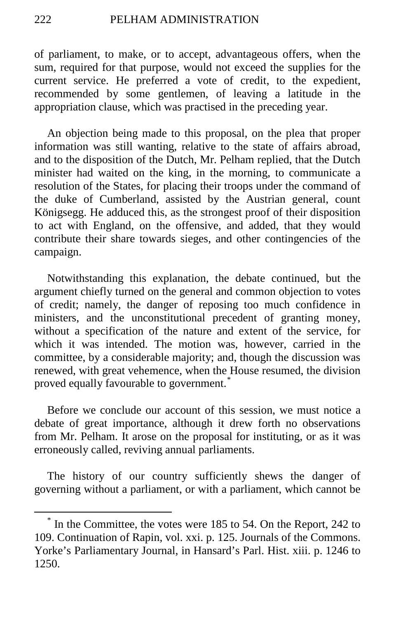of parliament, to make, or to accept, advantageous offers, when the sum, required for that purpose, would not exceed the supplies for the current service. He preferred a vote of credit, to the expedient, recommended by some gentlemen, of leaving a latitude in the appropriation clause, which was practised in the preceding year.

An objection being made to this proposal, on the plea that proper information was still wanting, relative to the state of affairs abroad, and to the disposition of the Dutch, Mr. Pelham replied, that the Dutch minister had waited on the king, in the morning, to communicate a resolution of the States, for placing their troops under the command of the duke of Cumberland, assisted by the Austrian general, count Königsegg. He adduced this, as the strongest proof of their disposition to act with England, on the offensive, and added, that they would contribute their share towards sieges, and other contingencies of the campaign.

Notwithstanding this explanation, the debate continued, but the argument chiefly turned on the general and common objection to votes of credit; namely, the danger of reposing too much confidence in ministers, and the unconstitutional precedent of granting money, without a specification of the nature and extent of the service, for which it was intended. The motion was, however, carried in the committee, by a considerable majority; and, though the discussion was renewed, with great vehemence, when the House resumed, the division proved equally favourable to government.<sup>[\\*](#page-33-0)</sup>

Before we conclude our account of this session, we must notice a debate of great importance, although it drew forth no observations from Mr. Pelham. It arose on the proposal for instituting, or as it was erroneously called, reviving annual parliaments.

The history of our country sufficiently shews the danger of governing without a parliament, or with a parliament, which cannot be

<span id="page-33-0"></span> <sup>\*</sup> In the Committee, the votes were 185 to 54. On the Report, 242 to 109. Continuation of Rapin, vol. xxi. p. 125. Journals of the Commons. Yorke's Parliamentary Journal, in Hansard's Parl. Hist. xiii. p. 1246 to 1250.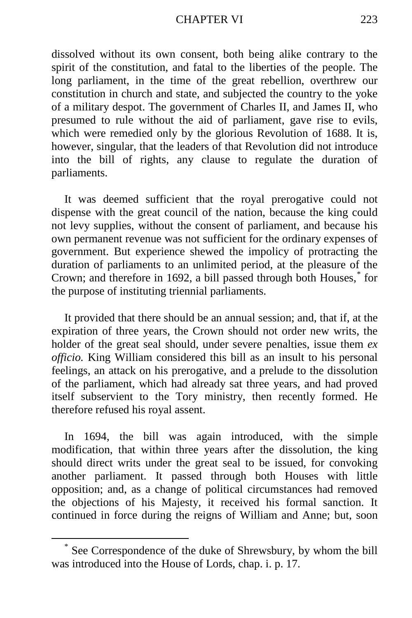#### CHAPTER VI 223

dissolved without its own consent, both being alike contrary to the spirit of the constitution, and fatal to the liberties of the people. The long parliament, in the time of the great rebellion, overthrew our constitution in church and state, and subjected the country to the yoke of a military despot. The government of Charles II, and James II, who presumed to rule without the aid of parliament, gave rise to evils, which were remedied only by the glorious Revolution of 1688. It is, however, singular, that the leaders of that Revolution did not introduce into the bill of rights, any clause to regulate the duration of parliaments.

It was deemed sufficient that the royal prerogative could not dispense with the great council of the nation, because the king could not levy supplies, without the consent of parliament, and because his own permanent revenue was not sufficient for the ordinary expenses of government. But experience shewed the impolicy of protracting the duration of parliaments to an unlimited period, at the pleasure of the Crown; and therefore in 1692, a bill passed through both Houses,[\\*](#page-34-0) for the purpose of instituting triennial parliaments.

It provided that there should be an annual session; and, that if, at the expiration of three years, the Crown should not order new writs, the holder of the great seal should, under severe penalties, issue them *ex officio.* King William considered this bill as an insult to his personal feelings, an attack on his prerogative, and a prelude to the dissolution of the parliament, which had already sat three years, and had proved itself subservient to the Tory ministry, then recently formed. He therefore refused his royal assent.

In 1694, the bill was again introduced, with the simple modification, that within three years after the dissolution, the king should direct writs under the great seal to be issued, for convoking another parliament. It passed through both Houses with little opposition; and, as a change of political circumstances had removed the objections of his Majesty, it received his formal sanction. It continued in force during the reigns of William and Anne; but, soon

<span id="page-34-0"></span> <sup>\*</sup> See Correspondence of the duke of Shrewsbury, by whom the bill was introduced into the House of Lords, chap. i. p. 17.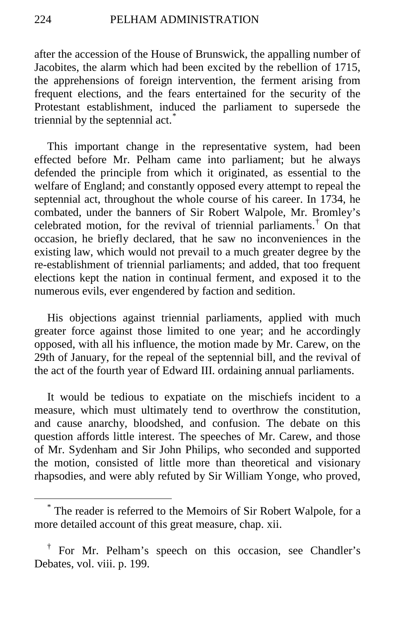after the accession of the House of Brunswick, the appalling number of Jacobites, the alarm which had been excited by the rebellion of 1715, the apprehensions of foreign intervention, the ferment arising from frequent elections, and the fears entertained for the security of the Protestant establishment, induced the parliament to supersede the triennial by the septennial act.<sup>[\\*](#page-35-0)</sup>

This important change in the representative system, had been effected before Mr. Pelham came into parliament; but he always defended the principle from which it originated, as essential to the welfare of England; and constantly opposed every attempt to repeal the septennial act, throughout the whole course of his career. In 1734, he combated, under the banners of Sir Robert Walpole, Mr. Bromley's celebrated motion, for the revival of triennial parliaments.<sup>[†](#page-35-1)</sup> On that occasion, he briefly declared, that he saw no inconveniences in the existing law, which would not prevail to a much greater degree by the re-establishment of triennial parliaments; and added, that too frequent elections kept the nation in continual ferment, and exposed it to the numerous evils, ever engendered by faction and sedition.

His objections against triennial parliaments, applied with much greater force against those limited to one year; and he accordingly opposed, with all his influence, the motion made by Mr. Carew, on the 29th of January, for the repeal of the septennial bill, and the revival of the act of the fourth year of Edward III. ordaining annual parliaments.

It would be tedious to expatiate on the mischiefs incident to a measure, which must ultimately tend to overthrow the constitution, and cause anarchy, bloodshed, and confusion. The debate on this question affords little interest. The speeches of Mr. Carew, and those of Mr. Sydenham and Sir John Philips, who seconded and supported the motion, consisted of little more than theoretical and visionary rhapsodies, and were ably refuted by Sir William Yonge, who proved,

<span id="page-35-0"></span>The reader is referred to the Memoirs of Sir Robert Walpole, for a more detailed account of this great measure, chap. xii.

<span id="page-35-1"></span><sup>†</sup> For Mr. Pelham's speech on this occasion, see Chandler's Debates, vol. viii. p. 199.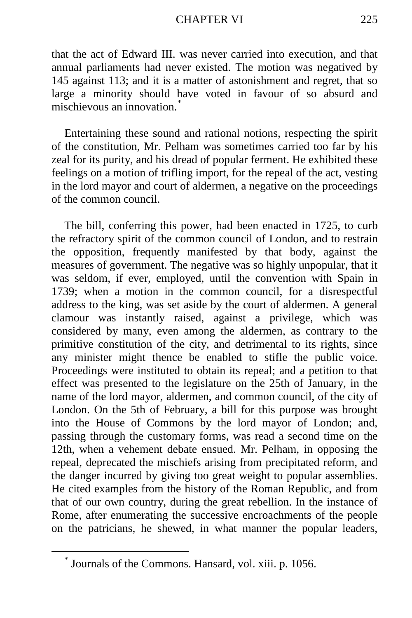### CHAPTER VI 225

that the act of Edward III. was never carried into execution, and that annual parliaments had never existed. The motion was negatived by 145 against 113; and it is a matter of astonishment and regret, that so large a minority should have voted in favour of so absurd and mischievous an innovation.<sup>[\\*](#page-36-0)</sup>

Entertaining these sound and rational notions, respecting the spirit of the constitution, Mr. Pelham was sometimes carried too far by his zeal for its purity, and his dread of popular ferment. He exhibited these feelings on a motion of trifling import, for the repeal of the act, vesting in the lord mayor and court of aldermen, a negative on the proceedings of the common council.

The bill, conferring this power, had been enacted in 1725, to curb the refractory spirit of the common council of London, and to restrain the opposition, frequently manifested by that body, against the measures of government. The negative was so highly unpopular, that it was seldom, if ever, employed, until the convention with Spain in 1739; when a motion in the common council, for a disrespectful address to the king, was set aside by the court of aldermen. A general clamour was instantly raised, against a privilege, which was considered by many, even among the aldermen, as contrary to the primitive constitution of the city, and detrimental to its rights, since any minister might thence be enabled to stifle the public voice. Proceedings were instituted to obtain its repeal; and a petition to that effect was presented to the legislature on the 25th of January, in the name of the lord mayor, aldermen, and common council, of the city of London. On the 5th of February, a bill for this purpose was brought into the House of Commons by the lord mayor of London; and, passing through the customary forms, was read a second time on the 12th, when a vehement debate ensued. Mr. Pelham, in opposing the repeal, deprecated the mischiefs arising from precipitated reform, and the danger incurred by giving too great weight to popular assemblies. He cited examples from the history of the Roman Republic, and from that of our own country, during the great rebellion. In the instance of Rome, after enumerating the successive encroachments of the people on the patricians, he shewed, in what manner the popular leaders,

<span id="page-36-0"></span>Journals of the Commons. Hansard, vol. xiii. p. 1056.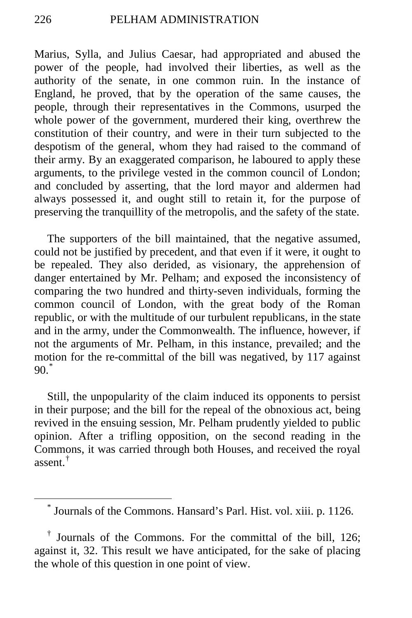Marius, Sylla, and Julius Caesar, had appropriated and abused the power of the people, had involved their liberties, as well as the authority of the senate, in one common ruin. In the instance of England, he proved, that by the operation of the same causes, the people, through their representatives in the Commons, usurped the whole power of the government, murdered their king, overthrew the constitution of their country, and were in their turn subjected to the despotism of the general, whom they had raised to the command of their army. By an exaggerated comparison, he laboured to apply these arguments, to the privilege vested in the common council of London; and concluded by asserting, that the lord mayor and aldermen had always possessed it, and ought still to retain it, for the purpose of preserving the tranquillity of the metropolis, and the safety of the state.

The supporters of the bill maintained, that the negative assumed, could not be justified by precedent, and that even if it were, it ought to be repealed. They also derided, as visionary, the apprehension of danger entertained by Mr. Pelham; and exposed the inconsistency of comparing the two hundred and thirty-seven individuals, forming the common council of London, with the great body of the Roman republic, or with the multitude of our turbulent republicans, in the state and in the army, under the Commonwealth. The influence, however, if not the arguments of Mr. Pelham, in this instance, prevailed; and the motion for the re-committal of the bill was negatived, by 117 against  $90<sup>*</sup>$  $90<sup>*</sup>$  $90<sup>*</sup>$ 

Still, the unpopularity of the claim induced its opponents to persist in their purpose; and the bill for the repeal of the obnoxious act, being revived in the ensuing session, Mr. Pelham prudently yielded to public opinion. After a trifling opposition, on the second reading in the Commons, it was carried through both Houses, and received the royal assent.<sup>[†](#page-37-1)</sup>

 <sup>\*</sup> Journals of the Commons. Hansard's Parl. Hist. vol. xiii. p. 1126.

<span id="page-37-1"></span><span id="page-37-0"></span><sup>†</sup> Journals of the Commons. For the committal of the bill, 126; against it, 32. This result we have anticipated, for the sake of placing the whole of this question in one point of view.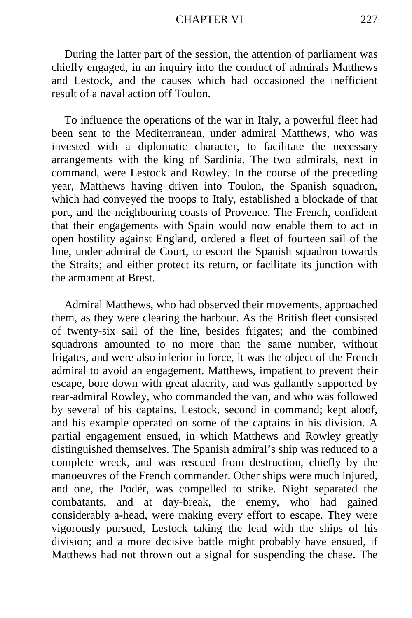During the latter part of the session, the attention of parliament was chiefly engaged, in an inquiry into the conduct of admirals Matthews and Lestock, and the causes which had occasioned the inefficient result of a naval action off Toulon.

To influence the operations of the war in Italy, a powerful fleet had been sent to the Mediterranean, under admiral Matthews, who was invested with a diplomatic character, to facilitate the necessary arrangements with the king of Sardinia. The two admirals, next in command, were Lestock and Rowley. In the course of the preceding year, Matthews having driven into Toulon, the Spanish squadron, which had conveyed the troops to Italy, established a blockade of that port, and the neighbouring coasts of Provence. The French, confident that their engagements with Spain would now enable them to act in open hostility against England, ordered a fleet of fourteen sail of the line, under admiral de Court, to escort the Spanish squadron towards the Straits; and either protect its return, or facilitate its junction with the armament at Brest.

Admiral Matthews, who had observed their movements, approached them, as they were clearing the harbour. As the British fleet consisted of twenty-six sail of the line, besides frigates; and the combined squadrons amounted to no more than the same number, without frigates, and were also inferior in force, it was the object of the French admiral to avoid an engagement. Matthews, impatient to prevent their escape, bore down with great alacrity, and was gallantly supported by rear-admiral Rowley, who commanded the van, and who was followed by several of his captains. Lestock, second in command; kept aloof, and his example operated on some of the captains in his division. A partial engagement ensued, in which Matthews and Rowley greatly distinguished themselves. The Spanish admiral's ship was reduced to a complete wreck, and was rescued from destruction, chiefly by the manoeuvres of the French commander. Other ships were much injured, and one, the Podér, was compelled to strike. Night separated the combatants, and at day-break, the enemy, who had gained considerably a-head, were making every effort to escape. They were vigorously pursued, Lestock taking the lead with the ships of his division; and a more decisive battle might probably have ensued, if Matthews had not thrown out a signal for suspending the chase. The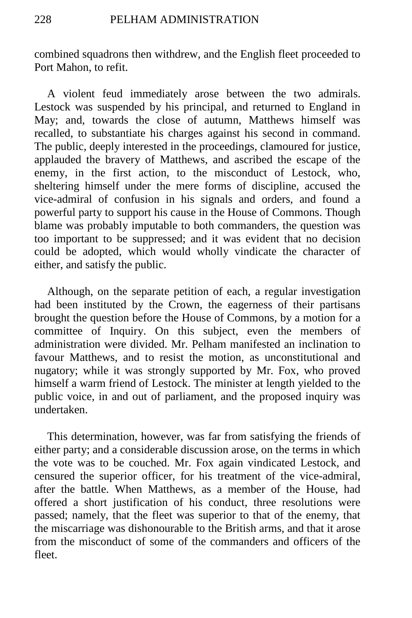combined squadrons then withdrew, and the English fleet proceeded to Port Mahon, to refit.

A violent feud immediately arose between the two admirals. Lestock was suspended by his principal, and returned to England in May; and, towards the close of autumn, Matthews himself was recalled, to substantiate his charges against his second in command. The public, deeply interested in the proceedings, clamoured for justice, applauded the bravery of Matthews, and ascribed the escape of the enemy, in the first action, to the misconduct of Lestock, who, sheltering himself under the mere forms of discipline, accused the vice-admiral of confusion in his signals and orders, and found a powerful party to support his cause in the House of Commons. Though blame was probably imputable to both commanders, the question was too important to be suppressed; and it was evident that no decision could be adopted, which would wholly vindicate the character of either, and satisfy the public.

Although, on the separate petition of each, a regular investigation had been instituted by the Crown, the eagerness of their partisans brought the question before the House of Commons, by a motion for a committee of Inquiry. On this subject, even the members of administration were divided. Mr. Pelham manifested an inclination to favour Matthews, and to resist the motion, as unconstitutional and nugatory; while it was strongly supported by Mr. Fox, who proved himself a warm friend of Lestock. The minister at length yielded to the public voice, in and out of parliament, and the proposed inquiry was undertaken.

This determination, however, was far from satisfying the friends of either party; and a considerable discussion arose, on the terms in which the vote was to be couched. Mr. Fox again vindicated Lestock, and censured the superior officer, for his treatment of the vice-admiral, after the battle. When Matthews, as a member of the House, had offered a short justification of his conduct, three resolutions were passed; namely, that the fleet was superior to that of the enemy, that the miscarriage was dishonourable to the British arms, and that it arose from the misconduct of some of the commanders and officers of the fleet.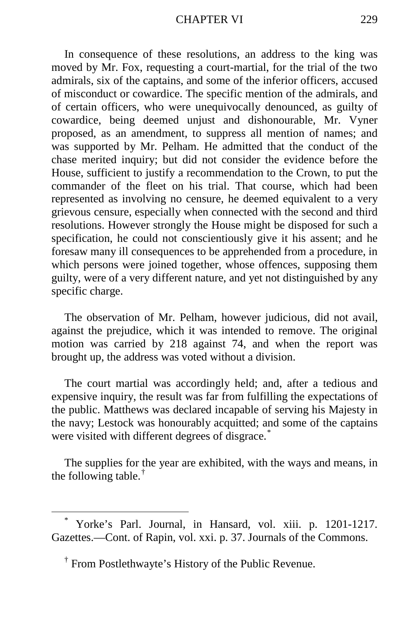In consequence of these resolutions, an address to the king was moved by Mr. Fox, requesting a court-martial, for the trial of the two admirals, six of the captains, and some of the inferior officers, accused of misconduct or cowardice. The specific mention of the admirals, and of certain officers, who were unequivocally denounced, as guilty of cowardice, being deemed unjust and dishonourable, Mr. Vyner proposed, as an amendment, to suppress all mention of names; and was supported by Mr. Pelham. He admitted that the conduct of the chase merited inquiry; but did not consider the evidence before the House, sufficient to justify a recommendation to the Crown, to put the commander of the fleet on his trial. That course, which had been represented as involving no censure, he deemed equivalent to a very grievous censure, especially when connected with the second and third resolutions. However strongly the House might be disposed for such a specification, he could not conscientiously give it his assent; and he foresaw many ill consequences to be apprehended from a procedure, in which persons were joined together, whose offences, supposing them guilty, were of a very different nature, and yet not distinguished by any specific charge.

The observation of Mr. Pelham, however judicious, did not avail, against the prejudice, which it was intended to remove. The original motion was carried by 218 against 74, and when the report was brought up, the address was voted without a division.

The court martial was accordingly held; and, after a tedious and expensive inquiry, the result was far from fulfilling the expectations of the public. Matthews was declared incapable of serving his Majesty in the navy; Lestock was honourably acquitted; and some of the captains were visited with different degrees of disgrace.<sup>[\\*](#page-40-0)</sup>

The supplies for the year are exhibited, with the ways and means, in the following table. $^{\dagger}$ 

<span id="page-40-0"></span>Yorke's Parl. Journal, in Hansard, vol. xiii. p. 1201-1217. Gazettes.—Cont. of Rapin, vol. xxi. p. 37. Journals of the Commons.

<span id="page-40-1"></span><sup>†</sup> From Postlethwayte's History of the Public Revenue.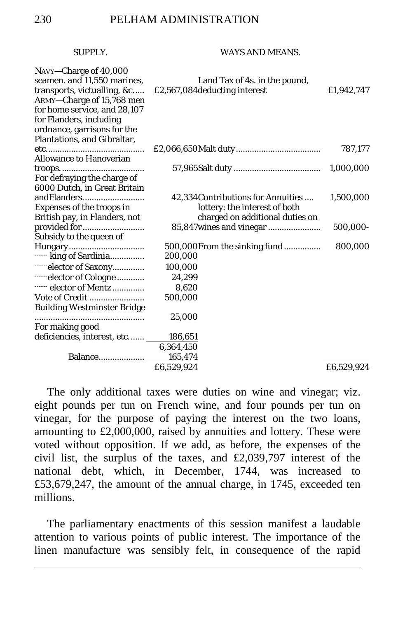## SUPPLY WAYS AND MEANS

| NAVY-Charge of 40,000<br>seamen. and 11,550 marines,<br>transports, victualling, &c<br>ARMY-Charge of 15,768 men<br>for home service, and 28,107<br>for Flanders, including<br>ordnance, garrisons for the<br>Plantations, and Gibraltar, | Land Tax of 4s. in the pound,<br>£2,567,084 deducting interest                                         | £1,942,747 |
|-------------------------------------------------------------------------------------------------------------------------------------------------------------------------------------------------------------------------------------------|--------------------------------------------------------------------------------------------------------|------------|
| <b>Allowance to Hanoverian</b>                                                                                                                                                                                                            |                                                                                                        | 787,177    |
| For defraying the charge of<br>6000 Dutch, in Great Britain                                                                                                                                                                               |                                                                                                        | 1,000,000  |
| andFlanders<br>Expenses of the troops in<br>British pay, in Flanders, not                                                                                                                                                                 | 42,334 Contributions for Annuities<br>lottery: the interest of both<br>charged on additional duties on | 1,500,000  |
| provided for<br>Subsidy to the queen of                                                                                                                                                                                                   | 85,847 wines and vinegar                                                                               | 500,000-   |
| ----- king of Sardinia                                                                                                                                                                                                                    | 500,000 From the sinking fund<br>200,000                                                               | 800,000    |
| -----elector of Saxony                                                                                                                                                                                                                    | 100,000                                                                                                |            |
| ------elector of Cologne<br>elector of Mentz                                                                                                                                                                                              | 24,299<br>8,620                                                                                        |            |
| Vote of Credit                                                                                                                                                                                                                            | 500,000                                                                                                |            |
| <b>Building Westminster Bridge</b>                                                                                                                                                                                                        |                                                                                                        |            |
| .                                                                                                                                                                                                                                         | 25,000                                                                                                 |            |
| For making good                                                                                                                                                                                                                           |                                                                                                        |            |
| deficiencies, interest, etc                                                                                                                                                                                                               | 186,651                                                                                                |            |
|                                                                                                                                                                                                                                           | 6,364,450                                                                                              |            |
| Balance                                                                                                                                                                                                                                   | 165,474                                                                                                |            |
|                                                                                                                                                                                                                                           | £6.529.924                                                                                             | £6.529.924 |

The only additional taxes were duties on wine and vinegar; viz. eight pounds per tun on French wine, and four pounds per tun on vinegar, for the purpose of paying the interest on the two loans, amounting to £2,000,000, raised by annuities and lottery. These were voted without opposition. If we add, as before, the expenses of the civil list, the surplus of the taxes, and £2,039,797 interest of the national debt, which, in December, 1744, was increased to £53,679,247, the amount of the annual charge, in 1745, exceeded ten millions.

The parliamentary enactments of this session manifest a laudable attention to various points of public interest. The importance of the linen manufacture was sensibly felt, in consequence of the rapid

 $\overline{a}$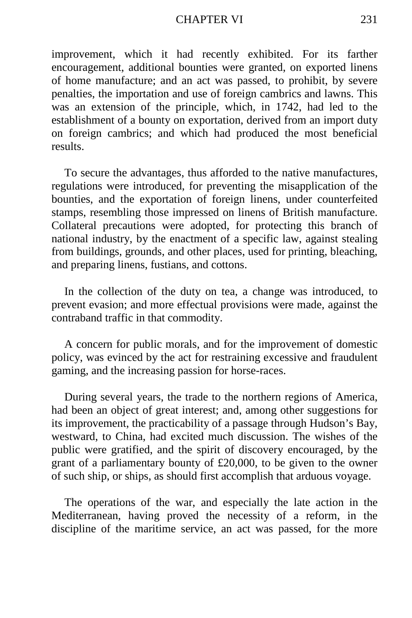#### CHAPTER VI 231

improvement, which it had recently exhibited. For its farther encouragement, additional bounties were granted, on exported linens of home manufacture; and an act was passed, to prohibit, by severe penalties, the importation and use of foreign cambrics and lawns. This was an extension of the principle, which, in 1742, had led to the establishment of a bounty on exportation, derived from an import duty on foreign cambrics; and which had produced the most beneficial results.

To secure the advantages, thus afforded to the native manufactures, regulations were introduced, for preventing the misapplication of the bounties, and the exportation of foreign linens, under counterfeited stamps, resembling those impressed on linens of British manufacture. Collateral precautions were adopted, for protecting this branch of national industry, by the enactment of a specific law, against stealing from buildings, grounds, and other places, used for printing, bleaching, and preparing linens, fustians, and cottons.

In the collection of the duty on tea, a change was introduced, to prevent evasion; and more effectual provisions were made, against the contraband traffic in that commodity.

A concern for public morals, and for the improvement of domestic policy, was evinced by the act for restraining excessive and fraudulent gaming, and the increasing passion for horse-races.

During several years, the trade to the northern regions of America, had been an object of great interest; and, among other suggestions for its improvement, the practicability of a passage through Hudson's Bay, westward, to China, had excited much discussion. The wishes of the public were gratified, and the spirit of discovery encouraged, by the grant of a parliamentary bounty of £20,000, to be given to the owner of such ship, or ships, as should first accomplish that arduous voyage.

The operations of the war, and especially the late action in the Mediterranean, having proved the necessity of a reform, in the discipline of the maritime service, an act was passed, for the more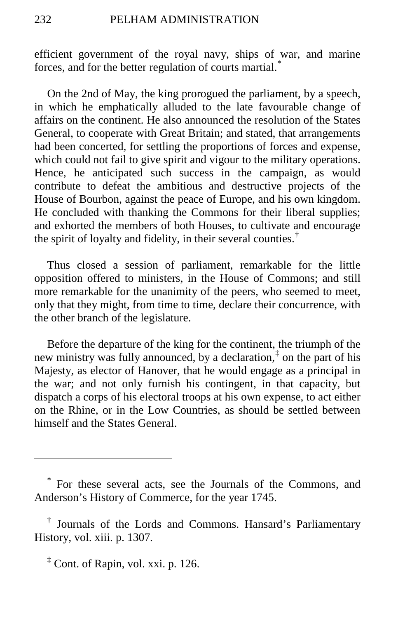efficient government of the royal navy, ships of war, and marine forces, and for the better regulation of courts martial.[\\*](#page-43-0)

On the 2nd of May, the king prorogued the parliament, by a speech, in which he emphatically alluded to the late favourable change of affairs on the continent. He also announced the resolution of the States General, to cooperate with Great Britain; and stated, that arrangements had been concerted, for settling the proportions of forces and expense, which could not fail to give spirit and vigour to the military operations. Hence, he anticipated such success in the campaign, as would contribute to defeat the ambitious and destructive projects of the House of Bourbon, against the peace of Europe, and his own kingdom. He concluded with thanking the Commons for their liberal supplies; and exhorted the members of both Houses, to cultivate and encourage the spirit of loyalty and fidelity, in their several counties.<sup>[†](#page-43-1)</sup>

Thus closed a session of parliament, remarkable for the little opposition offered to ministers, in the House of Commons; and still more remarkable for the unanimity of the peers, who seemed to meet, only that they might, from time to time, declare their concurrence, with the other branch of the legislature.

Before the departure of the king for the continent, the triumph of the new ministry was fully announced, by a declaration, $\frac{1}{x}$  on the part of his Majesty, as elector of Hanover, that he would engage as a principal in the war; and not only furnish his contingent, in that capacity, but dispatch a corps of his electoral troops at his own expense, to act either on the Rhine, or in the Low Countries, as should be settled between himself and the States General.

<span id="page-43-2"></span> $\frac{1}{2}$  Cont. of Rapin, vol. xxi. p. 126.

 $\overline{a}$ 

<span id="page-43-0"></span><sup>\*</sup> For these several acts, see the Journals of the Commons, and Anderson's History of Commerce, for the year 1745.

<span id="page-43-1"></span><sup>†</sup> Journals of the Lords and Commons. Hansard's Parliamentary History, vol. xiii. p. 1307.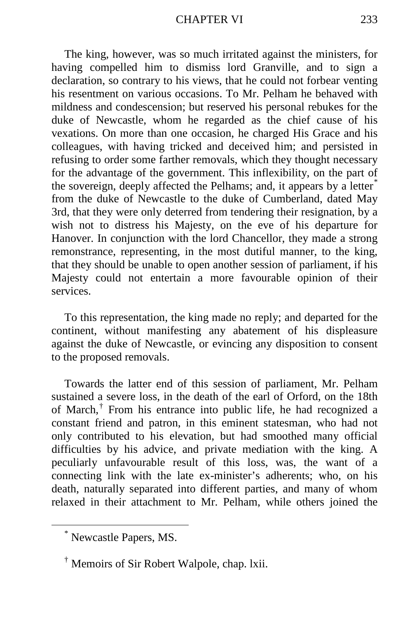The king, however, was so much irritated against the ministers, for having compelled him to dismiss lord Granville, and to sign a declaration, so contrary to his views, that he could not forbear venting his resentment on various occasions. To Mr. Pelham he behaved with mildness and condescension; but reserved his personal rebukes for the duke of Newcastle, whom he regarded as the chief cause of his vexations. On more than one occasion, he charged His Grace and his colleagues, with having tricked and deceived him; and persisted in refusing to order some farther removals, which they thought necessary for the advantage of the government. This inflexibility, on the part of the sovereign, deeply affected the Pelhams; and, it appears by a letter<sup>[\\*](#page-44-0)</sup> from the duke of Newcastle to the duke of Cumberland, dated May 3rd, that they were only deterred from tendering their resignation, by a wish not to distress his Majesty, on the eve of his departure for Hanover. In conjunction with the lord Chancellor, they made a strong remonstrance, representing, in the most dutiful manner, to the king, that they should be unable to open another session of parliament, if his Majesty could not entertain a more favourable opinion of their services.

To this representation, the king made no reply; and departed for the continent, without manifesting any abatement of his displeasure against the duke of Newcastle, or evincing any disposition to consent to the proposed removals.

Towards the latter end of this session of parliament, Mr. Pelham sustained a severe loss, in the death of the earl of Orford, on the 18th of March,[†](#page-44-1) From his entrance into public life, he had recognized a constant friend and patron, in this eminent statesman, who had not only contributed to his elevation, but had smoothed many official difficulties by his advice, and private mediation with the king. A peculiarly unfavourable result of this loss, was, the want of a connecting link with the late ex-minister's adherents; who, on his death, naturally separated into different parties, and many of whom relaxed in their attachment to Mr. Pelham, while others joined the

<span id="page-44-0"></span> <sup>\*</sup> Newcastle Papers, MS.

<span id="page-44-1"></span><sup>†</sup> Memoirs of Sir Robert Walpole, chap. lxii.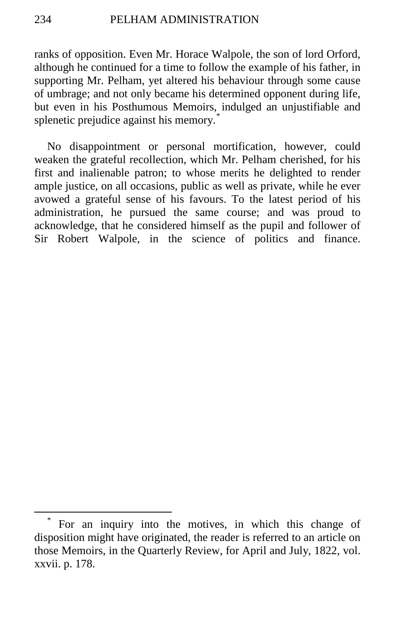ranks of opposition. Even Mr. Horace Walpole, the son of lord Orford, although he continued for a time to follow the example of his father, in supporting Mr. Pelham, yet altered his behaviour through some cause of umbrage; and not only became his determined opponent during life, but even in his Posthumous Memoirs, indulged an unjustifiable and splenetic prejudice against his memory.<sup>1</sup>

No disappointment or personal mortification, however, could weaken the grateful recollection, which Mr. Pelham cherished, for his first and inalienable patron; to whose merits he delighted to render ample justice, on all occasions, public as well as private, while he ever avowed a grateful sense of his favours. To the latest period of his administration, he pursued the same course; and was proud to acknowledge, that he considered himself as the pupil and follower of Sir Robert Walpole, in the science of politics and finance.

<span id="page-45-0"></span>For an inquiry into the motives, in which this change of disposition might have originated, the reader is referred to an article on those Memoirs, in the Quarterly Review, for April and July, 1822, vol. xxvii. p. 178.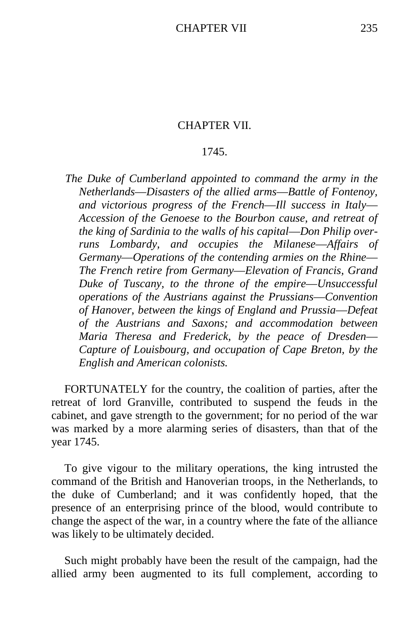## CHAPTER VII.

# 1745.

*The Duke of Cumberland appointed to command the army in the Netherlands*—*Disasters of the allied arms*—*Battle of Fontenoy, and victorious progress of the French*—*Ill success in Italy*— *Accession of the Genoese to the Bourbon cause, and retreat of the king of Sardinia to the walls of his capital*—*Don Philip overruns Lombardy, and occupies the Milanese*—*Affairs of Germany*—*Operations of the contending armies on the Rhine*— *The French retire from Germany*—*Elevation of Francis, Grand Duke of Tuscany, to the throne of the empire*—*Unsuccessful operations of the Austrians against the Prussians*—*Convention of Hanover, between the kings of England and Prussia*—*Defeat of the Austrians and Saxons; and accommodation between Maria Theresa and Frederick, by the peace of Dresden*— *Capture of Louisbourg, and occupation of Cape Breton, by the English and American colonists.*

FORTUNATELY for the country, the coalition of parties, after the retreat of lord Granville, contributed to suspend the feuds in the cabinet, and gave strength to the government; for no period of the war was marked by a more alarming series of disasters, than that of the year 1745.

To give vigour to the military operations, the king intrusted the command of the British and Hanoverian troops, in the Netherlands, to the duke of Cumberland; and it was confidently hoped, that the presence of an enterprising prince of the blood, would contribute to change the aspect of the war, in a country where the fate of the alliance was likely to be ultimately decided.

Such might probably have been the result of the campaign, had the allied army been augmented to its full complement, according to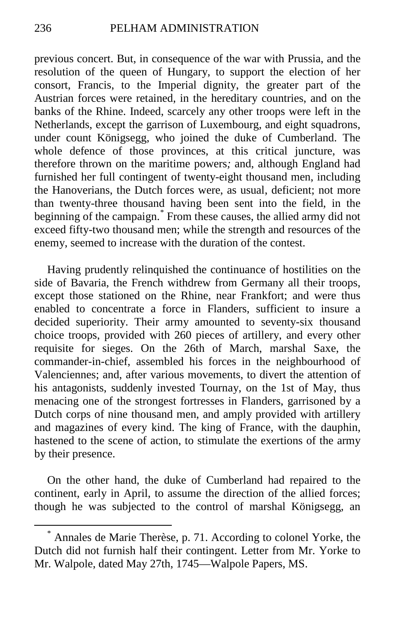previous concert. But, in consequence of the war with Prussia, and the resolution of the queen of Hungary, to support the election of her consort, Francis, to the Imperial dignity, the greater part of the Austrian forces were retained, in the hereditary countries, and on the banks of the Rhine. Indeed, scarcely any other troops were left in the Netherlands, except the garrison of Luxembourg, and eight squadrons, under count Königsegg, who joined the duke of Cumberland. The whole defence of those provinces, at this critical juncture, was therefore thrown on the maritime powers*;* and, although England had furnished her full contingent of twenty-eight thousand men, including the Hanoverians, the Dutch forces were, as usual, deficient; not more than twenty-three thousand having been sent into the field, in the beginning of the campaign.<sup>[\\*](#page-47-0)</sup> From these causes, the allied army did not exceed fifty-two thousand men; while the strength and resources of the enemy, seemed to increase with the duration of the contest.

Having prudently relinquished the continuance of hostilities on the side of Bavaria, the French withdrew from Germany all their troops, except those stationed on the Rhine, near Frankfort; and were thus enabled to concentrate a force in Flanders, sufficient to insure a decided superiority. Their army amounted to seventy-six thousand choice troops, provided with 260 pieces of artillery, and every other requisite for sieges. On the 26th of March, marshal Saxe, the commander-in-chief, assembled his forces in the neighbourhood of Valenciennes; and, after various movements, to divert the attention of his antagonists, suddenly invested Tournay, on the 1st of May, thus menacing one of the strongest fortresses in Flanders, garrisoned by a Dutch corps of nine thousand men, and amply provided with artillery and magazines of every kind. The king of France, with the dauphin, hastened to the scene of action, to stimulate the exertions of the army by their presence.

On the other hand, the duke of Cumberland had repaired to the continent, early in April, to assume the direction of the allied forces; though he was subjected to the control of marshal Königsegg, an

<span id="page-47-0"></span> <sup>\*</sup> Annales de Marie Therèse, p. 71. According to colonel Yorke, the Dutch did not furnish half their contingent. Letter from Mr. Yorke to Mr. Walpole, dated May 27th, 1745—Walpole Papers, MS.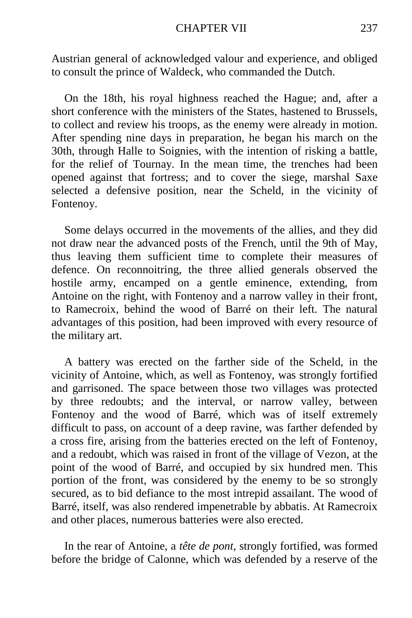Austrian general of acknowledged valour and experience, and obliged to consult the prince of Waldeck, who commanded the Dutch.

On the 18th, his royal highness reached the Hague; and, after a short conference with the ministers of the States, hastened to Brussels, to collect and review his troops, as the enemy were already in motion. After spending nine days in preparation, he began his march on the 30th, through Halle to Soignies, with the intention of risking a battle, for the relief of Tournay. In the mean time, the trenches had been opened against that fortress; and to cover the siege, marshal Saxe selected a defensive position, near the Scheld, in the vicinity of Fontenoy.

Some delays occurred in the movements of the allies, and they did not draw near the advanced posts of the French, until the 9th of May, thus leaving them sufficient time to complete their measures of defence. On reconnoitring, the three allied generals observed the hostile army, encamped on a gentle eminence, extending, from Antoine on the right, with Fontenoy and a narrow valley in their front, to Ramecroix, behind the wood of Barré on their left. The natural advantages of this position, had been improved with every resource of the military art.

A battery was erected on the farther side of the Scheld, in the vicinity of Antoine, which, as well as Fontenoy, was strongly fortified and garrisoned. The space between those two villages was protected by three redoubts; and the interval, or narrow valley, between Fontenoy and the wood of Barré, which was of itself extremely difficult to pass, on account of a deep ravine, was farther defended by a cross fire, arising from the batteries erected on the left of Fontenoy, and a redoubt, which was raised in front of the village of Vezon, at the point of the wood of Barré, and occupied by six hundred men. This portion of the front, was considered by the enemy to be so strongly secured, as to bid defiance to the most intrepid assailant. The wood of Barré, itself, was also rendered impenetrable by abbatis. At Ramecroix and other places, numerous batteries were also erected.

In the rear of Antoine, a *tête de pont,* strongly fortified, was formed before the bridge of Calonne, which was defended by a reserve of the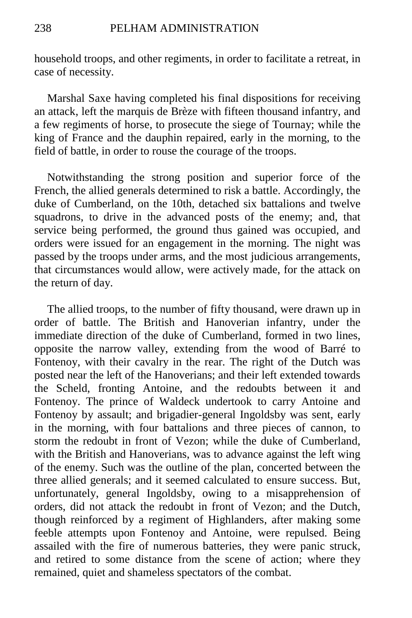household troops, and other regiments, in order to facilitate a retreat, in case of necessity.

Marshal Saxe having completed his final dispositions for receiving an attack, left the marquis de Brèze with fifteen thousand infantry, and a few regiments of horse, to prosecute the siege of Tournay; while the king of France and the dauphin repaired, early in the morning, to the field of battle, in order to rouse the courage of the troops.

Notwithstanding the strong position and superior force of the French, the allied generals determined to risk a battle. Accordingly, the duke of Cumberland, on the 10th, detached six battalions and twelve squadrons, to drive in the advanced posts of the enemy; and, that service being performed, the ground thus gained was occupied, and orders were issued for an engagement in the morning. The night was passed by the troops under arms, and the most judicious arrangements, that circumstances would allow, were actively made, for the attack on the return of day.

The allied troops, to the number of fifty thousand, were drawn up in order of battle. The British and Hanoverian infantry, under the immediate direction of the duke of Cumberland, formed in two lines, opposite the narrow valley, extending from the wood of Barré to Fontenoy, with their cavalry in the rear. The right of the Dutch was posted near the left of the Hanoverians; and their left extended towards the Scheld, fronting Antoine, and the redoubts between it and Fontenoy. The prince of Waldeck undertook to carry Antoine and Fontenoy by assault; and brigadier-general Ingoldsby was sent, early in the morning, with four battalions and three pieces of cannon, to storm the redoubt in front of Vezon; while the duke of Cumberland, with the British and Hanoverians, was to advance against the left wing of the enemy. Such was the outline of the plan, concerted between the three allied generals; and it seemed calculated to ensure success. But, unfortunately, general Ingoldsby, owing to a misapprehension of orders, did not attack the redoubt in front of Vezon; and the Dutch, though reinforced by a regiment of Highlanders, after making some feeble attempts upon Fontenoy and Antoine, were repulsed. Being assailed with the fire of numerous batteries, they were panic struck, and retired to some distance from the scene of action; where they remained, quiet and shameless spectators of the combat.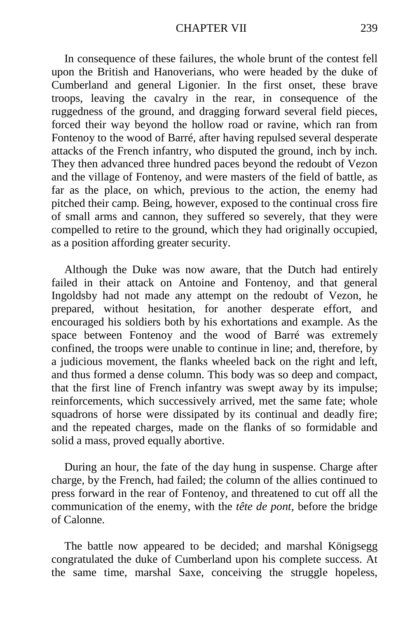In consequence of these failures, the whole brunt of the contest fell upon the British and Hanoverians, who were headed by the duke of Cumberland and general Ligonier. In the first onset, these brave troops, leaving the cavalry in the rear, in consequence of the ruggedness of the ground, and dragging forward several field pieces, forced their way beyond the hollow road or ravine, which ran from Fontenoy to the wood of Barré, after having repulsed several desperate attacks of the French infantry, who disputed the ground, inch by inch. They then advanced three hundred paces beyond the redoubt of Vezon and the village of Fontenoy, and were masters of the field of battle, as far as the place, on which, previous to the action, the enemy had pitched their camp. Being, however, exposed to the continual cross fire of small arms and cannon, they suffered so severely, that they were compelled to retire to the ground, which they had originally occupied, as a position affording greater security.

Although the Duke was now aware, that the Dutch had entirely failed in their attack on Antoine and Fontenoy, and that general Ingoldsby had not made any attempt on the redoubt of Vezon, he prepared, without hesitation, for another desperate effort, and encouraged his soldiers both by his exhortations and example. As the space between Fontenoy and the wood of Barré was extremely confined, the troops were unable to continue in line; and, therefore, by a judicious movement, the flanks wheeled back on the right and left, and thus formed a dense column. This body was so deep and compact, that the first line of French infantry was swept away by its impulse; reinforcements, which successively arrived, met the same fate; whole squadrons of horse were dissipated by its continual and deadly fire; and the repeated charges, made on the flanks of so formidable and solid a mass, proved equally abortive.

During an hour, the fate of the day hung in suspense. Charge after charge, by the French, had failed; the column of the allies continued to press forward in the rear of Fontenoy, and threatened to cut off all the communication of the enemy, with the *tête de pont,* before the bridge of Calonne.

The battle now appeared to be decided; and marshal Königsegg congratulated the duke of Cumberland upon his complete success. At the same time, marshal Saxe, conceiving the struggle hopeless,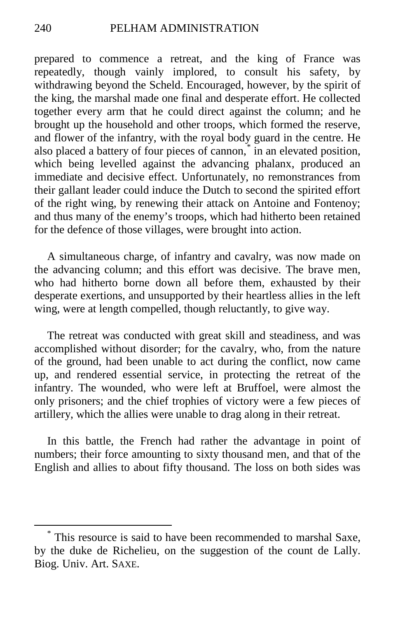prepared to commence a retreat, and the king of France was repeatedly, though vainly implored, to consult his safety, by withdrawing beyond the Scheld. Encouraged, however, by the spirit of the king, the marshal made one final and desperate effort. He collected together every arm that he could direct against the column; and he brought up the household and other troops, which formed the reserve, and flower of the infantry, with the royal body guard in the centre. He also placed a battery of four pieces of cannon,<sup>[\\*](#page-51-0)</sup> in an elevated position, which being levelled against the advancing phalanx, produced an immediate and decisive effect. Unfortunately, no remonstrances from their gallant leader could induce the Dutch to second the spirited effort of the right wing, by renewing their attack on Antoine and Fontenoy; and thus many of the enemy's troops, which had hitherto been retained for the defence of those villages, were brought into action.

A simultaneous charge, of infantry and cavalry, was now made on the advancing column; and this effort was decisive. The brave men, who had hitherto borne down all before them, exhausted by their desperate exertions, and unsupported by their heartless allies in the left wing, were at length compelled, though reluctantly, to give way.

The retreat was conducted with great skill and steadiness, and was accomplished without disorder; for the cavalry, who, from the nature of the ground, had been unable to act during the conflict, now came up, and rendered essential service, in protecting the retreat of the infantry. The wounded, who were left at Bruffoel, were almost the only prisoners; and the chief trophies of victory were a few pieces of artillery, which the allies were unable to drag along in their retreat.

In this battle, the French had rather the advantage in point of numbers; their force amounting to sixty thousand men, and that of the English and allies to about fifty thousand. The loss on both sides was

<span id="page-51-0"></span> <sup>\*</sup> This resource is said to have been recommended to marshal Saxe, by the duke de Richelieu, on the suggestion of the count de Lally. Biog. Univ. Art. SAXE.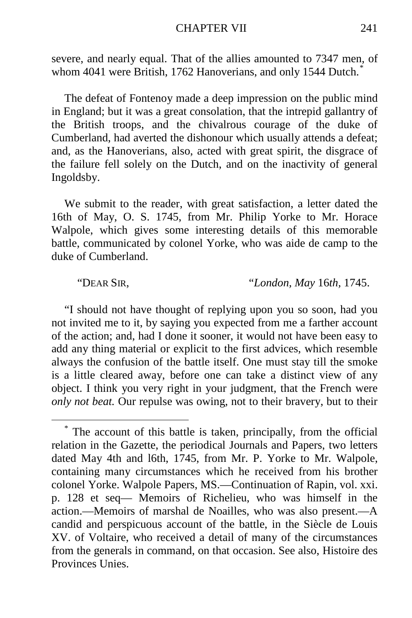#### CHAPTER VII 241

severe, and nearly equal. That of the allies amounted to 7347 men, of whom 4041 were British, 1762 Hanoverians, and only 1544 Dutch.<sup>†</sup>

The defeat of Fontenoy made a deep impression on the public mind in England; but it was a great consolation, that the intrepid gallantry of the British troops, and the chivalrous courage of the duke of Cumberland, had averted the dishonour which usually attends a defeat; and, as the Hanoverians, also, acted with great spirit, the disgrace of the failure fell solely on the Dutch, and on the inactivity of general Ingoldsby.

We submit to the reader, with great satisfaction, a letter dated the 16th of May, O. S. 1745, from Mr. Philip Yorke to Mr. Horace Walpole, which gives some interesting details of this memorable battle, communicated by colonel Yorke, who was aide de camp to the duke of Cumberland.

"DEAR SIR, "*London, May* 16*th,* 1745.

"I should not have thought of replying upon you so soon, had you not invited me to it, by saying you expected from me a farther account of the action; and, had I done it sooner, it would not have been easy to add any thing material or explicit to the first advices, which resemble always the confusion of the battle itself. One must stay till the smoke is a little cleared away, before one can take a distinct view of any object. I think you very right in your judgment, that the French were *only not beat.* Our repulse was owing, not to their bravery, but to their

<span id="page-52-0"></span>The account of this battle is taken, principally, from the official relation in the Gazette, the periodical Journals and Papers, two letters dated May 4th and l6th, 1745, from Mr. P. Yorke to Mr. Walpole, containing many circumstances which he received from his brother colonel Yorke. Walpole Papers, MS.—Continuation of Rapin, vol. xxi. p. 128 et seq— Memoirs of Richelieu, who was himself in the action.—Memoirs of marshal de Noailles, who was also present.—A candid and perspicuous account of the battle, in the Siècle de Louis XV. of Voltaire, who received a detail of many of the circumstances from the generals in command, on that occasion. See also, Histoire des Provinces Unies.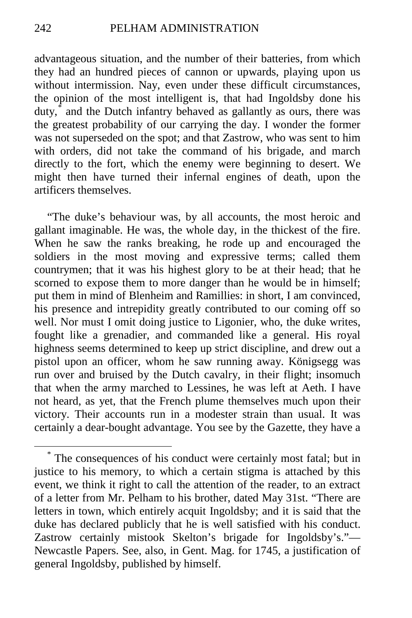advantageous situation, and the number of their batteries, from which they had an hundred pieces of cannon or upwards, playing upon us without intermission. Nay, even under these difficult circumstances, the opinion of the most intelligent is, that had Ingoldsby done his duty,[\\*](#page-53-0) and the Dutch infantry behaved as gallantly as ours, there was the greatest probability of our carrying the day. I wonder the former was not superseded on the spot; and that Zastrow, who was sent to him with orders, did not take the command of his brigade, and march directly to the fort, which the enemy were beginning to desert. We might then have turned their infernal engines of death, upon the artificers themselves.

"The duke's behaviour was, by all accounts, the most heroic and gallant imaginable. He was, the whole day, in the thickest of the fire. When he saw the ranks breaking, he rode up and encouraged the soldiers in the most moving and expressive terms; called them countrymen; that it was his highest glory to be at their head; that he scorned to expose them to more danger than he would be in himself; put them in mind of Blenheim and Ramillies: in short, I am convinced, his presence and intrepidity greatly contributed to our coming off so well. Nor must I omit doing justice to Ligonier, who, the duke writes, fought like a grenadier, and commanded like a general. His royal highness seems determined to keep up strict discipline, and drew out a pistol upon an officer, whom he saw running away. Königsegg was run over and bruised by the Dutch cavalry, in their flight; insomuch that when the army marched to Lessines, he was left at Aeth. I have not heard, as yet, that the French plume themselves much upon their victory. Their accounts run in a modester strain than usual. It was certainly a dear-bought advantage. You see by the Gazette, they have a

<span id="page-53-0"></span>The consequences of his conduct were certainly most fatal; but in justice to his memory, to which a certain stigma is attached by this event, we think it right to call the attention of the reader, to an extract of a letter from Mr. Pelham to his brother, dated May 31st. "There are letters in town, which entirely acquit Ingoldsby; and it is said that the duke has declared publicly that he is well satisfied with his conduct. Zastrow certainly mistook Skelton's brigade for Ingoldsby's."— Newcastle Papers. See, also, in Gent. Mag. for 1745, a justification of general Ingoldsby, published by himself.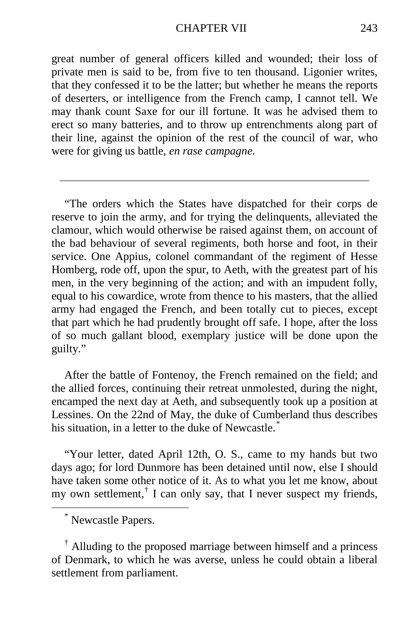great number of general officers killed and wounded; their loss of private men is said to be, from five to ten thousand. Ligonier writes, that they confessed it to be the latter; but whether he means the reports of deserters, or intelligence from the French camp, I cannot tell. We may thank count Saxe for our ill fortune. It was he advised them to erect so many batteries, and to throw up entrenchments along part of their line, against the opinion of the rest of the council of war, who were for giving us battle, *en rase campagne.*

"The orders which the States have dispatched for their corps de reserve to join the army, and for trying the delinquents, alleviated the clamour, which would otherwise be raised against them, on account of the bad behaviour of several regiments, both horse and foot, in their service. One Appius, colonel commandant of the regiment of Hesse Homberg, rode off, upon the spur, to Aeth, with the greatest part of his men, in the very beginning of the action; and with an impudent folly, equal to his cowardice, wrote from thence to his masters, that the allied army had engaged the French, and been totally cut to pieces, except that part which he had prudently brought off safe. I hope, after the loss of so much gallant blood, exemplary justice will be done upon the guilty."

After the battle of Fontenoy, the French remained on the field; and the allied forces, continuing their retreat unmolested, during the night, encamped the next day at Aeth, and subsequently took up a position at Lessines. On the 22nd of May, the duke of Cumberland thus describes his situation, in a letter to the duke of Newcastle.<sup>[\\*](#page-54-0)</sup>

"Your letter, dated April 12th, O. S., came to my hands but two days ago; for lord Dunmore has been detained until now, else I should have taken some other notice of it. As to what you let me know, about my own settlement,<sup> $\dagger$ </sup> I can only say, that I never suspect my friends,

\* Newcastle Papers.

<span id="page-54-1"></span><span id="page-54-0"></span>† Alluding to the proposed marriage between himself and a princess of Denmark, to which he was averse, unless he could obtain a liberal settlement from parliament.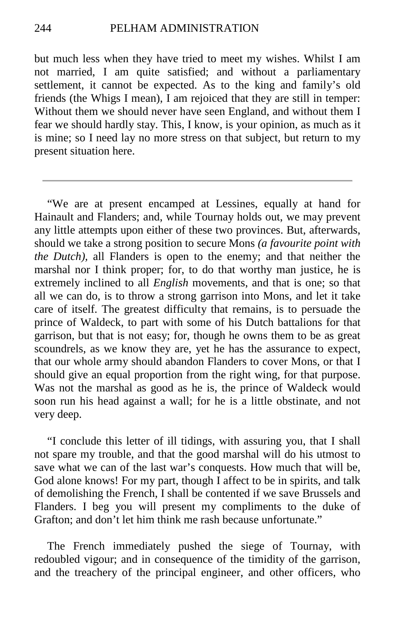but much less when they have tried to meet my wishes. Whilst I am not married, I am quite satisfied; and without a parliamentary settlement, it cannot be expected. As to the king and family's old friends (the Whigs I mean), I am rejoiced that they are still in temper: Without them we should never have seen England, and without them I fear we should hardly stay. This, I know, is your opinion, as much as it is mine; so I need lay no more stress on that subject, but return to my present situation here.

"We are at present encamped at Lessines, equally at hand for Hainault and Flanders; and, while Tournay holds out, we may prevent any little attempts upon either of these two provinces. But, afterwards, should we take a strong position to secure Mons *(a favourite point with the Dutch),* all Flanders is open to the enemy; and that neither the marshal nor I think proper; for, to do that worthy man justice, he is extremely inclined to all *English* movements, and that is one; so that all we can do, is to throw a strong garrison into Mons, and let it take care of itself. The greatest difficulty that remains, is to persuade the prince of Waldeck, to part with some of his Dutch battalions for that garrison, but that is not easy; for, though he owns them to be as great scoundrels, as we know they are, yet he has the assurance to expect, that our whole army should abandon Flanders to cover Mons, or that I should give an equal proportion from the right wing, for that purpose. Was not the marshal as good as he is, the prince of Waldeck would soon run his head against a wall; for he is a little obstinate, and not very deep.

"I conclude this letter of ill tidings, with assuring you, that I shall not spare my trouble, and that the good marshal will do his utmost to save what we can of the last war's conquests. How much that will be, God alone knows! For my part, though I affect to be in spirits, and talk of demolishing the French, I shall be contented if we save Brussels and Flanders. I beg you will present my compliments to the duke of Grafton; and don't let him think me rash because unfortunate."

The French immediately pushed the siege of Tournay, with redoubled vigour; and in consequence of the timidity of the garrison, and the treachery of the principal engineer, and other officers, who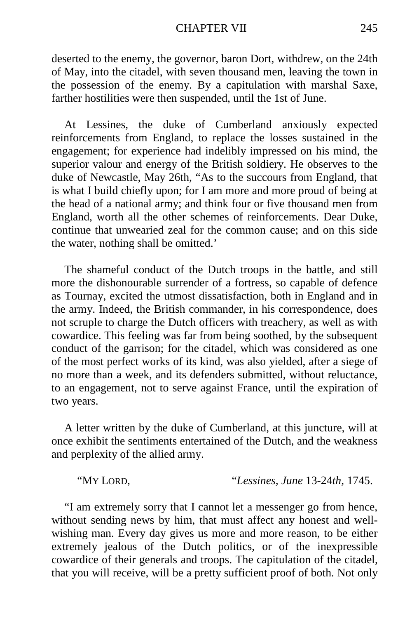#### CHAPTER VII 245

deserted to the enemy, the governor, baron Dort, withdrew, on the 24th of May, into the citadel, with seven thousand men, leaving the town in the possession of the enemy. By a capitulation with marshal Saxe, farther hostilities were then suspended, until the 1st of June.

At Lessines, the duke of Cumberland anxiously expected reinforcements from England, to replace the losses sustained in the engagement; for experience had indelibly impressed on his mind, the superior valour and energy of the British soldiery. He observes to the duke of Newcastle, May 26th, "As to the succours from England, that is what I build chiefly upon; for I am more and more proud of being at the head of a national army; and think four or five thousand men from England, worth all the other schemes of reinforcements. Dear Duke, continue that unwearied zeal for the common cause; and on this side the water, nothing shall be omitted.'

The shameful conduct of the Dutch troops in the battle, and still more the dishonourable surrender of a fortress, so capable of defence as Tournay, excited the utmost dissatisfaction, both in England and in the army. Indeed, the British commander, in his correspondence, does not scruple to charge the Dutch officers with treachery, as well as with cowardice. This feeling was far from being soothed, by the subsequent conduct of the garrison; for the citadel, which was considered as one of the most perfect works of its kind, was also yielded, after a siege of no more than a week, and its defenders submitted, without reluctance, to an engagement, not to serve against France, until the expiration of two years.

A letter written by the duke of Cumberland, at this juncture, will at once exhibit the sentiments entertained of the Dutch, and the weakness and perplexity of the allied army.

"MY LORD, "*Lessines, June* 13-24*th*, 1745.

"I am extremely sorry that I cannot let a messenger go from hence, without sending news by him, that must affect any honest and wellwishing man. Every day gives us more and more reason, to be either extremely jealous of the Dutch politics, or of the inexpressible cowardice of their generals and troops. The capitulation of the citadel, that you will receive, will be a pretty sufficient proof of both. Not only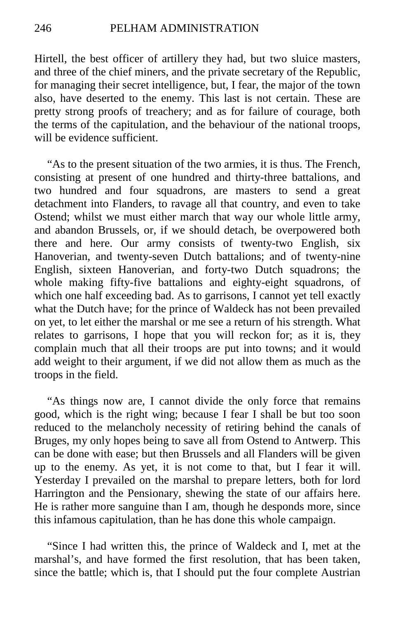Hirtell, the best officer of artillery they had, but two sluice masters, and three of the chief miners, and the private secretary of the Republic, for managing their secret intelligence, but, I fear, the major of the town also, have deserted to the enemy. This last is not certain. These are pretty strong proofs of treachery; and as for failure of courage, both the terms of the capitulation, and the behaviour of the national troops, will be evidence sufficient.

"As to the present situation of the two armies, it is thus. The French, consisting at present of one hundred and thirty-three battalions, and two hundred and four squadrons, are masters to send a great detachment into Flanders, to ravage all that country, and even to take Ostend; whilst we must either march that way our whole little army, and abandon Brussels, or, if we should detach, be overpowered both there and here. Our army consists of twenty-two English, six Hanoverian, and twenty-seven Dutch battalions; and of twenty-nine English, sixteen Hanoverian, and forty-two Dutch squadrons; the whole making fifty-five battalions and eighty-eight squadrons, of which one half exceeding bad. As to garrisons, I cannot yet tell exactly what the Dutch have; for the prince of Waldeck has not been prevailed on yet, to let either the marshal or me see a return of his strength. What relates to garrisons, I hope that you will reckon for; as it is, they complain much that all their troops are put into towns; and it would add weight to their argument, if we did not allow them as much as the troops in the field.

"As things now are, I cannot divide the only force that remains good, which is the right wing; because I fear I shall be but too soon reduced to the melancholy necessity of retiring behind the canals of Bruges, my only hopes being to save all from Ostend to Antwerp. This can be done with ease; but then Brussels and all Flanders will be given up to the enemy. As yet, it is not come to that, but I fear it will. Yesterday I prevailed on the marshal to prepare letters, both for lord Harrington and the Pensionary, shewing the state of our affairs here. He is rather more sanguine than I am, though he desponds more, since this infamous capitulation, than he has done this whole campaign.

"Since I had written this, the prince of Waldeck and I, met at the marshal's, and have formed the first resolution, that has been taken, since the battle; which is, that I should put the four complete Austrian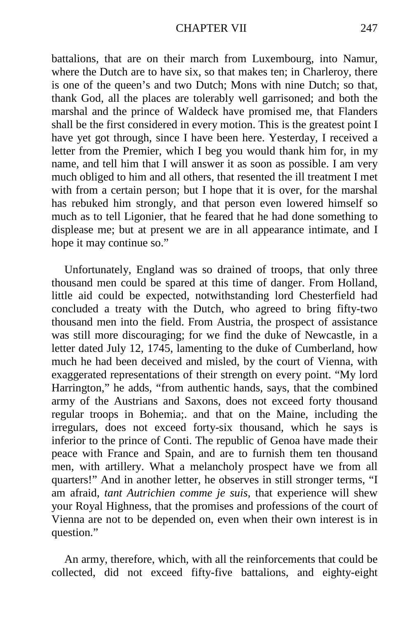battalions, that are on their march from Luxembourg, into Namur, where the Dutch are to have six, so that makes ten; in Charleroy, there is one of the queen's and two Dutch; Mons with nine Dutch; so that, thank God, all the places are tolerably well garrisoned; and both the marshal and the prince of Waldeck have promised me, that Flanders shall be the first considered in every motion. This is the greatest point I have yet got through, since I have been here. Yesterday, I received a letter from the Premier, which I beg you would thank him for, in my name, and tell him that I will answer it as soon as possible. I am very much obliged to him and all others, that resented the ill treatment I met with from a certain person; but I hope that it is over, for the marshal has rebuked him strongly, and that person even lowered himself so much as to tell Ligonier, that he feared that he had done something to displease me; but at present we are in all appearance intimate, and I hope it may continue so."

Unfortunately, England was so drained of troops, that only three thousand men could be spared at this time of danger. From Holland, little aid could be expected, notwithstanding lord Chesterfield had concluded a treaty with the Dutch, who agreed to bring fifty-two thousand men into the field. From Austria, the prospect of assistance was still more discouraging; for we find the duke of Newcastle, in a letter dated July 12, 1745, lamenting to the duke of Cumberland, how much he had been deceived and misled, by the court of Vienna, with exaggerated representations of their strength on every point. "My lord Harrington," he adds, "from authentic hands, says, that the combined army of the Austrians and Saxons, does not exceed forty thousand regular troops in Bohemia;. and that on the Maine, including the irregulars, does not exceed forty-six thousand, which he says is inferior to the prince of Conti. The republic of Genoa have made their peace with France and Spain, and are to furnish them ten thousand men, with artillery. What a melancholy prospect have we from all quarters!" And in another letter, he observes in still stronger terms, "I am afraid, *tant Autrichien comme je suis,* that experience will shew your Royal Highness, that the promises and professions of the court of Vienna are not to be depended on, even when their own interest is in question."

An army, therefore, which, with all the reinforcements that could be collected, did not exceed fifty-five battalions, and eighty-eight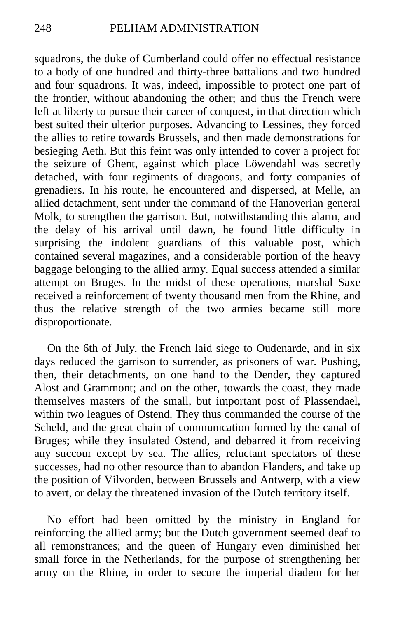squadrons, the duke of Cumberland could offer no effectual resistance to a body of one hundred and thirty-three battalions and two hundred and four squadrons. It was, indeed, impossible to protect one part of the frontier, without abandoning the other; and thus the French were left at liberty to pursue their career of conquest, in that direction which best suited their ulterior purposes. Advancing to Lessines, they forced the allies to retire towards Brussels, and then made demonstrations for besieging Aeth. But this feint was only intended to cover a project for the seizure of Ghent, against which place Löwendahl was secretly detached, with four regiments of dragoons, and forty companies of grenadiers. In his route, he encountered and dispersed, at Melle, an allied detachment, sent under the command of the Hanoverian general Molk, to strengthen the garrison. But, notwithstanding this alarm, and the delay of his arrival until dawn, he found little difficulty in surprising the indolent guardians of this valuable post, which contained several magazines, and a considerable portion of the heavy baggage belonging to the allied army. Equal success attended a similar attempt on Bruges. In the midst of these operations, marshal Saxe received a reinforcement of twenty thousand men from the Rhine, and thus the relative strength of the two armies became still more disproportionate.

On the 6th of July, the French laid siege to Oudenarde, and in six days reduced the garrison to surrender, as prisoners of war. Pushing, then, their detachments, on one hand to the Dender, they captured Alost and Grammont; and on the other, towards the coast, they made themselves masters of the small, but important post of Plassendael, within two leagues of Ostend. They thus commanded the course of the Scheld, and the great chain of communication formed by the canal of Bruges; while they insulated Ostend, and debarred it from receiving any succour except by sea. The allies, reluctant spectators of these successes, had no other resource than to abandon Flanders, and take up the position of Vilvorden, between Brussels and Antwerp, with a view to avert, or delay the threatened invasion of the Dutch territory itself.

No effort had been omitted by the ministry in England for reinforcing the allied army; but the Dutch government seemed deaf to all remonstrances; and the queen of Hungary even diminished her small force in the Netherlands, for the purpose of strengthening her army on the Rhine, in order to secure the imperial diadem for her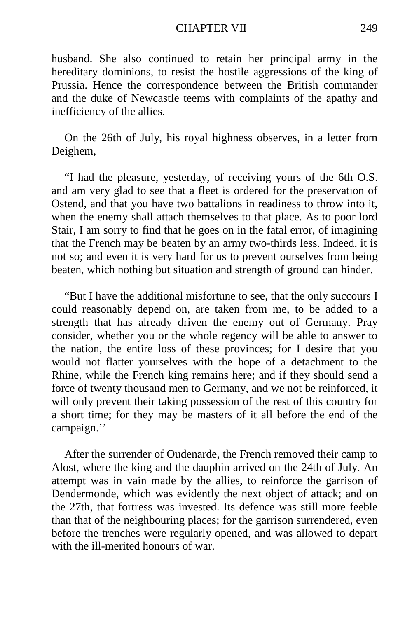#### CHAPTER VII 249

husband. She also continued to retain her principal army in the hereditary dominions, to resist the hostile aggressions of the king of Prussia. Hence the correspondence between the British commander and the duke of Newcastle teems with complaints of the apathy and inefficiency of the allies.

On the 26th of July, his royal highness observes, in a letter from Deighem,

"I had the pleasure, yesterday, of receiving yours of the 6th O.S. and am very glad to see that a fleet is ordered for the preservation of Ostend, and that you have two battalions in readiness to throw into it, when the enemy shall attach themselves to that place. As to poor lord Stair, I am sorry to find that he goes on in the fatal error, of imagining that the French may be beaten by an army two-thirds less. Indeed, it is not so; and even it is very hard for us to prevent ourselves from being beaten, which nothing but situation and strength of ground can hinder.

"But I have the additional misfortune to see, that the only succours I could reasonably depend on, are taken from me, to be added to a strength that has already driven the enemy out of Germany. Pray consider, whether you or the whole regency will be able to answer to the nation, the entire loss of these provinces; for I desire that you would not flatter yourselves with the hope of a detachment to the Rhine, while the French king remains here; and if they should send a force of twenty thousand men to Germany, and we not be reinforced, it will only prevent their taking possession of the rest of this country for a short time; for they may be masters of it all before the end of the campaign.''

After the surrender of Oudenarde, the French removed their camp to Alost, where the king and the dauphin arrived on the 24th of July. An attempt was in vain made by the allies, to reinforce the garrison of Dendermonde, which was evidently the next object of attack; and on the 27th, that fortress was invested. Its defence was still more feeble than that of the neighbouring places; for the garrison surrendered, even before the trenches were regularly opened, and was allowed to depart with the ill-merited honours of war.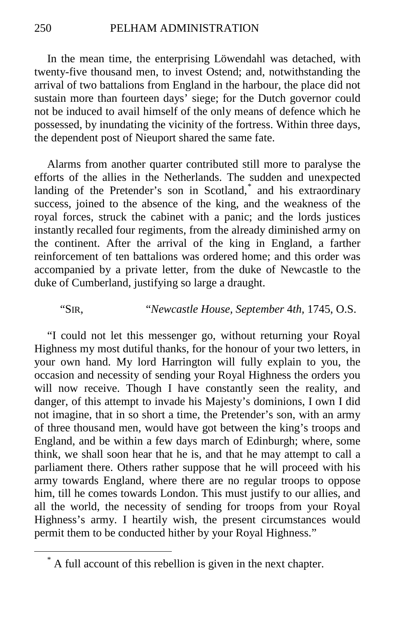In the mean time, the enterprising Löwendahl was detached, with twenty-five thousand men, to invest Ostend; and, notwithstanding the arrival of two battalions from England in the harbour, the place did not sustain more than fourteen days' siege; for the Dutch governor could not be induced to avail himself of the only means of defence which he possessed, by inundating the vicinity of the fortress. Within three days, the dependent post of Nieuport shared the same fate.

Alarms from another quarter contributed still more to paralyse the efforts of the allies in the Netherlands. The sudden and unexpected landing of the Pretender's son in Scotland,<sup>[\\*](#page-61-0)</sup> and his extraordinary success, joined to the absence of the king, and the weakness of the royal forces, struck the cabinet with a panic; and the lords justices instantly recalled four regiments, from the already diminished army on the continent. After the arrival of the king in England, a farther reinforcement of ten battalions was ordered home; and this order was accompanied by a private letter, from the duke of Newcastle to the duke of Cumberland, justifying so large a draught.

# "SIR, "*Newcastle House, September* 4*th,* 1745, O.S.

"I could not let this messenger go, without returning your Royal Highness my most dutiful thanks, for the honour of your two letters, in your own hand. My lord Harrington will fully explain to you, the occasion and necessity of sending your Royal Highness the orders you will now receive. Though I have constantly seen the reality, and danger, of this attempt to invade his Majesty's dominions, I own I did not imagine, that in so short a time, the Pretender's son, with an army of three thousand men, would have got between the king's troops and England, and be within a few days march of Edinburgh; where, some think, we shall soon hear that he is, and that he may attempt to call a parliament there. Others rather suppose that he will proceed with his army towards England, where there are no regular troops to oppose him, till he comes towards London. This must justify to our allies, and all the world, the necessity of sending for troops from your Royal Highness's army. I heartily wish, the present circumstances would permit them to be conducted hither by your Royal Highness."

<span id="page-61-0"></span>A full account of this rebellion is given in the next chapter.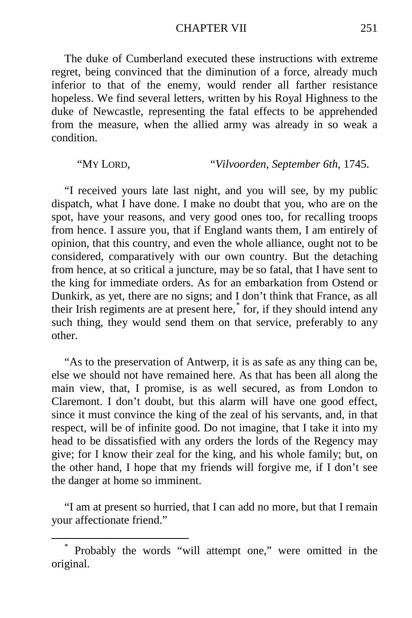CHAPTER VII 251

The duke of Cumberland executed these instructions with extreme regret, being convinced that the diminution of a force, already much inferior to that of the enemy, would render all farther resistance hopeless. We find several letters, written by his Royal Highness to the duke of Newcastle, representing the fatal effects to be apprehended from the measure, when the allied army was already in so weak a condition.

"MY LORD, "*Vilvoorden, September 6th,* 1745.

"I received yours late last night, and you will see, by my public dispatch, what I have done. I make no doubt that you, who are on the spot, have your reasons, and very good ones too, for recalling troops from hence. I assure you, that if England wants them, I am entirely of opinion, that this country, and even the whole alliance, ought not to be considered, comparatively with our own country. But the detaching from hence, at so critical a juncture, may be so fatal, that I have sent to the king for immediate orders. As for an embarkation from Ostend or Dunkirk, as yet, there are no signs; and I don't think that France, as all their Irish regiments are at present here,[\\*](#page-62-0) for, if they should intend any such thing, they would send them on that service, preferably to any other.

"As to the preservation of Antwerp, it is as safe as any thing can be, else we should not have remained here. As that has been all along the main view, that, I promise, is as well secured, as from London to Claremont. I don't doubt, but this alarm will have one good effect, since it must convince the king of the zeal of his servants, and, in that respect, will be of infinite good. Do not imagine, that I take it into my head to be dissatisfied with any orders the lords of the Regency may give; for I know their zeal for the king, and his whole family; but, on the other hand, I hope that my friends will forgive me, if I don't see the danger at home so imminent.

"I am at present so hurried, that I can add no more, but that I remain your affectionate friend."

<span id="page-62-0"></span>Probably the words "will attempt one," were omitted in the original.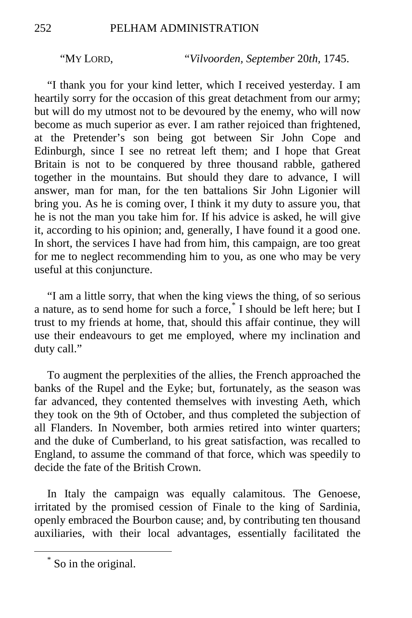"MY LORD, "*Vilvoorden, September* 20*th,* 1745.

"I thank you for your kind letter, which I received yesterday. I am heartily sorry for the occasion of this great detachment from our army; but will do my utmost not to be devoured by the enemy, who will now become as much superior as ever. I am rather rejoiced than frightened, at the Pretender's son being got between Sir John Cope and Edinburgh, since I see no retreat left them; and I hope that Great Britain is not to be conquered by three thousand rabble, gathered together in the mountains. But should they dare to advance, I will answer, man for man, for the ten battalions Sir John Ligonier will bring you. As he is coming over, I think it my duty to assure you, that he is not the man you take him for. If his advice is asked, he will give it, according to his opinion; and, generally, I have found it a good one. In short, the services I have had from him, this campaign, are too great for me to neglect recommending him to you, as one who may be very useful at this conjuncture.

"I am a little sorry, that when the king views the thing, of so serious a nature, as to send home for such a force,<sup>[\\*](#page-63-0)</sup> I should be left here; but I trust to my friends at home, that, should this affair continue, they will use their endeavours to get me employed, where my inclination and duty call."

To augment the perplexities of the allies, the French approached the banks of the Rupel and the Eyke; but, fortunately, as the season was far advanced, they contented themselves with investing Aeth, which they took on the 9th of October, and thus completed the subjection of all Flanders. In November, both armies retired into winter quarters; and the duke of Cumberland, to his great satisfaction, was recalled to England, to assume the command of that force, which was speedily to decide the fate of the British Crown.

In Italy the campaign was equally calamitous. The Genoese, irritated by the promised cession of Finale to the king of Sardinia, openly embraced the Bourbon cause; and, by contributing ten thousand auxiliaries, with their local advantages, essentially facilitated the

<span id="page-63-0"></span> <sup>\*</sup> So in the original.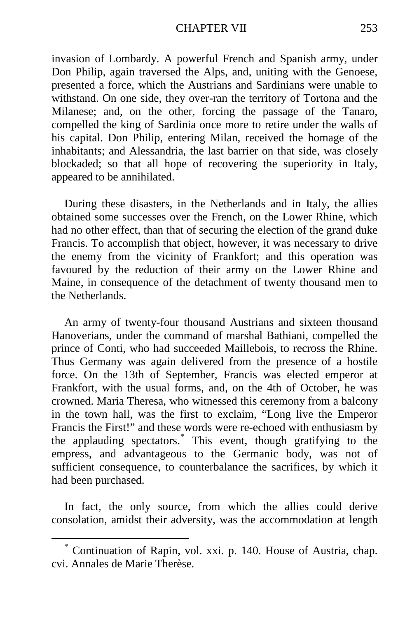#### CHAPTER VII 253

invasion of Lombardy. A powerful French and Spanish army, under Don Philip, again traversed the Alps, and, uniting with the Genoese, presented a force, which the Austrians and Sardinians were unable to withstand. On one side, they over-ran the territory of Tortona and the Milanese; and, on the other, forcing the passage of the Tanaro, compelled the king of Sardinia once more to retire under the walls of his capital. Don Philip, entering Milan, received the homage of the inhabitants; and Alessandria, the last barrier on that side, was closely blockaded; so that all hope of recovering the superiority in Italy, appeared to be annihilated.

During these disasters, in the Netherlands and in Italy, the allies obtained some successes over the French, on the Lower Rhine, which had no other effect, than that of securing the election of the grand duke Francis. To accomplish that object, however, it was necessary to drive the enemy from the vicinity of Frankfort; and this operation was favoured by the reduction of their army on the Lower Rhine and Maine, in consequence of the detachment of twenty thousand men to the Netherlands.

An army of twenty-four thousand Austrians and sixteen thousand Hanoverians, under the command of marshal Bathiani, compelled the prince of Conti, who had succeeded Maillebois, to recross the Rhine. Thus Germany was again delivered from the presence of a hostile force. On the 13th of September, Francis was elected emperor at Frankfort, with the usual forms, and, on the 4th of October, he was crowned. Maria Theresa, who witnessed this ceremony from a balcony in the town hall, was the first to exclaim, "Long live the Emperor Francis the First!" and these words were re-echoed with enthusiasm by the applauding spectators.[\\*](#page-64-0) This event, though gratifying to the empress, and advantageous to the Germanic body, was not of sufficient consequence, to counterbalance the sacrifices, by which it had been purchased.

In fact, the only source, from which the allies could derive consolation, amidst their adversity, was the accommodation at length

<span id="page-64-0"></span> <sup>\*</sup> Continuation of Rapin, vol. xxi. p. 140. House of Austria, chap. cvi. Annales de Marie Therèse.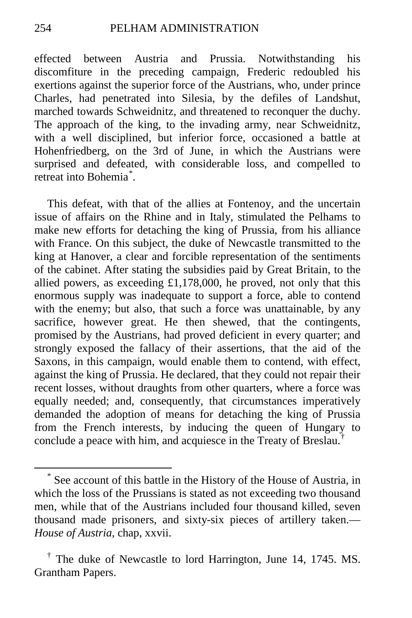effected between Austria and Prussia. Notwithstanding his discomfiture in the preceding campaign, Frederic redoubled his exertions against the superior force of the Austrians, who, under prince Charles, had penetrated into Silesia, by the defiles of Landshut, marched towards Schweidnitz, and threatened to reconquer the duchy. The approach of the king, to the invading army, near Schweidnitz, with a well disciplined, but inferior force, occasioned a battle at Hohenfriedberg, on the 3rd of June, in which the Austrians were surprised and defeated, with considerable loss, and compelled to retreat into Bohemia[\\*](#page-65-0) .

This defeat, with that of the allies at Fontenoy, and the uncertain issue of affairs on the Rhine and in Italy, stimulated the Pelhams to make new efforts for detaching the king of Prussia, from his alliance with France. On this subject, the duke of Newcastle transmitted to the king at Hanover, a clear and forcible representation of the sentiments of the cabinet. After stating the subsidies paid by Great Britain, to the allied powers, as exceeding  $£1,178,000$ , he proved, not only that this enormous supply was inadequate to support a force, able to contend with the enemy; but also, that such a force was unattainable, by any sacrifice, however great. He then shewed, that the contingents, promised by the Austrians, had proved deficient in every quarter; and strongly exposed the fallacy of their assertions, that the aid of the Saxons, in this campaign, would enable them to contend, with effect, against the king of Prussia. He declared, that they could not repair their recent losses, without draughts from other quarters, where a force was equally needed; and, consequently, that circumstances imperatively demanded the adoption of means for detaching the king of Prussia from the French interests, by inducing the queen of Hungary to conclude a peace with him, and acquiesce in the Treaty of Breslau.[†](#page-65-1)

<span id="page-65-0"></span> <sup>\*</sup> See account of this battle in the History of the House of Austria, in which the loss of the Prussians is stated as not exceeding two thousand men, while that of the Austrians included four thousand killed, seven thousand made prisoners, and sixty-six pieces of artillery taken.— *House of Austria,* chap, xxvii.

<span id="page-65-1"></span><sup>†</sup> The duke of Newcastle to lord Harrington, June 14, 1745. MS. Grantham Papers.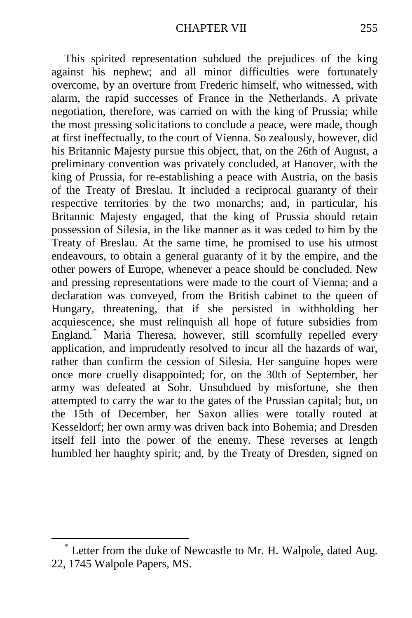This spirited representation subdued the prejudices of the king against his nephew; and all minor difficulties were fortunately overcome, by an overture from Frederic himself, who witnessed, with alarm, the rapid successes of France in the Netherlands. A private negotiation, therefore, was carried on with the king of Prussia; while the most pressing solicitations to conclude a peace, were made, though at first ineffectually, to the court of Vienna. So zealously, however, did his Britannic Majesty pursue this object, that, on the 26th of August, a preliminary convention was privately concluded, at Hanover, with the king of Prussia, for re-establishing a peace with Austria, on the basis of the Treaty of Breslau. It included a reciprocal guaranty of their respective territories by the two monarchs; and, in particular, his Britannic Majesty engaged, that the king of Prussia should retain possession of Silesia, in the like manner as it was ceded to him by the Treaty of Breslau. At the same time, he promised to use his utmost endeavours, to obtain a general guaranty of it by the empire, and the other powers of Europe, whenever a peace should be concluded. New and pressing representations were made to the court of Vienna; and a declaration was conveyed, from the British cabinet to the queen of Hungary, threatening, that if she persisted in withholding her acquiescence, she must relinquish all hope of future subsidies from England.[\\*](#page-66-0) Maria Theresa, however, still scornfully repelled every application, and imprudently resolved to incur all the hazards of war, rather than confirm the cession of Silesia. Her sanguine hopes were once more cruelly disappointed; for, on the 30th of September, her army was defeated at Sohr. Unsubdued by misfortune, she then attempted to carry the war to the gates of the Prussian capital; but, on the 15th of December, her Saxon allies were totally routed at Kesseldorf; her own army was driven back into Bohemia; and Dresden itself fell into the power of the enemy. These reverses at length humbled her haughty spirit; and, by the Treaty of Dresden, signed on

<span id="page-66-0"></span> <sup>\*</sup> Letter from the duke of Newcastle to Mr. H. Walpole, dated Aug. 22, 1745 Walpole Papers, MS.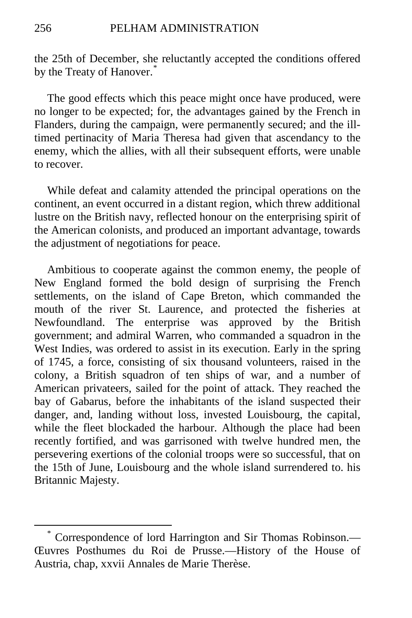the 25th of December, she reluctantly accepted the conditions offered by the Treaty of Hanover.<sup>[\\*](#page-67-0)</sup>

The good effects which this peace might once have produced, were no longer to be expected; for, the advantages gained by the French in Flanders, during the campaign, were permanently secured; and the illtimed pertinacity of Maria Theresa had given that ascendancy to the enemy, which the allies, with all their subsequent efforts, were unable to recover.

While defeat and calamity attended the principal operations on the continent, an event occurred in a distant region, which threw additional lustre on the British navy, reflected honour on the enterprising spirit of the American colonists, and produced an important advantage, towards the adjustment of negotiations for peace.

Ambitious to cooperate against the common enemy, the people of New England formed the bold design of surprising the French settlements, on the island of Cape Breton, which commanded the mouth of the river St. Laurence, and protected the fisheries at Newfoundland. The enterprise was approved by the British government; and admiral Warren, who commanded a squadron in the West Indies, was ordered to assist in its execution. Early in the spring of 1745, a force, consisting of six thousand volunteers, raised in the colony, a British squadron of ten ships of war, and a number of American privateers, sailed for the point of attack. They reached the bay of Gabarus, before the inhabitants of the island suspected their danger, and, landing without loss, invested Louisbourg, the capital, while the fleet blockaded the harbour. Although the place had been recently fortified, and was garrisoned with twelve hundred men, the persevering exertions of the colonial troops were so successful, that on the 15th of June, Louisbourg and the whole island surrendered to. his Britannic Majesty.

<span id="page-67-0"></span> <sup>\*</sup> Correspondence of lord Harrington and Sir Thomas Robinson.— Œuvres Posthumes du Roi de Prusse.—History of the House of Austria, chap, xxvii Annales de Marie Therèse.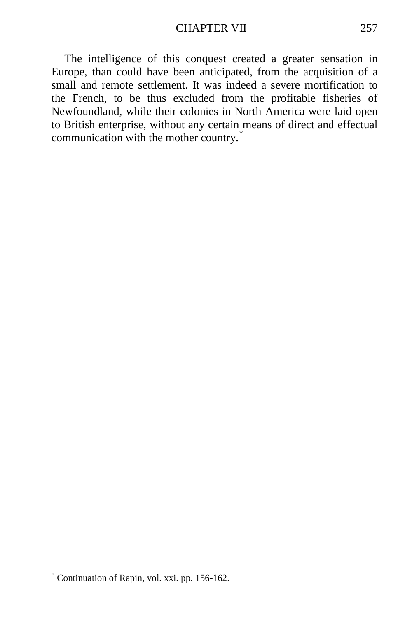The intelligence of this conquest created a greater sensation in Europe, than could have been anticipated, from the acquisition of a small and remote settlement. It was indeed a severe mortification to the French, to be thus excluded from the profitable fisheries of Newfoundland, while their colonies in North America were laid open to British enterprise, without any certain means of direct and effectual communication with the mother country.<sup>[\\*](#page-68-0)</sup>

<span id="page-68-0"></span> <sup>\*</sup> Continuation of Rapin, vol. xxi. pp. 156-162.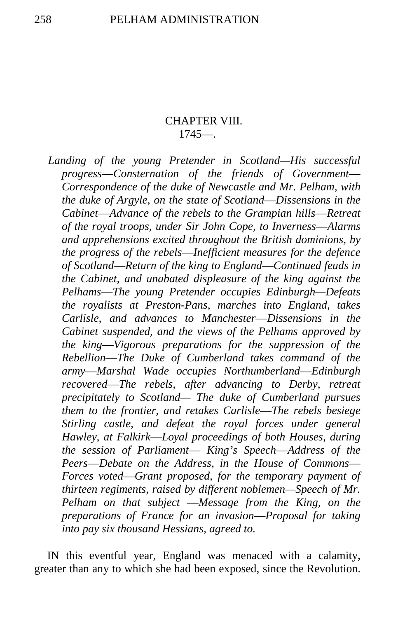# CHAPTER VIII. 1745—.

*Landing of the young Pretender in Scotland—His successful progress*—*Consternation of the friends of Government*— *Correspondence of the duke of Newcastle and Mr. Pelham, with the duke of Argyle, on the state of Scotland*—*Dissensions in the Cabinet*—*Advance of the rebels to the Grampian hills*—*Retreat of the royal troops, under Sir John Cope, to Inverness*—*Alarms and apprehensions excited throughout the British dominions, by the progress of the rebels*—*Inefficient measures for the defence of Scotland*—*Return of the king to England*—*Continued feuds in the Cabinet, and unabated displeasure of the king against the Pelhams*—*The young Pretender occupies Edinburgh—Defeats the royalists at Preston-Pans, marches into England, takes Carlisle, and advances to Manchester*—*Dissensions in the Cabinet suspended, and the views of the Pelhams approved by the king*—*Vigorous preparations for the suppression of the Rebellion*—*The Duke of Cumberland takes command of the army*—*Marshal Wade occupies Northumberland*—*Edinburgh recovered*—*The rebels, after advancing to Derby, retreat precipitately to Scotland— The duke of Cumberland pursues them to the frontier, and retakes Carlisle*—*The rebels besiege Stirling castle, and defeat the royal forces under general Hawley, at Falkirk*—*Loyal proceedings of both Houses, during the session of Parliament*— *King's Speech*—*Address of the Peers*—*Debate on the Address, in the House of Commons*— *Forces voted*—*Grant proposed, for the temporary payment of thirteen regiments, raised by different noblemen—Speech of Mr. Pelham on that subject* —*Message from the King, on the preparations of France for an invasion*—*Proposal for taking into pay six thousand Hessians, agreed to.*

IN this eventful year, England was menaced with a calamity, greater than any to which she had been exposed, since the Revolution.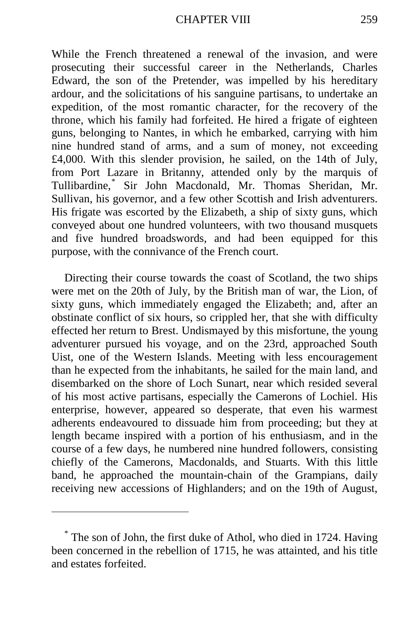While the French threatened a renewal of the invasion, and were prosecuting their successful career in the Netherlands, Charles Edward, the son of the Pretender, was impelled by his hereditary ardour, and the solicitations of his sanguine partisans, to undertake an expedition, of the most romantic character, for the recovery of the throne, which his family had forfeited. He hired a frigate of eighteen guns, belonging to Nantes, in which he embarked, carrying with him nine hundred stand of arms, and a sum of money, not exceeding £4,000. With this slender provision, he sailed, on the 14th of July, from Port Lazare in Britanny, attended only by the marquis of Tullibardine,[\\*](#page-70-0) Sir John Macdonald, Mr. Thomas Sheridan, Mr. Sullivan, his governor, and a few other Scottish and Irish adventurers. His frigate was escorted by the Elizabeth, a ship of sixty guns, which conveyed about one hundred volunteers, with two thousand musquets and five hundred broadswords, and had been equipped for this purpose, with the connivance of the French court.

Directing their course towards the coast of Scotland, the two ships were met on the 20th of July, by the British man of war, the Lion, of sixty guns, which immediately engaged the Elizabeth; and, after an obstinate conflict of six hours, so crippled her, that she with difficulty effected her return to Brest. Undismayed by this misfortune, the young adventurer pursued his voyage, and on the 23rd, approached South Uist, one of the Western Islands. Meeting with less encouragement than he expected from the inhabitants, he sailed for the main land, and disembarked on the shore of Loch Sunart, near which resided several of his most active partisans, especially the Camerons of Lochiel. His enterprise, however, appeared so desperate, that even his warmest adherents endeavoured to dissuade him from proceeding; but they at length became inspired with a portion of his enthusiasm, and in the course of a few days, he numbered nine hundred followers, consisting chiefly of the Camerons, Macdonalds, and Stuarts. With this little band, he approached the mountain-chain of the Grampians, daily receiving new accessions of Highlanders; and on the 19th of August,

 $\overline{a}$ 

<span id="page-70-0"></span><sup>\*</sup> The son of John, the first duke of Athol, who died in 1724. Having been concerned in the rebellion of 1715, he was attainted, and his title and estates forfeited.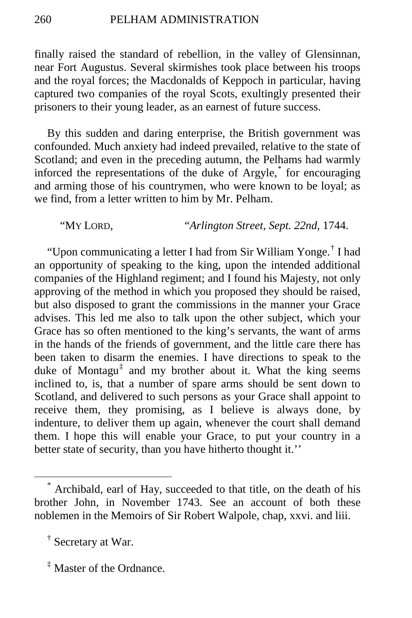finally raised the standard of rebellion, in the valley of Glensinnan, near Fort Augustus. Several skirmishes took place between his troops and the royal forces; the Macdonalds of Keppoch in particular, having captured two companies of the royal Scots, exultingly presented their prisoners to their young leader, as an earnest of future success.

By this sudden and daring enterprise, the British government was confounded. Much anxiety had indeed prevailed, relative to the state of Scotland; and even in the preceding autumn, the Pelhams had warmly inforced the representations of the duke of Argyle,[\\*](#page-71-0) for encouraging and arming those of his countrymen, who were known to be loyal; as we find, from a letter written to him by Mr. Pelham.

"MY LORD, "*Arlington Street, Sept. 22nd,* 1744.

"Upon communicating a letter I had from Sir William Yonge.[†](#page-71-1) I had an opportunity of speaking to the king, upon the intended additional companies of the Highland regiment; and I found his Majesty, not only approving of the method in which you proposed they should be raised, but also disposed to grant the commissions in the manner your Grace advises. This led me also to talk upon the other subject, which your Grace has so often mentioned to the king's servants, the want of arms in the hands of the friends of government, and the little care there has been taken to disarm the enemies. I have directions to speak to the duke of Montagu<sup>[‡](#page-71-2)</sup> and my brother about it. What the king seems inclined to, is, that a number of spare arms should be sent down to Scotland, and delivered to such persons as your Grace shall appoint to receive them, they promising, as I believe is always done, by indenture, to deliver them up again, whenever the court shall demand them. I hope this will enable your Grace, to put your country in a better state of security, than you have hitherto thought it."

<span id="page-71-0"></span> <sup>\*</sup> Archibald, earl of Hay, succeeded to that title, on the death of his brother John, in November 1743. See an account of both these noblemen in the Memoirs of Sir Robert Walpole, chap, xxvi. and liii.

<span id="page-71-1"></span><sup>†</sup> Secretary at War.

<span id="page-71-2"></span><sup>‡</sup> Master of the Ordnance.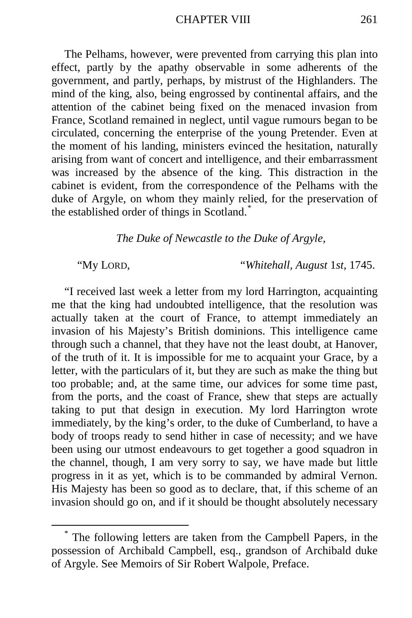The Pelhams, however, were prevented from carrying this plan into effect, partly by the apathy observable in some adherents of the government, and partly, perhaps, by mistrust of the Highlanders. The mind of the king, also, being engrossed by continental affairs, and the attention of the cabinet being fixed on the menaced invasion from France, Scotland remained in neglect, until vague rumours began to be circulated, concerning the enterprise of the young Pretender. Even at the moment of his landing, ministers evinced the hesitation, naturally arising from want of concert and intelligence, and their embarrassment was increased by the absence of the king. This distraction in the cabinet is evident, from the correspondence of the Pelhams with the duke of Argyle, on whom they mainly relied, for the preservation of the established order of things in Scotland.[\\*](#page-72-0)

*The Duke of Newcastle to the Duke of Argyle,*

"My LORD, "*Whitehall, August* 1*st,* 1745.

"I received last week a letter from my lord Harrington, acquainting me that the king had undoubted intelligence, that the resolution was actually taken at the court of France, to attempt immediately an invasion of his Majesty's British dominions. This intelligence came through such a channel, that they have not the least doubt, at Hanover, of the truth of it. It is impossible for me to acquaint your Grace, by a letter, with the particulars of it, but they are such as make the thing but too probable; and, at the same time, our advices for some time past, from the ports, and the coast of France, shew that steps are actually taking to put that design in execution. My lord Harrington wrote immediately, by the king's order, to the duke of Cumberland, to have a body of troops ready to send hither in case of necessity; and we have been using our utmost endeavours to get together a good squadron in the channel, though, I am very sorry to say, we have made but little progress in it as yet, which is to be commanded by admiral Vernon. His Majesty has been so good as to declare, that, if this scheme of an invasion should go on, and if it should be thought absolutely necessary

<span id="page-72-0"></span> <sup>\*</sup> The following letters are taken from the Campbell Papers, in the possession of Archibald Campbell, esq., grandson of Archibald duke of Argyle. See Memoirs of Sir Robert Walpole, Preface.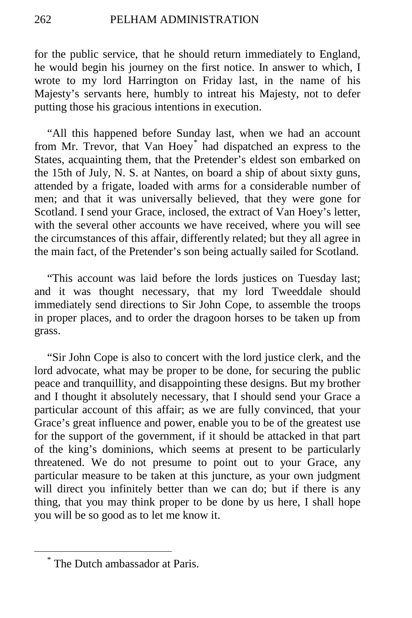for the public service, that he should return immediately to England, he would begin his journey on the first notice. In answer to which, I wrote to my lord Harrington on Friday last, in the name of his Majesty's servants here, humbly to intreat his Majesty, not to defer putting those his gracious intentions in execution.

"All this happened before Sunday last, when we had an account from Mr. Trevor, that Van Hoey[\\*](#page-73-0) had dispatched an express to the States, acquainting them, that the Pretender's eldest son embarked on the 15th of July, N. S. at Nantes, on board a ship of about sixty guns, attended by a frigate, loaded with arms for a considerable number of men; and that it was universally believed, that they were gone for Scotland. I send your Grace, inclosed, the extract of Van Hoey's letter, with the several other accounts we have received, where you will see the circumstances of this affair, differently related; but they all agree in the main fact, of the Pretender's son being actually sailed for Scotland.

"This account was laid before the lords justices on Tuesday last; and it was thought necessary, that my lord Tweeddale should immediately send directions to Sir John Cope, to assemble the troops in proper places, and to order the dragoon horses to be taken up from grass.

"Sir John Cope is also to concert with the lord justice clerk, and the lord advocate, what may be proper to be done, for securing the public peace and tranquillity, and disappointing these designs. But my brother and I thought it absolutely necessary, that I should send your Grace a particular account of this affair; as we are fully convinced, that your Grace's great influence and power, enable you to be of the greatest use for the support of the government, if it should be attacked in that part of the king's dominions, which seems at present to be particularly threatened. We do not presume to point out to your Grace, any particular measure to be taken at this juncture, as your own judgment will direct you infinitely better than we can do; but if there is any thing, that you may think proper to be done by us here, I shall hope you will be so good as to let me know it.

<span id="page-73-0"></span>The Dutch ambassador at Paris.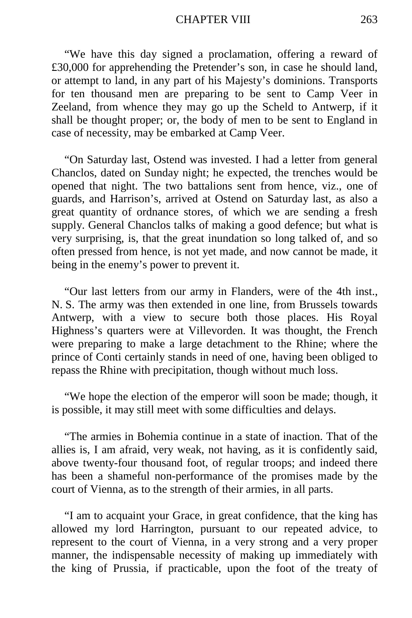#### CHAPTER VIII 263

"We have this day signed a proclamation, offering a reward of £30,000 for apprehending the Pretender's son, in case he should land, or attempt to land, in any part of his Majesty's dominions. Transports for ten thousand men are preparing to be sent to Camp Veer in Zeeland, from whence they may go up the Scheld to Antwerp, if it shall be thought proper; or, the body of men to be sent to England in case of necessity, may be embarked at Camp Veer.

"On Saturday last, Ostend was invested. I had a letter from general Chanclos, dated on Sunday night; he expected, the trenches would be opened that night. The two battalions sent from hence, viz., one of guards, and Harrison's, arrived at Ostend on Saturday last, as also a great quantity of ordnance stores, of which we are sending a fresh supply. General Chanclos talks of making a good defence; but what is very surprising, is, that the great inundation so long talked of, and so often pressed from hence, is not yet made, and now cannot be made, it being in the enemy's power to prevent it.

"Our last letters from our army in Flanders, were of the 4th inst., N. S. The army was then extended in one line, from Brussels towards Antwerp, with a view to secure both those places. His Royal Highness's quarters were at Villevorden. It was thought, the French were preparing to make a large detachment to the Rhine; where the prince of Conti certainly stands in need of one, having been obliged to repass the Rhine with precipitation, though without much loss.

"We hope the election of the emperor will soon be made; though, it is possible, it may still meet with some difficulties and delays.

"The armies in Bohemia continue in a state of inaction. That of the allies is, I am afraid, very weak, not having, as it is confidently said, above twenty-four thousand foot, of regular troops; and indeed there has been a shameful non-performance of the promises made by the court of Vienna, as to the strength of their armies, in all parts.

"I am to acquaint your Grace, in great confidence, that the king has allowed my lord Harrington, pursuant to our repeated advice, to represent to the court of Vienna, in a very strong and a very proper manner, the indispensable necessity of making up immediately with the king of Prussia, if practicable, upon the foot of the treaty of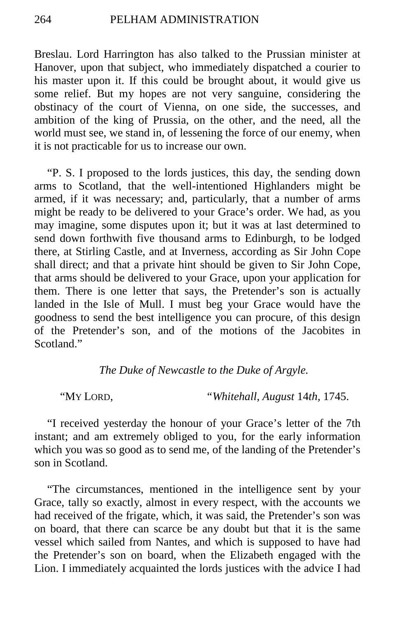Breslau. Lord Harrington has also talked to the Prussian minister at Hanover, upon that subject, who immediately dispatched a courier to his master upon it. If this could be brought about, it would give us some relief. But my hopes are not very sanguine, considering the obstinacy of the court of Vienna, on one side, the successes, and ambition of the king of Prussia, on the other, and the need, all the world must see, we stand in, of lessening the force of our enemy, when it is not practicable for us to increase our own.

"P. S. I proposed to the lords justices, this day, the sending down arms to Scotland, that the well-intentioned Highlanders might be armed, if it was necessary; and, particularly, that a number of arms might be ready to be delivered to your Grace's order. We had, as you may imagine, some disputes upon it; but it was at last determined to send down forthwith five thousand arms to Edinburgh, to be lodged there, at Stirling Castle, and at Inverness, according as Sir John Cope shall direct; and that a private hint should be given to Sir John Cope, that arms should be delivered to your Grace, upon your application for them. There is one letter that says, the Pretender's son is actually landed in the Isle of Mull. I must beg your Grace would have the goodness to send the best intelligence you can procure, of this design of the Pretender's son, and of the motions of the Jacobites in Scotland."

# *The Duke of Newcastle to the Duke of Argyle.*

"MY LORD, *"Whitehall, August* 14*th,* 1745.

"I received yesterday the honour of your Grace's letter of the 7th instant; and am extremely obliged to you, for the early information which you was so good as to send me, of the landing of the Pretender's son in Scotland.

"The circumstances, mentioned in the intelligence sent by your Grace, tally so exactly, almost in every respect, with the accounts we had received of the frigate, which, it was said, the Pretender's son was on board, that there can scarce be any doubt but that it is the same vessel which sailed from Nantes, and which is supposed to have had the Pretender's son on board, when the Elizabeth engaged with the Lion. I immediately acquainted the lords justices with the advice I had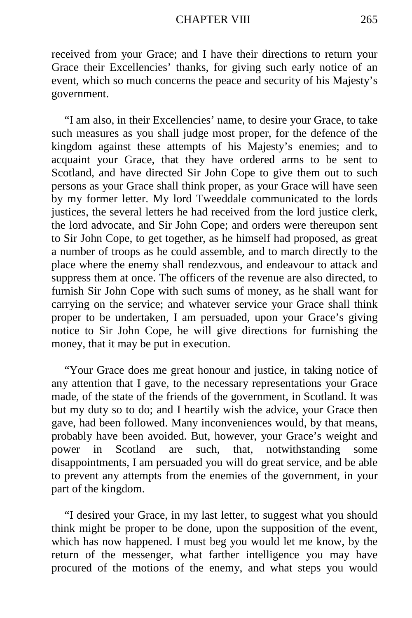received from your Grace; and I have their directions to return your Grace their Excellencies' thanks, for giving such early notice of an event, which so much concerns the peace and security of his Majesty's government.

"I am also, in their Excellencies' name, to desire your Grace, to take such measures as you shall judge most proper, for the defence of the kingdom against these attempts of his Majesty's enemies; and to acquaint your Grace, that they have ordered arms to be sent to Scotland, and have directed Sir John Cope to give them out to such persons as your Grace shall think proper, as your Grace will have seen by my former letter. My lord Tweeddale communicated to the lords justices, the several letters he had received from the lord justice clerk, the lord advocate, and Sir John Cope; and orders were thereupon sent to Sir John Cope, to get together, as he himself had proposed, as great a number of troops as he could assemble, and to march directly to the place where the enemy shall rendezvous, and endeavour to attack and suppress them at once. The officers of the revenue are also directed, to furnish Sir John Cope with such sums of money, as he shall want for carrying on the service; and whatever service your Grace shall think proper to be undertaken, I am persuaded, upon your Grace's giving notice to Sir John Cope, he will give directions for furnishing the money, that it may be put in execution.

"Your Grace does me great honour and justice, in taking notice of any attention that I gave, to the necessary representations your Grace made, of the state of the friends of the government, in Scotland. It was but my duty so to do; and I heartily wish the advice, your Grace then gave, had been followed. Many inconveniences would, by that means, probably have been avoided. But, however, your Grace's weight and power in Scotland are such, that, notwithstanding some disappointments, I am persuaded you will do great service, and be able to prevent any attempts from the enemies of the government, in your part of the kingdom.

"I desired your Grace, in my last letter, to suggest what you should think might be proper to be done, upon the supposition of the event, which has now happened. I must beg you would let me know, by the return of the messenger, what farther intelligence you may have procured of the motions of the enemy, and what steps you would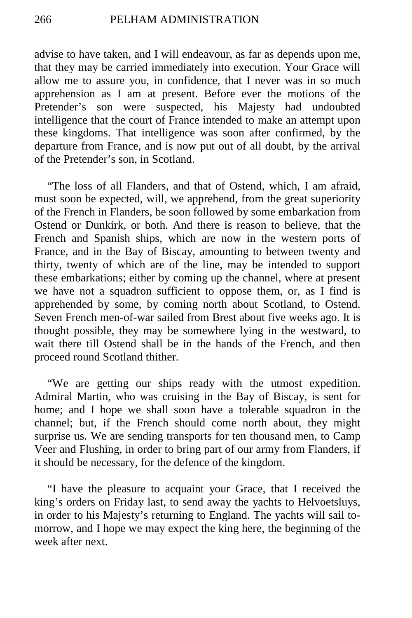advise to have taken, and I will endeavour, as far as depends upon me, that they may be carried immediately into execution. Your Grace will allow me to assure you, in confidence, that I never was in so much apprehension as I am at present. Before ever the motions of the Pretender's son were suspected, his Majesty had undoubted intelligence that the court of France intended to make an attempt upon these kingdoms. That intelligence was soon after confirmed, by the departure from France, and is now put out of all doubt, by the arrival of the Pretender's son, in Scotland.

"The loss of all Flanders, and that of Ostend, which, I am afraid, must soon be expected, will, we apprehend, from the great superiority of the French in Flanders, be soon followed by some embarkation from Ostend or Dunkirk, or both. And there is reason to believe, that the French and Spanish ships, which are now in the western ports of France, and in the Bay of Biscay, amounting to between twenty and thirty, twenty of which are of the line, may be intended to support these embarkations; either by coming up the channel, where at present we have not a squadron sufficient to oppose them, or, as I find is apprehended by some, by coming north about Scotland, to Ostend. Seven French men-of-war sailed from Brest about five weeks ago. It is thought possible, they may be somewhere lying in the westward, to wait there till Ostend shall be in the hands of the French, and then proceed round Scotland thither.

"We are getting our ships ready with the utmost expedition. Admiral Martin, who was cruising in the Bay of Biscay, is sent for home; and I hope we shall soon have a tolerable squadron in the channel; but, if the French should come north about, they might surprise us. We are sending transports for ten thousand men, to Camp Veer and Flushing, in order to bring part of our army from Flanders, if it should be necessary, for the defence of the kingdom.

"I have the pleasure to acquaint your Grace, that I received the king's orders on Friday last, to send away the yachts to Helvoetsluys, in order to his Majesty's returning to England. The yachts will sail tomorrow, and I hope we may expect the king here, the beginning of the week after next.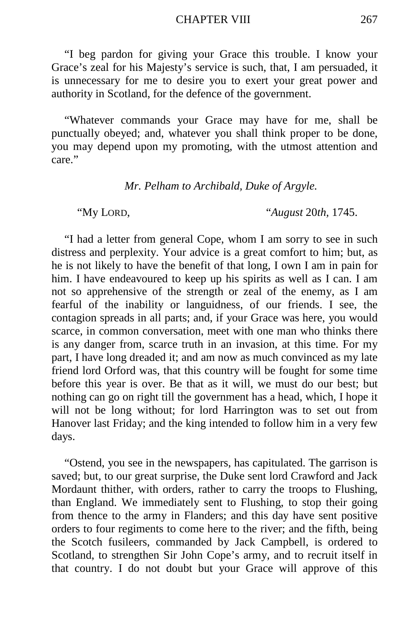"I beg pardon for giving your Grace this trouble. I know your Grace's zeal for his Majesty's service is such, that, I am persuaded, it is unnecessary for me to desire you to exert your great power and authority in Scotland, for the defence of the government.

"Whatever commands your Grace may have for me, shall be punctually obeyed; and, whatever you shall think proper to be done, you may depend upon my promoting, with the utmost attention and care."

*Mr. Pelham to Archibald, Duke of Argyle.*

"My LORD, "*August* 20*th,* 1745.

"I had a letter from general Cope, whom I am sorry to see in such distress and perplexity. Your advice is a great comfort to him; but, as he is not likely to have the benefit of that long, I own I am in pain for him. I have endeavoured to keep up his spirits as well as I can. I am not so apprehensive of the strength or zeal of the enemy, as I am fearful of the inability or languidness, of our friends. I see, the contagion spreads in all parts; and, if your Grace was here, you would scarce, in common conversation, meet with one man who thinks there is any danger from, scarce truth in an invasion, at this time. For my part, I have long dreaded it; and am now as much convinced as my late friend lord Orford was, that this country will be fought for some time before this year is over. Be that as it will, we must do our best; but nothing can go on right till the government has a head, which, I hope it will not be long without; for lord Harrington was to set out from Hanover last Friday; and the king intended to follow him in a very few days.

"Ostend, you see in the newspapers, has capitulated. The garrison is saved; but, to our great surprise, the Duke sent lord Crawford and Jack Mordaunt thither, with orders, rather to carry the troops to Flushing, than England. We immediately sent to Flushing, to stop their going from thence to the army in Flanders; and this day have sent positive orders to four regiments to come here to the river; and the fifth, being the Scotch fusileers, commanded by Jack Campbell, is ordered to Scotland, to strengthen Sir John Cope's army, and to recruit itself in that country. I do not doubt but your Grace will approve of this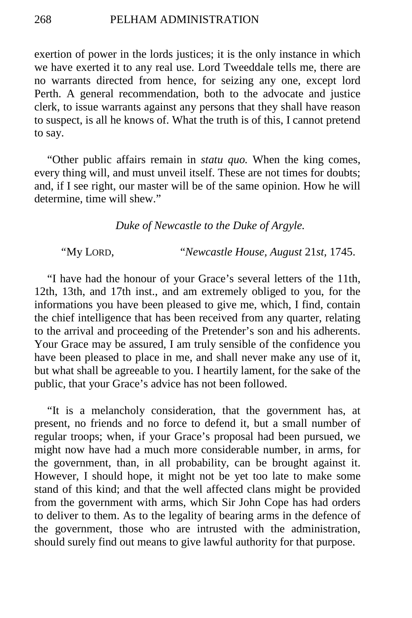exertion of power in the lords justices; it is the only instance in which we have exerted it to any real use. Lord Tweeddale tells me, there are no warrants directed from hence, for seizing any one, except lord Perth. A general recommendation, both to the advocate and justice clerk, to issue warrants against any persons that they shall have reason to suspect, is all he knows of. What the truth is of this, I cannot pretend to say.

"Other public affairs remain in *statu quo.* When the king comes, every thing will, and must unveil itself. These are not times for doubts; and, if I see right, our master will be of the same opinion. How he will determine, time will shew."

## *Duke of Newcastle to the Duke of Argyle.*

*"*My LORD, "*Newcastle House, August* 21*st,* 1745.

"I have had the honour of your Grace's several letters of the 11th, 12th, 13th, and 17th inst., and am extremely obliged to you, for the informations you have been pleased to give me, which, I find, contain the chief intelligence that has been received from any quarter, relating to the arrival and proceeding of the Pretender's son and his adherents. Your Grace may be assured, I am truly sensible of the confidence you have been pleased to place in me, and shall never make any use of it, but what shall be agreeable to you. I heartily lament, for the sake of the public, that your Grace's advice has not been followed.

"It is a melancholy consideration, that the government has, at present, no friends and no force to defend it, but a small number of regular troops; when, if your Grace's proposal had been pursued, we might now have had a much more considerable number, in arms, for the government, than, in all probability, can be brought against it. However, I should hope, it might not be yet too late to make some stand of this kind; and that the well affected clans might be provided from the government with arms, which Sir John Cope has had orders to deliver to them. As to the legality of bearing arms in the defence of the government, those who are intrusted with the administration, should surely find out means to give lawful authority for that purpose.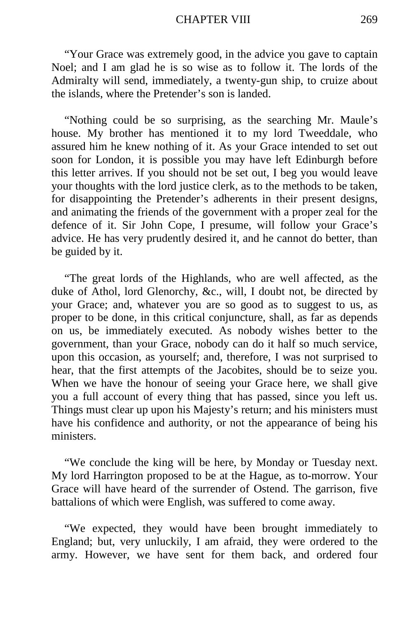"Your Grace was extremely good, in the advice you gave to captain Noel; and I am glad he is so wise as to follow it. The lords of the Admiralty will send, immediately, a twenty-gun ship, to cruize about the islands, where the Pretender's son is landed.

"Nothing could be so surprising, as the searching Mr. Maule's house. My brother has mentioned it to my lord Tweeddale, who assured him he knew nothing of it. As your Grace intended to set out soon for London, it is possible you may have left Edinburgh before this letter arrives. If you should not be set out, I beg you would leave your thoughts with the lord justice clerk, as to the methods to be taken, for disappointing the Pretender's adherents in their present designs, and animating the friends of the government with a proper zeal for the defence of it. Sir John Cope, I presume, will follow your Grace's advice. He has very prudently desired it, and he cannot do better, than be guided by it.

"The great lords of the Highlands, who are well affected, as the duke of Athol, lord Glenorchy, &c., will, I doubt not, be directed by your Grace; and, whatever you are so good as to suggest to us, as proper to be done, in this critical conjuncture, shall, as far as depends on us, be immediately executed. As nobody wishes better to the government, than your Grace, nobody can do it half so much service, upon this occasion, as yourself; and, therefore, I was not surprised to hear, that the first attempts of the Jacobites, should be to seize you. When we have the honour of seeing your Grace here, we shall give you a full account of every thing that has passed, since you left us. Things must clear up upon his Majesty's return; and his ministers must have his confidence and authority, or not the appearance of being his ministers.

"We conclude the king will be here, by Monday or Tuesday next. My lord Harrington proposed to be at the Hague, as to-morrow. Your Grace will have heard of the surrender of Ostend. The garrison, five battalions of which were English, was suffered to come away.

"We expected, they would have been brought immediately to England; but, very unluckily, I am afraid, they were ordered to the army. However, we have sent for them back, and ordered four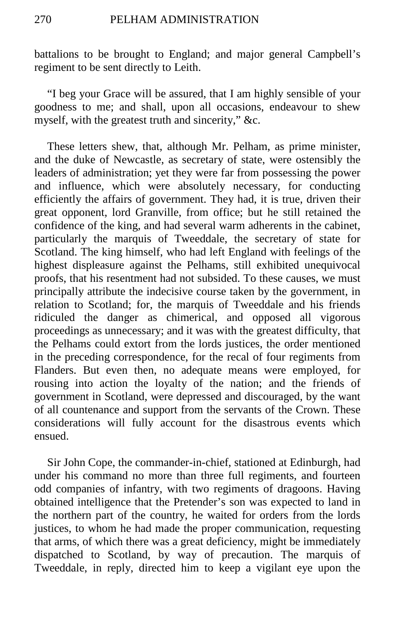battalions to be brought to England; and major general Campbell's regiment to be sent directly to Leith.

"I beg your Grace will be assured, that I am highly sensible of your goodness to me; and shall, upon all occasions, endeavour to shew myself, with the greatest truth and sincerity," &c.

These letters shew, that, although Mr. Pelham, as prime minister, and the duke of Newcastle, as secretary of state, were ostensibly the leaders of administration; yet they were far from possessing the power and influence, which were absolutely necessary, for conducting efficiently the affairs of government. They had, it is true, driven their great opponent, lord Granville, from office; but he still retained the confidence of the king, and had several warm adherents in the cabinet, particularly the marquis of Tweeddale, the secretary of state for Scotland. The king himself, who had left England with feelings of the highest displeasure against the Pelhams, still exhibited unequivocal proofs, that his resentment had not subsided. To these causes, we must principally attribute the indecisive course taken by the government, in relation to Scotland; for, the marquis of Tweeddale and his friends ridiculed the danger as chimerical, and opposed all vigorous proceedings as unnecessary; and it was with the greatest difficulty, that the Pelhams could extort from the lords justices, the order mentioned in the preceding correspondence, for the recal of four regiments from Flanders. But even then, no adequate means were employed, for rousing into action the loyalty of the nation; and the friends of government in Scotland, were depressed and discouraged, by the want of all countenance and support from the servants of the Crown. These considerations will fully account for the disastrous events which ensued.

Sir John Cope, the commander-in-chief, stationed at Edinburgh, had under his command no more than three full regiments, and fourteen odd companies of infantry, with two regiments of dragoons. Having obtained intelligence that the Pretender's son was expected to land in the northern part of the country, he waited for orders from the lords justices, to whom he had made the proper communication, requesting that arms, of which there was a great deficiency, might be immediately dispatched to Scotland, by way of precaution. The marquis of Tweeddale, in reply, directed him to keep a vigilant eye upon the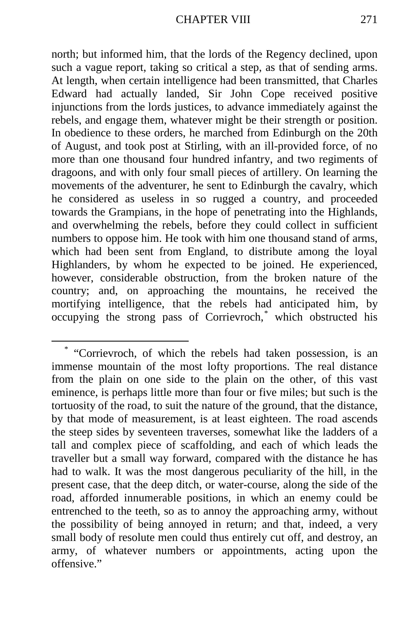north; but informed him, that the lords of the Regency declined, upon such a vague report, taking so critical a step, as that of sending arms. At length, when certain intelligence had been transmitted, that Charles Edward had actually landed, Sir John Cope received positive injunctions from the lords justices, to advance immediately against the rebels, and engage them, whatever might be their strength or position. In obedience to these orders, he marched from Edinburgh on the 20th of August, and took post at Stirling, with an ill-provided force, of no more than one thousand four hundred infantry, and two regiments of dragoons, and with only four small pieces of artillery. On learning the movements of the adventurer, he sent to Edinburgh the cavalry, which he considered as useless in so rugged a country, and proceeded towards the Grampians, in the hope of penetrating into the Highlands, and overwhelming the rebels, before they could collect in sufficient numbers to oppose him. He took with him one thousand stand of arms, which had been sent from England, to distribute among the loyal Highlanders, by whom he expected to be joined. He experienced, however, considerable obstruction, from the broken nature of the country; and, on approaching the mountains, he received the mortifying intelligence, that the rebels had anticipated him, by occupying the strong pass of Corrievroch,[\\*](#page-82-0) which obstructed his

<span id="page-82-0"></span> <sup>\*</sup> "Corrievroch, of which the rebels had taken possession, is an immense mountain of the most lofty proportions. The real distance from the plain on one side to the plain on the other, of this vast eminence, is perhaps little more than four or five miles; but such is the tortuosity of the road, to suit the nature of the ground, that the distance, by that mode of measurement, is at least eighteen. The road ascends the steep sides by seventeen traverses, somewhat like the ladders of a tall and complex piece of scaffolding, and each of which leads the traveller but a small way forward, compared with the distance he has had to walk. It was the most dangerous peculiarity of the hill, in the present case, that the deep ditch, or water-course, along the side of the road, afforded innumerable positions, in which an enemy could be entrenched to the teeth, so as to annoy the approaching army, without the possibility of being annoyed in return; and that, indeed, a very small body of resolute men could thus entirely cut off, and destroy, an army, of whatever numbers or appointments, acting upon the offensive."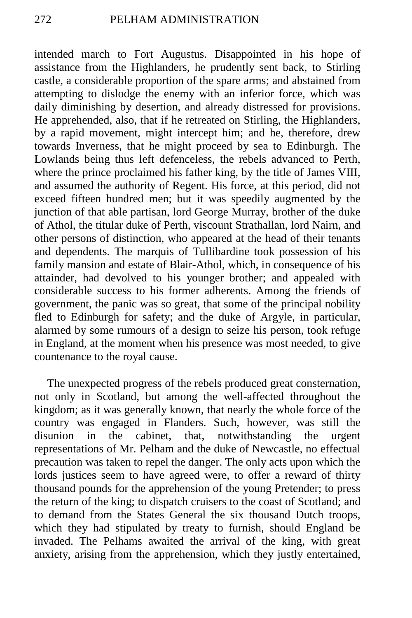intended march to Fort Augustus. Disappointed in his hope of assistance from the Highlanders, he prudently sent back, to Stirling castle, a considerable proportion of the spare arms; and abstained from attempting to dislodge the enemy with an inferior force, which was daily diminishing by desertion, and already distressed for provisions. He apprehended, also, that if he retreated on Stirling, the Highlanders, by a rapid movement, might intercept him; and he, therefore, drew towards Inverness, that he might proceed by sea to Edinburgh. The Lowlands being thus left defenceless, the rebels advanced to Perth, where the prince proclaimed his father king, by the title of James VIII, and assumed the authority of Regent. His force, at this period, did not exceed fifteen hundred men; but it was speedily augmented by the junction of that able partisan, lord George Murray, brother of the duke of Athol, the titular duke of Perth, viscount Strathallan, lord Nairn, and other persons of distinction, who appeared at the head of their tenants and dependents. The marquis of Tullibardine took possession of his family mansion and estate of Blair-Athol, which, in consequence of his attainder, had devolved to his younger brother; and appealed with considerable success to his former adherents. Among the friends of government, the panic was so great, that some of the principal nobility fled to Edinburgh for safety; and the duke of Argyle, in particular, alarmed by some rumours of a design to seize his person, took refuge in England, at the moment when his presence was most needed, to give countenance to the royal cause.

The unexpected progress of the rebels produced great consternation, not only in Scotland, but among the well-affected throughout the kingdom; as it was generally known, that nearly the whole force of the country was engaged in Flanders. Such, however, was still the disunion in the cabinet, that, notwithstanding the urgent representations of Mr. Pelham and the duke of Newcastle, no effectual precaution was taken to repel the danger. The only acts upon which the lords justices seem to have agreed were, to offer a reward of thirty thousand pounds for the apprehension of the young Pretender; to press the return of the king; to dispatch cruisers to the coast of Scotland; and to demand from the States General the six thousand Dutch troops, which they had stipulated by treaty to furnish, should England be invaded. The Pelhams awaited the arrival of the king, with great anxiety, arising from the apprehension, which they justly entertained,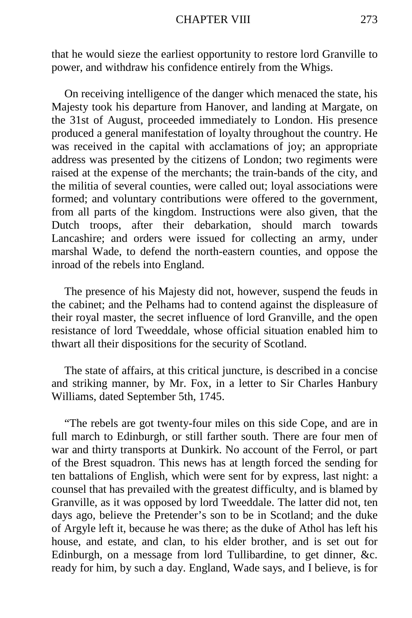#### CHAPTER VIII 273

that he would sieze the earliest opportunity to restore lord Granville to power, and withdraw his confidence entirely from the Whigs.

On receiving intelligence of the danger which menaced the state, his Majesty took his departure from Hanover, and landing at Margate, on the 31st of August, proceeded immediately to London. His presence produced a general manifestation of loyalty throughout the country. He was received in the capital with acclamations of joy; an appropriate address was presented by the citizens of London; two regiments were raised at the expense of the merchants; the train-bands of the city, and the militia of several counties, were called out; loyal associations were formed; and voluntary contributions were offered to the government, from all parts of the kingdom. Instructions were also given, that the Dutch troops, after their debarkation, should march towards Lancashire; and orders were issued for collecting an army, under marshal Wade, to defend the north-eastern counties, and oppose the inroad of the rebels into England.

The presence of his Majesty did not, however, suspend the feuds in the cabinet; and the Pelhams had to contend against the displeasure of their royal master, the secret influence of lord Granville, and the open resistance of lord Tweeddale, whose official situation enabled him to thwart all their dispositions for the security of Scotland.

The state of affairs, at this critical juncture, is described in a concise and striking manner, by Mr. Fox, in a letter to Sir Charles Hanbury Williams, dated September 5th, 1745.

"The rebels are got twenty-four miles on this side Cope, and are in full march to Edinburgh, or still farther south. There are four men of war and thirty transports at Dunkirk. No account of the Ferrol, or part of the Brest squadron. This news has at length forced the sending for ten battalions of English, which were sent for by express, last night: a counsel that has prevailed with the greatest difficulty, and is blamed by Granville, as it was opposed by lord Tweeddale. The latter did not, ten days ago, believe the Pretender's son to be in Scotland; and the duke of Argyle left it, because he was there; as the duke of Athol has left his house, and estate, and clan, to his elder brother, and is set out for Edinburgh, on a message from lord Tullibardine, to get dinner, &c. ready for him, by such a day. England, Wade says, and I believe, is for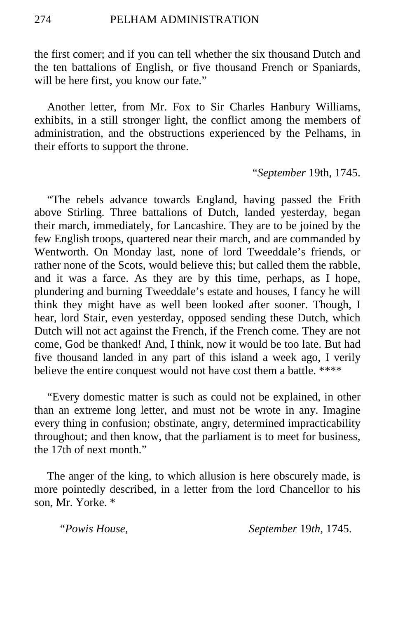the first comer; and if you can tell whether the six thousand Dutch and the ten battalions of English, or five thousand French or Spaniards, will be here first, you know our fate."

Another letter, from Mr. Fox to Sir Charles Hanbury Williams, exhibits, in a still stronger light, the conflict among the members of administration, and the obstructions experienced by the Pelhams, in their efforts to support the throne.

"*September* 19th, 1745.

"The rebels advance towards England, having passed the Frith above Stirling. Three battalions of Dutch, landed yesterday, began their march, immediately, for Lancashire. They are to be joined by the few English troops, quartered near their march, and are commanded by Wentworth. On Monday last, none of lord Tweeddale's friends, or rather none of the Scots, would believe this; but called them the rabble, and it was a farce. As they are by this time, perhaps, as I hope, plundering and burning Tweeddale's estate and houses, I fancy he will think they might have as well been looked after sooner. Though, I hear, lord Stair, even yesterday, opposed sending these Dutch, which Dutch will not act against the French, if the French come. They are not come, God be thanked! And, I think, now it would be too late. But had five thousand landed in any part of this island a week ago, I verily believe the entire conquest would not have cost them a battle. \*\*\*\*

"Every domestic matter is such as could not be explained, in other than an extreme long letter, and must not be wrote in any. Imagine every thing in confusion; obstinate, angry, determined impracticability throughout; and then know, that the parliament is to meet for business, the 17th of next month."

The anger of the king, to which allusion is here obscurely made, is more pointedly described, in a letter from the lord Chancellor to his son, Mr. Yorke. \*

"*Powis House, September* 19*th,* 1745.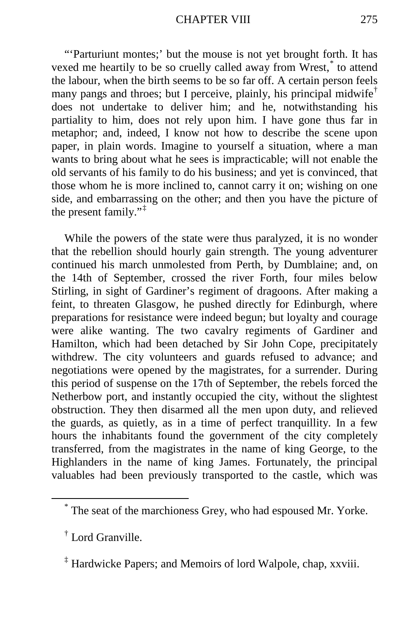"'Parturiunt montes;' but the mouse is not yet brought forth. It has vexed me heartily to be so cruelly called away from Wrest,[\\*](#page-86-0) to attend the labour, when the birth seems to be so far off. A certain person feels many pangs and throes; but I perceive, plainly, his principal midwife<sup>[†](#page-86-1)</sup> does not undertake to deliver him; and he, notwithstanding his partiality to him, does not rely upon him. I have gone thus far in metaphor; and, indeed, I know not how to describe the scene upon paper, in plain words. Imagine to yourself a situation, where a man wants to bring about what he sees is impracticable; will not enable the old servants of his family to do his business; and yet is convinced, that those whom he is more inclined to, cannot carry it on; wishing on one side, and embarrassing on the other; and then you have the picture of the present family."[‡](#page-86-2)

While the powers of the state were thus paralyzed, it is no wonder that the rebellion should hourly gain strength. The young adventurer continued his march unmolested from Perth, by Dumblaine; and, on the 14th of September, crossed the river Forth, four miles below Stirling, in sight of Gardiner's regiment of dragoons. After making a feint, to threaten Glasgow, he pushed directly for Edinburgh, where preparations for resistance were indeed begun; but loyalty and courage were alike wanting. The two cavalry regiments of Gardiner and Hamilton, which had been detached by Sir John Cope, precipitately withdrew. The city volunteers and guards refused to advance; and negotiations were opened by the magistrates, for a surrender. During this period of suspense on the 17th of September, the rebels forced the Netherbow port, and instantly occupied the city, without the slightest obstruction. They then disarmed all the men upon duty, and relieved the guards, as quietly, as in a time of perfect tranquillity. In a few hours the inhabitants found the government of the city completely transferred, from the magistrates in the name of king George, to the Highlanders in the name of king James. Fortunately, the principal valuables had been previously transported to the castle, which was

<span id="page-86-0"></span> <sup>\*</sup> The seat of the marchioness Grey, who had espoused Mr. Yorke.

<span id="page-86-1"></span><sup>†</sup> Lord Granville.

<span id="page-86-2"></span><sup>&</sup>lt;sup>‡</sup> Hardwicke Papers; and Memoirs of lord Walpole, chap, xxviii.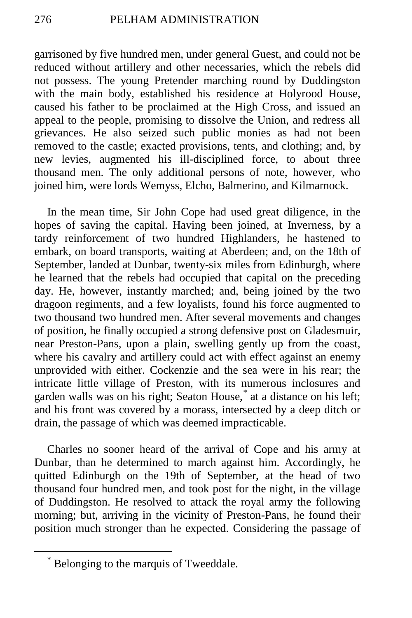garrisoned by five hundred men, under general Guest, and could not be reduced without artillery and other necessaries, which the rebels did not possess. The young Pretender marching round by Duddingston with the main body, established his residence at Holyrood House, caused his father to be proclaimed at the High Cross, and issued an appeal to the people, promising to dissolve the Union, and redress all grievances. He also seized such public monies as had not been removed to the castle; exacted provisions, tents, and clothing; and, by new levies, augmented his ill-disciplined force, to about three thousand men. The only additional persons of note, however, who joined him, were lords Wemyss, Elcho, Balmerino, and Kilmarnock.

In the mean time, Sir John Cope had used great diligence, in the hopes of saving the capital. Having been joined, at Inverness, by a tardy reinforcement of two hundred Highlanders, he hastened to embark, on board transports, waiting at Aberdeen; and, on the 18th of September, landed at Dunbar, twenty-six miles from Edinburgh, where he learned that the rebels had occupied that capital on the preceding day. He, however, instantly marched; and, being joined by the two dragoon regiments, and a few loyalists, found his force augmented to two thousand two hundred men. After several movements and changes of position, he finally occupied a strong defensive post on Gladesmuir, near Preston-Pans, upon a plain, swelling gently up from the coast, where his cavalry and artillery could act with effect against an enemy unprovided with either. Cockenzie and the sea were in his rear; the intricate little village of Preston, with its numerous inclosures and garden walls was on his right; Seaton House,[\\*](#page-87-0) at a distance on his left; and his front was covered by a morass, intersected by a deep ditch or drain, the passage of which was deemed impracticable.

Charles no sooner heard of the arrival of Cope and his army at Dunbar, than he determined to march against him. Accordingly, he quitted Edinburgh on the 19th of September, at the head of two thousand four hundred men, and took post for the night, in the village of Duddingston. He resolved to attack the royal army the following morning; but, arriving in the vicinity of Preston-Pans, he found their position much stronger than he expected. Considering the passage of

<span id="page-87-0"></span>Belonging to the marquis of Tweeddale.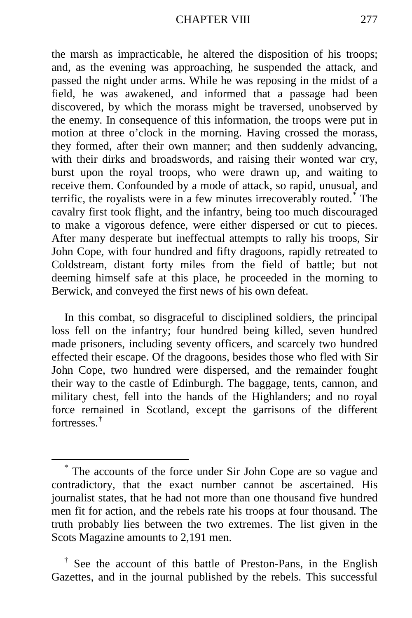the marsh as impracticable, he altered the disposition of his troops; and, as the evening was approaching, he suspended the attack, and passed the night under arms. While he was reposing in the midst of a field, he was awakened, and informed that a passage had been discovered, by which the morass might be traversed, unobserved by the enemy. In consequence of this information, the troops were put in motion at three o'clock in the morning. Having crossed the morass, they formed, after their own manner; and then suddenly advancing, with their dirks and broadswords, and raising their wonted war cry, burst upon the royal troops, who were drawn up, and waiting to receive them. Confounded by a mode of attack, so rapid, unusual, and terrific, the royalists were in a few minutes irrecoverably routed.[\\*](#page-88-0) The cavalry first took flight, and the infantry, being too much discouraged to make a vigorous defence, were either dispersed or cut to pieces. After many desperate but ineffectual attempts to rally his troops, Sir John Cope, with four hundred and fifty dragoons, rapidly retreated to Coldstream, distant forty miles from the field of battle; but not deeming himself safe at this place, he proceeded in the morning to Berwick, and conveyed the first news of his own defeat.

In this combat, so disgraceful to disciplined soldiers, the principal loss fell on the infantry; four hundred being killed, seven hundred made prisoners, including seventy officers, and scarcely two hundred effected their escape. Of the dragoons, besides those who fled with Sir John Cope, two hundred were dispersed, and the remainder fought their way to the castle of Edinburgh. The baggage, tents, cannon, and military chest, fell into the hands of the Highlanders; and no royal force remained in Scotland, except the garrisons of the different fortresses<sup>[†](#page-88-1)</sup>

<span id="page-88-0"></span> <sup>\*</sup> The accounts of the force under Sir John Cope are so vague and contradictory, that the exact number cannot be ascertained. His journalist states, that he had not more than one thousand five hundred men fit for action, and the rebels rate his troops at four thousand. The truth probably lies between the two extremes. The list given in the Scots Magazine amounts to 2,191 men.

<span id="page-88-1"></span>See the account of this battle of Preston-Pans, in the English Gazettes, and in the journal published by the rebels. This successful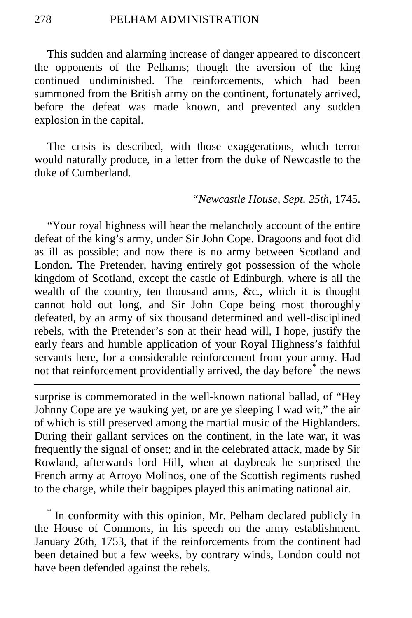This sudden and alarming increase of danger appeared to disconcert the opponents of the Pelhams; though the aversion of the king continued undiminished. The reinforcements, which had been summoned from the British army on the continent, fortunately arrived, before the defeat was made known, and prevented any sudden explosion in the capital.

The crisis is described, with those exaggerations, which terror would naturally produce, in a letter from the duke of Newcastle to the duke of Cumberland.

## *"Newcastle House, Sept. 25th,* 1745.

"Your royal highness will hear the melancholy account of the entire defeat of the king's army, under Sir John Cope. Dragoons and foot did as ill as possible; and now there is no army between Scotland and London. The Pretender, having entirely got possession of the whole kingdom of Scotland, except the castle of Edinburgh, where is all the wealth of the country, ten thousand arms, &c., which it is thought cannot hold out long, and Sir John Cope being most thoroughly defeated, by an army of six thousand determined and well-disciplined rebels, with the Pretender's son at their head will, I hope, justify the early fears and humble application of your Royal Highness's faithful servants here, for a considerable reinforcement from your army. Had not that reinforcement providentially arrived, the day before<sup>[\\*](#page-89-0)</sup> the news

surprise is commemorated in the well-known national ballad, of "Hey Johnny Cope are ye wauking yet, or are ye sleeping I wad wit," the air of which is still preserved among the martial music of the Highlanders. During their gallant services on the continent, in the late war, it was frequently the signal of onset; and in the celebrated attack, made by Sir Rowland, afterwards lord Hill, when at daybreak he surprised the French army at Arroyo Molinos, one of the Scottish regiments rushed to the charge, while their bagpipes played this animating national air.

<span id="page-89-0"></span>In conformity with this opinion, Mr. Pelham declared publicly in the House of Commons, in his speech on the army establishment. January 26th, 1753, that if the reinforcements from the continent had been detained but a few weeks, by contrary winds, London could not have been defended against the rebels.

 $\overline{a}$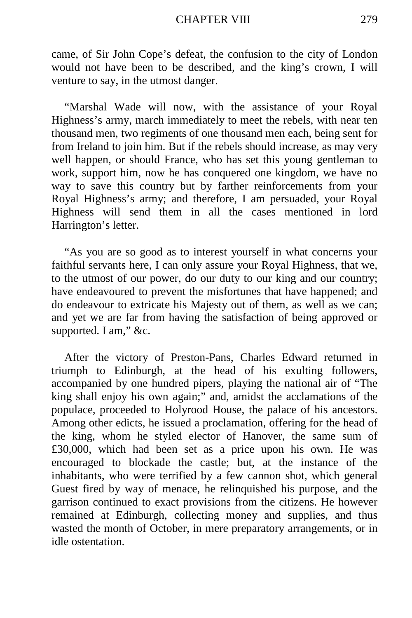came, of Sir John Cope's defeat, the confusion to the city of London would not have been to be described, and the king's crown, I will venture to say, in the utmost danger.

"Marshal Wade will now, with the assistance of your Royal Highness's army, march immediately to meet the rebels, with near ten thousand men, two regiments of one thousand men each, being sent for from Ireland to join him. But if the rebels should increase, as may very well happen, or should France, who has set this young gentleman to work, support him, now he has conquered one kingdom, we have no way to save this country but by farther reinforcements from your Royal Highness's army; and therefore, I am persuaded, your Royal Highness will send them in all the cases mentioned in lord Harrington's letter.

"As you are so good as to interest yourself in what concerns your faithful servants here, I can only assure your Royal Highness, that we, to the utmost of our power, do our duty to our king and our country; have endeavoured to prevent the misfortunes that have happened; and do endeavour to extricate his Majesty out of them, as well as we can; and yet we are far from having the satisfaction of being approved or supported. I am," &c.

After the victory of Preston-Pans, Charles Edward returned in triumph to Edinburgh, at the head of his exulting followers, accompanied by one hundred pipers, playing the national air of "The king shall enjoy his own again;" and, amidst the acclamations of the populace, proceeded to Holyrood House, the palace of his ancestors. Among other edicts, he issued a proclamation, offering for the head of the king, whom he styled elector of Hanover, the same sum of £30,000, which had been set as a price upon his own. He was encouraged to blockade the castle; but, at the instance of the inhabitants, who were terrified by a few cannon shot, which general Guest fired by way of menace, he relinquished his purpose, and the garrison continued to exact provisions from the citizens. He however remained at Edinburgh, collecting money and supplies, and thus wasted the month of October, in mere preparatory arrangements, or in idle ostentation.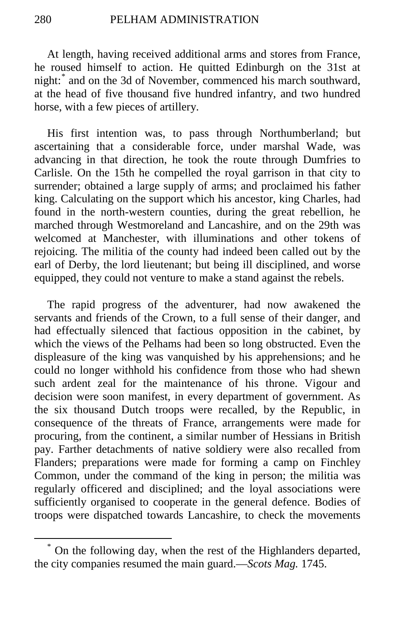At length, having received additional arms and stores from France, he roused himself to action. He quitted Edinburgh on the 31st at night:[\\*](#page-91-0) and on the 3d of November, commenced his march southward, at the head of five thousand five hundred infantry, and two hundred horse, with a few pieces of artillery.

His first intention was, to pass through Northumberland; but ascertaining that a considerable force, under marshal Wade, was advancing in that direction, he took the route through Dumfries to Carlisle. On the 15th he compelled the royal garrison in that city to surrender; obtained a large supply of arms; and proclaimed his father king. Calculating on the support which his ancestor, king Charles, had found in the north-western counties, during the great rebellion, he marched through Westmoreland and Lancashire, and on the 29th was welcomed at Manchester, with illuminations and other tokens of rejoicing. The militia of the county had indeed been called out by the earl of Derby, the lord lieutenant; but being ill disciplined, and worse equipped, they could not venture to make a stand against the rebels.

The rapid progress of the adventurer, had now awakened the servants and friends of the Crown, to a full sense of their danger, and had effectually silenced that factious opposition in the cabinet, by which the views of the Pelhams had been so long obstructed. Even the displeasure of the king was vanquished by his apprehensions; and he could no longer withhold his confidence from those who had shewn such ardent zeal for the maintenance of his throne. Vigour and decision were soon manifest, in every department of government. As the six thousand Dutch troops were recalled, by the Republic, in consequence of the threats of France, arrangements were made for procuring, from the continent, a similar number of Hessians in British pay. Farther detachments of native soldiery were also recalled from Flanders; preparations were made for forming a camp on Finchley Common, under the command of the king in person; the militia was regularly officered and disciplined; and the loyal associations were sufficiently organised to cooperate in the general defence. Bodies of troops were dispatched towards Lancashire, to check the movements

<span id="page-91-0"></span> <sup>\*</sup> On the following day, when the rest of the Highlanders departed, the city companies resumed the main guard.—*Scots Mag.* 1745.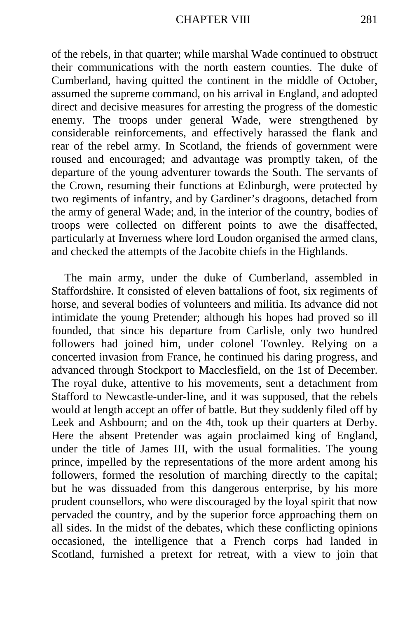of the rebels, in that quarter; while marshal Wade continued to obstruct their communications with the north eastern counties. The duke of Cumberland, having quitted the continent in the middle of October, assumed the supreme command, on his arrival in England, and adopted direct and decisive measures for arresting the progress of the domestic enemy. The troops under general Wade, were strengthened by considerable reinforcements, and effectively harassed the flank and rear of the rebel army. In Scotland, the friends of government were roused and encouraged; and advantage was promptly taken, of the departure of the young adventurer towards the South. The servants of the Crown, resuming their functions at Edinburgh, were protected by two regiments of infantry, and by Gardiner's dragoons, detached from the army of general Wade; and, in the interior of the country, bodies of troops were collected on different points to awe the disaffected, particularly at Inverness where lord Loudon organised the armed clans, and checked the attempts of the Jacobite chiefs in the Highlands.

The main army, under the duke of Cumberland, assembled in Staffordshire. It consisted of eleven battalions of foot, six regiments of horse, and several bodies of volunteers and militia. Its advance did not intimidate the young Pretender; although his hopes had proved so ill founded, that since his departure from Carlisle, only two hundred followers had joined him, under colonel Townley. Relying on a concerted invasion from France, he continued his daring progress, and advanced through Stockport to Macclesfield, on the 1st of December. The royal duke, attentive to his movements, sent a detachment from Stafford to Newcastle-under-line, and it was supposed, that the rebels would at length accept an offer of battle. But they suddenly filed off by Leek and Ashbourn; and on the 4th, took up their quarters at Derby. Here the absent Pretender was again proclaimed king of England, under the title of James III, with the usual formalities. The young prince, impelled by the representations of the more ardent among his followers, formed the resolution of marching directly to the capital; but he was dissuaded from this dangerous enterprise, by his more prudent counsellors, who were discouraged by the loyal spirit that now pervaded the country, and by the superior force approaching them on all sides. In the midst of the debates, which these conflicting opinions occasioned, the intelligence that a French corps had landed in Scotland, furnished a pretext for retreat, with a view to join that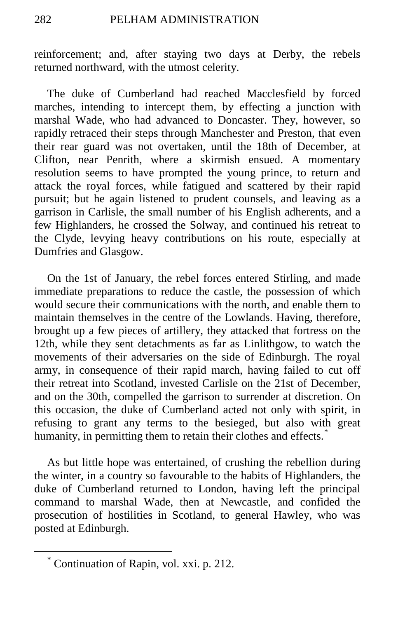reinforcement; and, after staying two days at Derby, the rebels returned northward, with the utmost celerity.

The duke of Cumberland had reached Macclesfield by forced marches, intending to intercept them, by effecting a junction with marshal Wade, who had advanced to Doncaster. They, however, so rapidly retraced their steps through Manchester and Preston, that even their rear guard was not overtaken, until the 18th of December, at Clifton, near Penrith, where a skirmish ensued. A momentary resolution seems to have prompted the young prince, to return and attack the royal forces, while fatigued and scattered by their rapid pursuit; but he again listened to prudent counsels, and leaving as a garrison in Carlisle, the small number of his English adherents, and a few Highlanders, he crossed the Solway, and continued his retreat to the Clyde, levying heavy contributions on his route, especially at Dumfries and Glasgow.

On the 1st of January, the rebel forces entered Stirling, and made immediate preparations to reduce the castle, the possession of which would secure their communications with the north, and enable them to maintain themselves in the centre of the Lowlands. Having, therefore, brought up a few pieces of artillery, they attacked that fortress on the 12th, while they sent detachments as far as Linlithgow, to watch the movements of their adversaries on the side of Edinburgh. The royal army, in consequence of their rapid march, having failed to cut off their retreat into Scotland, invested Carlisle on the 21st of December, and on the 30th, compelled the garrison to surrender at discretion. On this occasion, the duke of Cumberland acted not only with spirit, in refusing to grant any terms to the besieged, but also with great humanity, in permitting them to retain their clothes and effects.<sup>[\\*](#page-93-0)</sup>

As but little hope was entertained, of crushing the rebellion during the winter, in a country so favourable to the habits of Highlanders, the duke of Cumberland returned to London, having left the principal command to marshal Wade, then at Newcastle, and confided the prosecution of hostilities in Scotland, to general Hawley, who was posted at Edinburgh.

<span id="page-93-0"></span> <sup>\*</sup> Continuation of Rapin, vol. xxi. p. 212.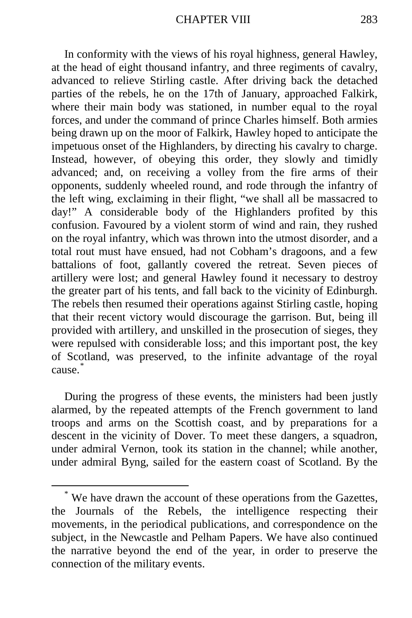In conformity with the views of his royal highness, general Hawley, at the head of eight thousand infantry, and three regiments of cavalry, advanced to relieve Stirling castle. After driving back the detached parties of the rebels, he on the 17th of January, approached Falkirk, where their main body was stationed, in number equal to the royal forces, and under the command of prince Charles himself. Both armies being drawn up on the moor of Falkirk, Hawley hoped to anticipate the impetuous onset of the Highlanders, by directing his cavalry to charge. Instead, however, of obeying this order, they slowly and timidly advanced; and, on receiving a volley from the fire arms of their opponents, suddenly wheeled round, and rode through the infantry of the left wing, exclaiming in their flight, "we shall all be massacred to day!" A considerable body of the Highlanders profited by this confusion. Favoured by a violent storm of wind and rain, they rushed on the royal infantry, which was thrown into the utmost disorder, and a total rout must have ensued, had not Cobham's dragoons, and a few battalions of foot, gallantly covered the retreat. Seven pieces of artillery were lost; and general Hawley found it necessary to destroy the greater part of his tents, and fall back to the vicinity of Edinburgh. The rebels then resumed their operations against Stirling castle, hoping that their recent victory would discourage the garrison. But, being ill provided with artillery, and unskilled in the prosecution of sieges, they were repulsed with considerable loss; and this important post, the key of Scotland, was preserved, to the infinite advantage of the royal cause.[\\*](#page-94-0)

During the progress of these events, the ministers had been justly alarmed, by the repeated attempts of the French government to land troops and arms on the Scottish coast, and by preparations for a descent in the vicinity of Dover. To meet these dangers, a squadron, under admiral Vernon, took its station in the channel; while another, under admiral Byng, sailed for the eastern coast of Scotland. By the

<span id="page-94-0"></span> <sup>\*</sup> We have drawn the account of these operations from the Gazettes, the Journals of the Rebels, the intelligence respecting their movements, in the periodical publications, and correspondence on the subject, in the Newcastle and Pelham Papers. We have also continued the narrative beyond the end of the year, in order to preserve the connection of the military events.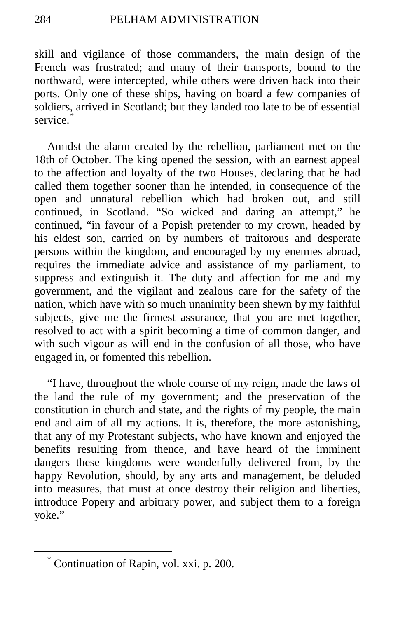skill and vigilance of those commanders, the main design of the French was frustrated; and many of their transports, bound to the northward, were intercepted, while others were driven back into their ports. Only one of these ships, having on board a few companies of soldiers, arrived in Scotland; but they landed too late to be of essential service.

Amidst the alarm created by the rebellion, parliament met on the 18th of October. The king opened the session, with an earnest appeal to the affection and loyalty of the two Houses, declaring that he had called them together sooner than he intended, in consequence of the open and unnatural rebellion which had broken out, and still continued, in Scotland. "So wicked and daring an attempt," he continued, "in favour of a Popish pretender to my crown, headed by his eldest son, carried on by numbers of traitorous and desperate persons within the kingdom, and encouraged by my enemies abroad, requires the immediate advice and assistance of my parliament, to suppress and extinguish it. The duty and affection for me and my government, and the vigilant and zealous care for the safety of the nation, which have with so much unanimity been shewn by my faithful subjects, give me the firmest assurance, that you are met together, resolved to act with a spirit becoming a time of common danger, and with such vigour as will end in the confusion of all those, who have engaged in, or fomented this rebellion.

"I have, throughout the whole course of my reign, made the laws of the land the rule of my government; and the preservation of the constitution in church and state, and the rights of my people, the main end and aim of all my actions. It is, therefore, the more astonishing, that any of my Protestant subjects, who have known and enjoyed the benefits resulting from thence, and have heard of the imminent dangers these kingdoms were wonderfully delivered from, by the happy Revolution, should, by any arts and management, be deluded into measures, that must at once destroy their religion and liberties, introduce Popery and arbitrary power, and subject them to a foreign yoke."

<span id="page-95-0"></span> <sup>\*</sup> Continuation of Rapin, vol. xxi. p. 200.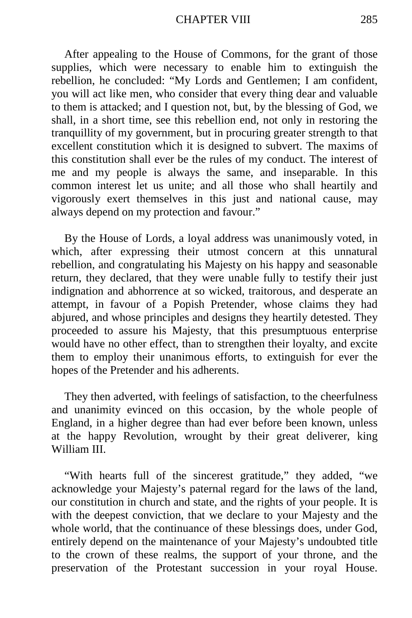### CHAPTER VIII 285

After appealing to the House of Commons, for the grant of those supplies, which were necessary to enable him to extinguish the rebellion, he concluded: "My Lords and Gentlemen; I am confident, you will act like men, who consider that every thing dear and valuable to them is attacked; and I question not, but, by the blessing of God, we shall, in a short time, see this rebellion end, not only in restoring the tranquillity of my government, but in procuring greater strength to that excellent constitution which it is designed to subvert. The maxims of this constitution shall ever be the rules of my conduct. The interest of me and my people is always the same, and inseparable. In this common interest let us unite; and all those who shall heartily and vigorously exert themselves in this just and national cause, may always depend on my protection and favour."

By the House of Lords, a loyal address was unanimously voted, in which, after expressing their utmost concern at this unnatural rebellion, and congratulating his Majesty on his happy and seasonable return, they declared, that they were unable fully to testify their just indignation and abhorrence at so wicked, traitorous, and desperate an attempt, in favour of a Popish Pretender, whose claims they had abjured, and whose principles and designs they heartily detested. They proceeded to assure his Majesty, that this presumptuous enterprise would have no other effect, than to strengthen their loyalty, and excite them to employ their unanimous efforts, to extinguish for ever the hopes of the Pretender and his adherents.

They then adverted, with feelings of satisfaction, to the cheerfulness and unanimity evinced on this occasion, by the whole people of England, in a higher degree than had ever before been known, unless at the happy Revolution, wrought by their great deliverer, king William III.

"With hearts full of the sincerest gratitude," they added, "we acknowledge your Majesty's paternal regard for the laws of the land, our constitution in church and state, and the rights of your people. It is with the deepest conviction, that we declare to your Majesty and the whole world, that the continuance of these blessings does, under God, entirely depend on the maintenance of your Majesty's undoubted title to the crown of these realms, the support of your throne, and the preservation of the Protestant succession in your royal House.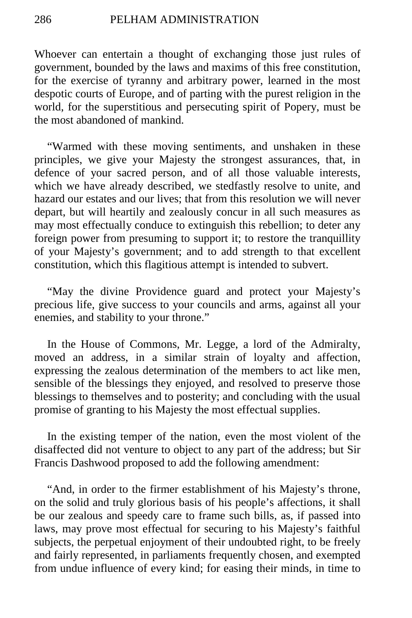Whoever can entertain a thought of exchanging those just rules of government, bounded by the laws and maxims of this free constitution, for the exercise of tyranny and arbitrary power, learned in the most despotic courts of Europe, and of parting with the purest religion in the world, for the superstitious and persecuting spirit of Popery, must be the most abandoned of mankind.

"Warmed with these moving sentiments, and unshaken in these principles, we give your Majesty the strongest assurances, that, in defence of your sacred person, and of all those valuable interests, which we have already described, we stedfastly resolve to unite, and hazard our estates and our lives; that from this resolution we will never depart, but will heartily and zealously concur in all such measures as may most effectually conduce to extinguish this rebellion; to deter any foreign power from presuming to support it; to restore the tranquillity of your Majesty's government; and to add strength to that excellent constitution, which this flagitious attempt is intended to subvert.

"May the divine Providence guard and protect your Majesty's precious life, give success to your councils and arms, against all your enemies, and stability to your throne."

In the House of Commons, Mr. Legge, a lord of the Admiralty, moved an address, in a similar strain of loyalty and affection, expressing the zealous determination of the members to act like men, sensible of the blessings they enjoyed, and resolved to preserve those blessings to themselves and to posterity; and concluding with the usual promise of granting to his Majesty the most effectual supplies.

In the existing temper of the nation, even the most violent of the disaffected did not venture to object to any part of the address; but Sir Francis Dashwood proposed to add the following amendment:

"And, in order to the firmer establishment of his Majesty's throne, on the solid and truly glorious basis of his people's affections, it shall be our zealous and speedy care to frame such bills, as, if passed into laws, may prove most effectual for securing to his Majesty's faithful subjects, the perpetual enjoyment of their undoubted right, to be freely and fairly represented, in parliaments frequently chosen, and exempted from undue influence of every kind; for easing their minds, in time to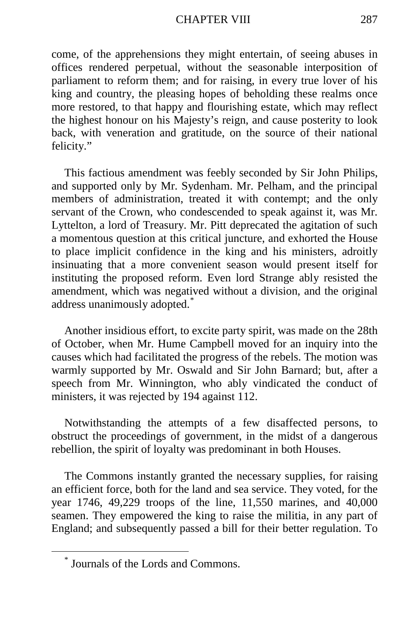#### CHAPTER VIII 287

come, of the apprehensions they might entertain, of seeing abuses in offices rendered perpetual, without the seasonable interposition of parliament to reform them; and for raising, in every true lover of his king and country, the pleasing hopes of beholding these realms once more restored, to that happy and flourishing estate, which may reflect the highest honour on his Majesty's reign, and cause posterity to look back, with veneration and gratitude, on the source of their national felicity."

This factious amendment was feebly seconded by Sir John Philips, and supported only by Mr. Sydenham. Mr. Pelham, and the principal members of administration, treated it with contempt; and the only servant of the Crown, who condescended to speak against it, was Mr. Lyttelton, a lord of Treasury. Mr. Pitt deprecated the agitation of such a momentous question at this critical juncture, and exhorted the House to place implicit confidence in the king and his ministers, adroitly insinuating that a more convenient season would present itself for instituting the proposed reform. Even lord Strange ably resisted the amendment, which was negatived without a division, and the original address unanimously adopted.[\\*](#page-98-0)

Another insidious effort, to excite party spirit, was made on the 28th of October, when Mr. Hume Campbell moved for an inquiry into the causes which had facilitated the progress of the rebels. The motion was warmly supported by Mr. Oswald and Sir John Barnard; but, after a speech from Mr. Winnington, who ably vindicated the conduct of ministers, it was rejected by 194 against 112.

Notwithstanding the attempts of a few disaffected persons, to obstruct the proceedings of government, in the midst of a dangerous rebellion, the spirit of loyalty was predominant in both Houses.

The Commons instantly granted the necessary supplies, for raising an efficient force, both for the land and sea service. They voted, for the year 1746, 49,229 troops of the line, 11,550 marines, and 40,000 seamen. They empowered the king to raise the militia, in any part of England; and subsequently passed a bill for their better regulation. To

<span id="page-98-0"></span> <sup>\*</sup> Journals of the Lords and Commons.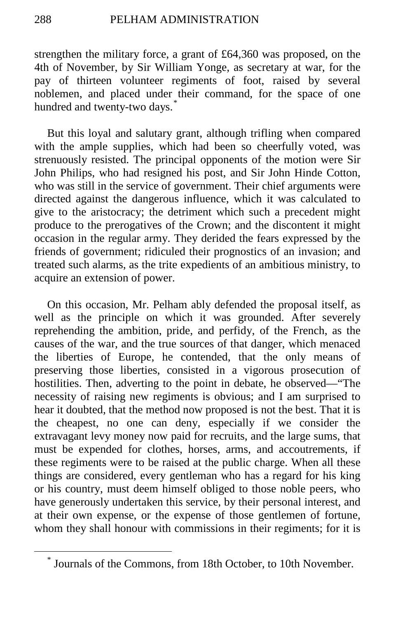strengthen the military force, a grant of £64,360 was proposed, on the 4th of November, by Sir William Yonge, as secretary at war, for the pay of thirteen volunteer regiments of foot, raised by several noblemen, and placed under their command, for the space of one hundred and twenty-two days.<sup>[\\*](#page-99-0)</sup>

But this loyal and salutary grant, although trifling when compared with the ample supplies, which had been so cheerfully voted, was strenuously resisted. The principal opponents of the motion were Sir John Philips, who had resigned his post, and Sir John Hinde Cotton, who was still in the service of government. Their chief arguments were directed against the dangerous influence, which it was calculated to give to the aristocracy; the detriment which such a precedent might produce to the prerogatives of the Crown; and the discontent it might occasion in the regular army. They derided the fears expressed by the friends of government; ridiculed their prognostics of an invasion; and treated such alarms, as the trite expedients of an ambitious ministry, to acquire an extension of power.

On this occasion, Mr. Pelham ably defended the proposal itself, as well as the principle on which it was grounded. After severely reprehending the ambition, pride, and perfidy, of the French, as the causes of the war, and the true sources of that danger, which menaced the liberties of Europe, he contended, that the only means of preserving those liberties, consisted in a vigorous prosecution of hostilities. Then, adverting to the point in debate, he observed—"The necessity of raising new regiments is obvious; and I am surprised to hear it doubted, that the method now proposed is not the best. That it is the cheapest, no one can deny, especially if we consider the extravagant levy money now paid for recruits, and the large sums, that must be expended for clothes, horses, arms, and accoutrements, if these regiments were to be raised at the public charge. When all these things are considered, every gentleman who has a regard for his king or his country, must deem himself obliged to those noble peers, who have generously undertaken this service, by their personal interest, and at their own expense, or the expense of those gentlemen of fortune, whom they shall honour with commissions in their regiments; for it is

<span id="page-99-0"></span> <sup>\*</sup> Journals of the Commons, from 18th October, to 10th November.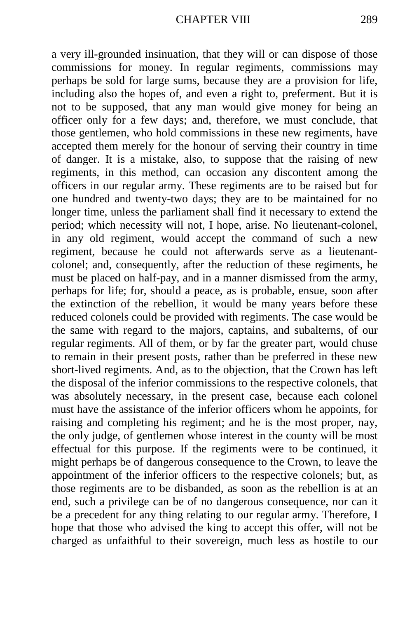a very ill-grounded insinuation, that they will or can dispose of those commissions for money. In regular regiments, commissions may perhaps be sold for large sums, because they are a provision for life, including also the hopes of, and even a right to, preferment. But it is not to be supposed, that any man would give money for being an officer only for a few days; and, therefore, we must conclude, that those gentlemen, who hold commissions in these new regiments, have accepted them merely for the honour of serving their country in time of danger. It is a mistake, also, to suppose that the raising of new regiments, in this method, can occasion any discontent among the officers in our regular army. These regiments are to be raised but for one hundred and twenty-two days; they are to be maintained for no longer time, unless the parliament shall find it necessary to extend the period; which necessity will not, I hope, arise. No lieutenant-colonel, in any old regiment, would accept the command of such a new regiment, because he could not afterwards serve as a lieutenantcolonel; and, consequently, after the reduction of these regiments, he must be placed on half-pay, and in a manner dismissed from the army, perhaps for life; for, should a peace, as is probable, ensue, soon after the extinction of the rebellion, it would be many years before these reduced colonels could be provided with regiments. The case would be the same with regard to the majors, captains, and subalterns, of our regular regiments. All of them, or by far the greater part, would chuse to remain in their present posts, rather than be preferred in these new short-lived regiments. And, as to the objection, that the Crown has left the disposal of the inferior commissions to the respective colonels, that was absolutely necessary, in the present case, because each colonel must have the assistance of the inferior officers whom he appoints, for raising and completing his regiment; and he is the most proper, nay, the only judge, of gentlemen whose interest in the county will be most effectual for this purpose. If the regiments were to be continued, it might perhaps be of dangerous consequence to the Crown, to leave the appointment of the inferior officers to the respective colonels; but, as those regiments are to be disbanded, as soon as the rebellion is at an end, such a privilege can be of no dangerous consequence, nor can it be a precedent for any thing relating to our regular army. Therefore, I hope that those who advised the king to accept this offer, will not be charged as unfaithful to their sovereign, much less as hostile to our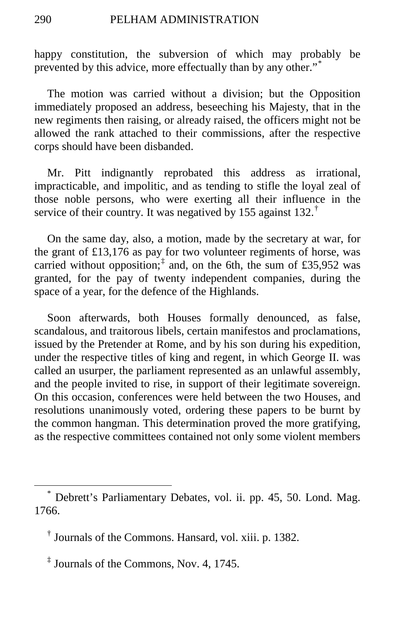happy constitution, the subversion of which may probably be prevented by this advice, more effectually than by any other."[\\*](#page-101-0)

The motion was carried without a division; but the Opposition immediately proposed an address, beseeching his Majesty, that in the new regiments then raising, or already raised, the officers might not be allowed the rank attached to their commissions, after the respective corps should have been disbanded.

Mr. Pitt indignantly reprobated this address as irrational, impracticable, and impolitic, and as tending to stifle the loyal zeal of those noble persons, who were exerting all their influence in the service of their country. It was negatived by 155 against 132.<sup>[†](#page-101-1)</sup>

On the same day, also, a motion, made by the secretary at war, for the grant of £13,176 as pay for two volunteer regiments of horse, was carried without opposition;<sup> $\ddagger$ </sup> and, on the 6th, the sum of £35,952 was granted, for the pay of twenty independent companies, during the space of a year, for the defence of the Highlands.

Soon afterwards, both Houses formally denounced, as false, scandalous, and traitorous libels, certain manifestos and proclamations, issued by the Pretender at Rome, and by his son during his expedition, under the respective titles of king and regent, in which George II. was called an usurper, the parliament represented as an unlawful assembly, and the people invited to rise, in support of their legitimate sovereign. On this occasion, conferences were held between the two Houses, and resolutions unanimously voted, ordering these papers to be burnt by the common hangman. This determination proved the more gratifying, as the respective committees contained not only some violent members

<span id="page-101-0"></span> <sup>\*</sup> Debrett's Parliamentary Debates, vol. ii. pp. 45, 50. Lond. Mag. 1766.

<span id="page-101-1"></span><sup>†</sup> Journals of the Commons. Hansard, vol. xiii. p. 1382.

<span id="page-101-2"></span><sup>‡</sup> Journals of the Commons, Nov. 4, 1745.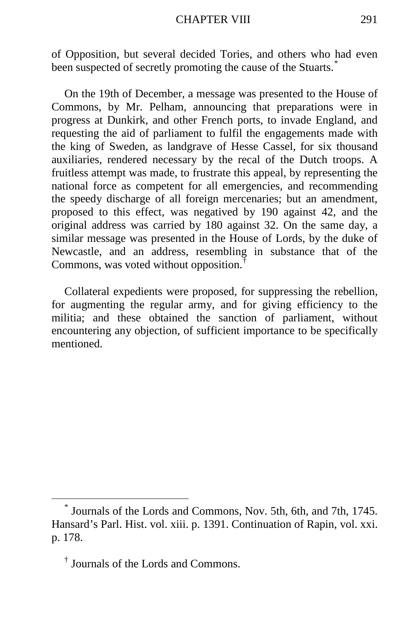#### CHAPTER VIII 291

of Opposition, but several decided Tories, and others who had even been suspected of secretly promoting the cause of the Stuarts.<sup>[\\*](#page-102-0)</sup>

On the 19th of December, a message was presented to the House of Commons, by Mr. Pelham, announcing that preparations were in progress at Dunkirk, and other French ports, to invade England, and requesting the aid of parliament to fulfil the engagements made with the king of Sweden, as landgrave of Hesse Cassel, for six thousand auxiliaries, rendered necessary by the recal of the Dutch troops. A fruitless attempt was made, to frustrate this appeal, by representing the national force as competent for all emergencies, and recommending the speedy discharge of all foreign mercenaries; but an amendment, proposed to this effect, was negatived by 190 against 42, and the original address was carried by 180 against 32. On the same day, a similar message was presented in the House of Lords, by the duke of Newcastle, and an address, resembling in substance that of the Commons, was voted without opposition.[†](#page-102-1)

Collateral expedients were proposed, for suppressing the rebellion, for augmenting the regular army, and for giving efficiency to the militia; and these obtained the sanction of parliament, without encountering any objection, of sufficient importance to be specifically mentioned.

<span id="page-102-0"></span>Journals of the Lords and Commons, Nov. 5th, 6th, and 7th, 1745. Hansard's Parl. Hist. vol. xiii. p. 1391. Continuation of Rapin, vol. xxi. p. 178.

<span id="page-102-1"></span><sup>†</sup> Journals of the Lords and Commons.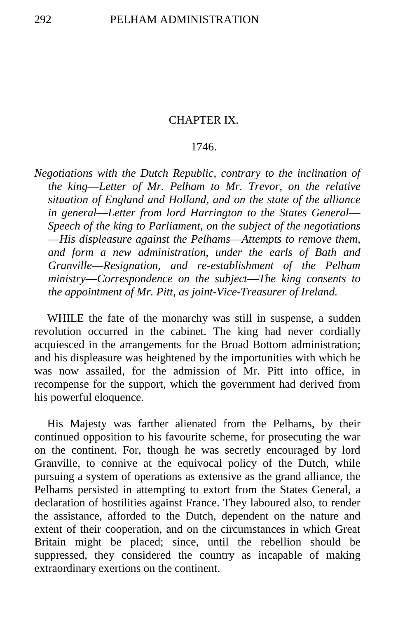# CHAPTER IX.

# 1746.

*Negotiations with the Dutch Republic, contrary to the inclination of the king*—*Letter of Mr. Pelham to Mr. Trevor, on the relative situation of England and Holland, and on the state of the alliance in general*—*Letter from lord Harrington to the States General*— *Speech of the king to Parliament, on the subject of the negotiations*  —*His displeasure against the Pelhams*—*Attempts to remove them, and form a new administration, under the earls of Bath and Granville*—*Resignation, and re-establishment of the Pelham ministry*—*Correspondence on the subject*—*The king consents to the appointment of Mr. Pitt, as joint-Vice-Treasurer of Ireland.*

WHILE the fate of the monarchy was still in suspense, a sudden revolution occurred in the cabinet. The king had never cordially acquiesced in the arrangements for the Broad Bottom administration; and his displeasure was heightened by the importunities with which he was now assailed, for the admission of Mr. Pitt into office, in recompense for the support, which the government had derived from his powerful eloquence.

His Majesty was farther alienated from the Pelhams, by their continued opposition to his favourite scheme, for prosecuting the war on the continent. For, though he was secretly encouraged by lord Granville, to connive at the equivocal policy of the Dutch, while pursuing a system of operations as extensive as the grand alliance, the Pelhams persisted in attempting to extort from the States General, a declaration of hostilities against France. They laboured also, to render the assistance, afforded to the Dutch, dependent on the nature and extent of their cooperation, and on the circumstances in which Great Britain might be placed; since, until the rebellion should be suppressed, they considered the country as incapable of making extraordinary exertions on the continent.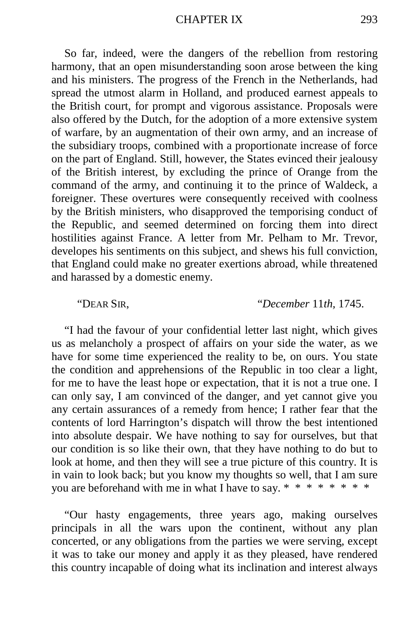So far, indeed, were the dangers of the rebellion from restoring harmony, that an open misunderstanding soon arose between the king and his ministers. The progress of the French in the Netherlands, had spread the utmost alarm in Holland, and produced earnest appeals to the British court, for prompt and vigorous assistance. Proposals were also offered by the Dutch, for the adoption of a more extensive system of warfare, by an augmentation of their own army, and an increase of the subsidiary troops, combined with a proportionate increase of force on the part of England. Still, however, the States evinced their jealousy of the British interest, by excluding the prince of Orange from the command of the army, and continuing it to the prince of Waldeck, a foreigner. These overtures were consequently received with coolness by the British ministers, who disapproved the temporising conduct of the Republic, and seemed determined on forcing them into direct hostilities against France. A letter from Mr. Pelham to Mr. Trevor, developes his sentiments on this subject, and shews his full conviction, that England could make no greater exertions abroad, while threatened and harassed by a domestic enemy.

"DEAR SIR, "*December* 11*th,* 1745.

"I had the favour of your confidential letter last night, which gives us as melancholy a prospect of affairs on your side the water, as we have for some time experienced the reality to be, on ours. You state the condition and apprehensions of the Republic in too clear a light, for me to have the least hope or expectation, that it is not a true one. I can only say, I am convinced of the danger, and yet cannot give you any certain assurances of a remedy from hence; I rather fear that the contents of lord Harrington's dispatch will throw the best intentioned into absolute despair. We have nothing to say for ourselves, but that our condition is so like their own, that they have nothing to do but to look at home, and then they will see a true picture of this country. It is in vain to look back; but you know my thoughts so well, that I am sure you are beforehand with me in what I have to say. \* \* \* \* \* \* \* \*

"Our hasty engagements, three years ago, making ourselves principals in all the wars upon the continent, without any plan concerted, or any obligations from the parties we were serving, except it was to take our money and apply it as they pleased, have rendered this country incapable of doing what its inclination and interest always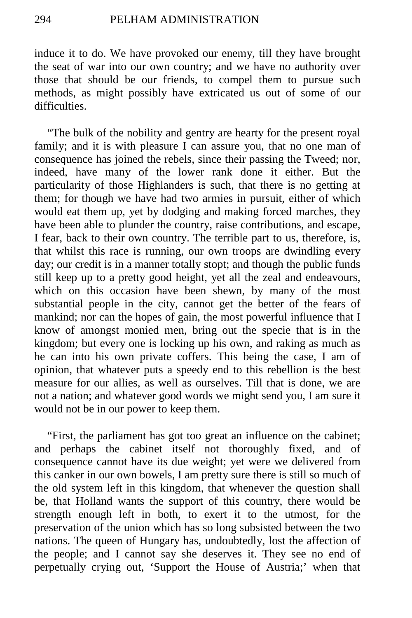induce it to do. We have provoked our enemy, till they have brought the seat of war into our own country; and we have no authority over those that should be our friends, to compel them to pursue such methods, as might possibly have extricated us out of some of our difficulties.

"The bulk of the nobility and gentry are hearty for the present royal family; and it is with pleasure I can assure you, that no one man of consequence has joined the rebels, since their passing the Tweed; nor, indeed, have many of the lower rank done it either. But the particularity of those Highlanders is such, that there is no getting at them; for though we have had two armies in pursuit, either of which would eat them up, yet by dodging and making forced marches, they have been able to plunder the country, raise contributions, and escape, I fear, back to their own country. The terrible part to us, therefore, is, that whilst this race is running, our own troops are dwindling every day; our credit is in a manner totally stopt; and though the public funds still keep up to a pretty good height, yet all the zeal and endeavours, which on this occasion have been shewn, by many of the most substantial people in the city, cannot get the better of the fears of mankind; nor can the hopes of gain, the most powerful influence that I know of amongst monied men, bring out the specie that is in the kingdom; but every one is locking up his own, and raking as much as he can into his own private coffers. This being the case, I am of opinion, that whatever puts a speedy end to this rebellion is the best measure for our allies, as well as ourselves. Till that is done, we are not a nation; and whatever good words we might send you, I am sure it would not be in our power to keep them.

"First, the parliament has got too great an influence on the cabinet; and perhaps the cabinet itself not thoroughly fixed, and of consequence cannot have its due weight; yet were we delivered from this canker in our own bowels, I am pretty sure there is still so much of the old system left in this kingdom, that whenever the question shall be, that Holland wants the support of this country, there would be strength enough left in both, to exert it to the utmost, for the preservation of the union which has so long subsisted between the two nations. The queen of Hungary has, undoubtedly, lost the affection of the people; and I cannot say she deserves it. They see no end of perpetually crying out, 'Support the House of Austria;' when that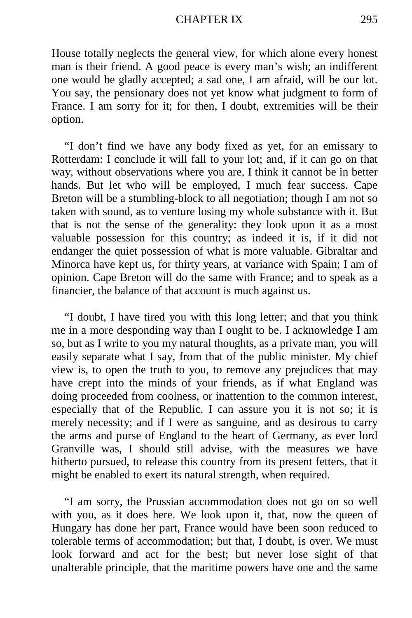## CHAPTER IX 295

House totally neglects the general view, for which alone every honest man is their friend. A good peace is every man's wish; an indifferent one would be gladly accepted; a sad one, I am afraid, will be our lot. You say, the pensionary does not yet know what judgment to form of France. I am sorry for it; for then, I doubt, extremities will be their option.

"I don't find we have any body fixed as yet, for an emissary to Rotterdam: I conclude it will fall to your lot; and, if it can go on that way, without observations where you are, I think it cannot be in better hands. But let who will be employed, I much fear success. Cape Breton will be a stumbling-block to all negotiation; though I am not so taken with sound, as to venture losing my whole substance with it. But that is not the sense of the generality: they look upon it as a most valuable possession for this country; as indeed it is, if it did not endanger the quiet possession of what is more valuable. Gibraltar and Minorca have kept us, for thirty years, at variance with Spain; I am of opinion. Cape Breton will do the same with France; and to speak as a financier, the balance of that account is much against us.

"I doubt, I have tired you with this long letter; and that you think me in a more desponding way than I ought to be. I acknowledge I am so, but as I write to you my natural thoughts, as a private man, you will easily separate what I say, from that of the public minister. My chief view is, to open the truth to you, to remove any prejudices that may have crept into the minds of your friends, as if what England was doing proceeded from coolness, or inattention to the common interest, especially that of the Republic. I can assure you it is not so; it is merely necessity; and if I were as sanguine, and as desirous to carry the arms and purse of England to the heart of Germany, as ever lord Granville was, I should still advise, with the measures we have hitherto pursued, to release this country from its present fetters, that it might be enabled to exert its natural strength, when required.

"I am sorry, the Prussian accommodation does not go on so well with you, as it does here. We look upon it, that, now the queen of Hungary has done her part, France would have been soon reduced to tolerable terms of accommodation; but that, I doubt, is over. We must look forward and act for the best; but never lose sight of that unalterable principle, that the maritime powers have one and the same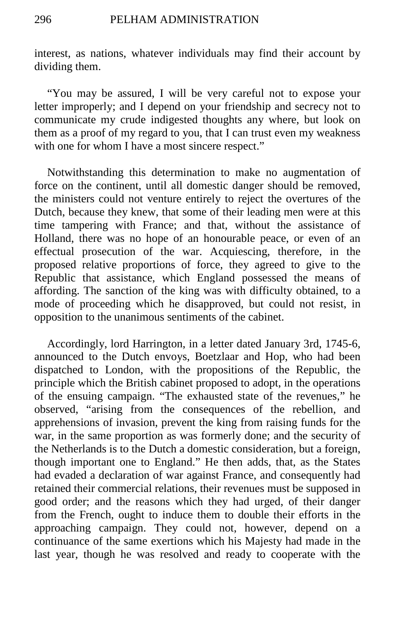interest, as nations, whatever individuals may find their account by dividing them.

"You may be assured, I will be very careful not to expose your letter improperly; and I depend on your friendship and secrecy not to communicate my crude indigested thoughts any where, but look on them as a proof of my regard to you, that I can trust even my weakness with one for whom I have a most sincere respect."

Notwithstanding this determination to make no augmentation of force on the continent, until all domestic danger should be removed, the ministers could not venture entirely to reject the overtures of the Dutch, because they knew, that some of their leading men were at this time tampering with France; and that, without the assistance of Holland, there was no hope of an honourable peace, or even of an effectual prosecution of the war. Acquiescing, therefore, in the proposed relative proportions of force, they agreed to give to the Republic that assistance, which England possessed the means of affording. The sanction of the king was with difficulty obtained, to a mode of proceeding which he disapproved, but could not resist, in opposition to the unanimous sentiments of the cabinet.

Accordingly, lord Harrington, in a letter dated January 3rd, 1745-6, announced to the Dutch envoys, Boetzlaar and Hop, who had been dispatched to London, with the propositions of the Republic, the principle which the British cabinet proposed to adopt, in the operations of the ensuing campaign. "The exhausted state of the revenues," he observed, "arising from the consequences of the rebellion, and apprehensions of invasion, prevent the king from raising funds for the war, in the same proportion as was formerly done; and the security of the Netherlands is to the Dutch a domestic consideration, but a foreign, though important one to England." He then adds, that, as the States had evaded a declaration of war against France, and consequently had retained their commercial relations, their revenues must be supposed in good order; and the reasons which they had urged, of their danger from the French, ought to induce them to double their efforts in the approaching campaign. They could not, however, depend on a continuance of the same exertions which his Majesty had made in the last year, though he was resolved and ready to cooperate with the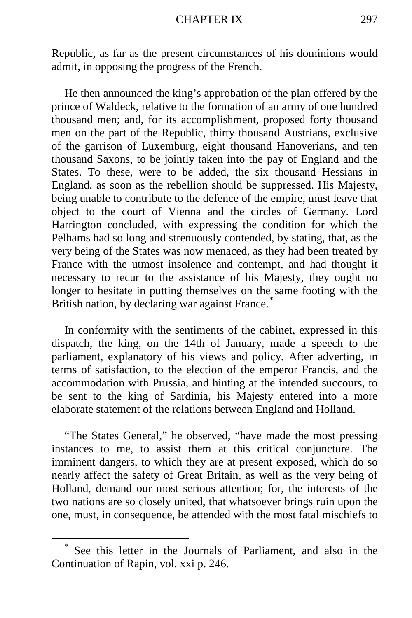Republic, as far as the present circumstances of his dominions would admit, in opposing the progress of the French.

He then announced the king's approbation of the plan offered by the prince of Waldeck, relative to the formation of an army of one hundred thousand men; and, for its accomplishment, proposed forty thousand men on the part of the Republic, thirty thousand Austrians, exclusive of the garrison of Luxemburg, eight thousand Hanoverians, and ten thousand Saxons, to be jointly taken into the pay of England and the States. To these, were to be added, the six thousand Hessians in England, as soon as the rebellion should be suppressed. His Majesty, being unable to contribute to the defence of the empire, must leave that object to the court of Vienna and the circles of Germany. Lord Harrington concluded, with expressing the condition for which the Pelhams had so long and strenuously contended, by stating, that, as the very being of the States was now menaced, as they had been treated by France with the utmost insolence and contempt, and had thought it necessary to recur to the assistance of his Majesty, they ought no longer to hesitate in putting themselves on the same footing with the British nation, by declaring war against France.<sup>[\\*](#page-108-0)</sup>

In conformity with the sentiments of the cabinet, expressed in this dispatch, the king, on the 14th of January, made a speech to the parliament, explanatory of his views and policy. After adverting, in terms of satisfaction, to the election of the emperor Francis, and the accommodation with Prussia, and hinting at the intended succours, to be sent to the king of Sardinia, his Majesty entered into a more elaborate statement of the relations between England and Holland.

"The States General," he observed, "have made the most pressing instances to me, to assist them at this critical conjuncture. The imminent dangers, to which they are at present exposed, which do so nearly affect the safety of Great Britain, as well as the very being of Holland, demand our most serious attention; for, the interests of the two nations are so closely united, that whatsoever brings ruin upon the one, must, in consequence, be attended with the most fatal mischiefs to

<span id="page-108-0"></span>See this letter in the Journals of Parliament, and also in the Continuation of Rapin, vol. xxi p. 246.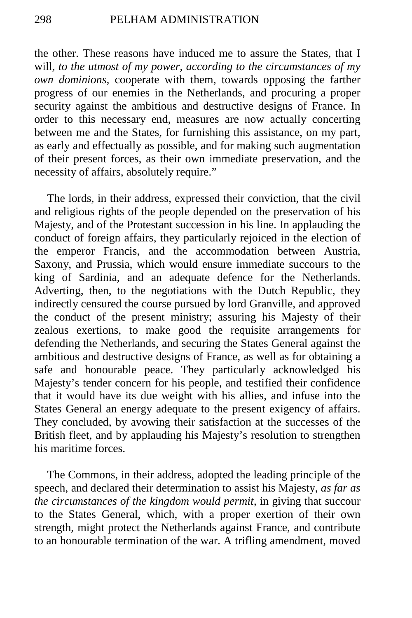the other. These reasons have induced me to assure the States, that I will, *to the utmost of my power, according to the circumstances of my own dominions,* cooperate with them, towards opposing the farther progress of our enemies in the Netherlands, and procuring a proper security against the ambitious and destructive designs of France. In order to this necessary end, measures are now actually concerting between me and the States, for furnishing this assistance, on my part, as early and effectually as possible, and for making such augmentation of their present forces, as their own immediate preservation, and the necessity of affairs, absolutely require."

The lords, in their address, expressed their conviction, that the civil and religious rights of the people depended on the preservation of his Majesty, and of the Protestant succession in his line. In applauding the conduct of foreign affairs, they particularly rejoiced in the election of the emperor Francis, and the accommodation between Austria, Saxony, and Prussia, which would ensure immediate succours to the king of Sardinia, and an adequate defence for the Netherlands. Adverting, then, to the negotiations with the Dutch Republic, they indirectly censured the course pursued by lord Granville, and approved the conduct of the present ministry; assuring his Majesty of their zealous exertions, to make good the requisite arrangements for defending the Netherlands, and securing the States General against the ambitious and destructive designs of France, as well as for obtaining a safe and honourable peace. They particularly acknowledged his Majesty's tender concern for his people, and testified their confidence that it would have its due weight with his allies, and infuse into the States General an energy adequate to the present exigency of affairs. They concluded, by avowing their satisfaction at the successes of the British fleet, and by applauding his Majesty's resolution to strengthen his maritime forces.

The Commons, in their address, adopted the leading principle of the speech, and declared their determination to assist his Majesty, *as far as the circumstances of the kingdom would permit,* in giving that succour to the States General, which, with a proper exertion of their own strength, might protect the Netherlands against France, and contribute to an honourable termination of the war. A trifling amendment, moved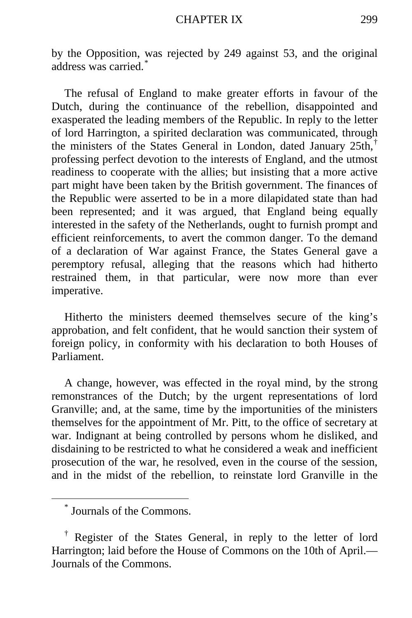by the Opposition, was rejected by 249 against 53, and the original address was carried.<sup>[\\*](#page-110-0)</sup>

The refusal of England to make greater efforts in favour of the Dutch, during the continuance of the rebellion, disappointed and exasperated the leading members of the Republic. In reply to the letter of lord Harrington, a spirited declaration was communicated, through the ministers of the States General in London, dated January 25th,[†](#page-110-1) professing perfect devotion to the interests of England, and the utmost readiness to cooperate with the allies; but insisting that a more active part might have been taken by the British government. The finances of the Republic were asserted to be in a more dilapidated state than had been represented; and it was argued, that England being equally interested in the safety of the Netherlands, ought to furnish prompt and efficient reinforcements, to avert the common danger. To the demand of a declaration of War against France, the States General gave a peremptory refusal, alleging that the reasons which had hitherto restrained them, in that particular, were now more than ever imperative.

Hitherto the ministers deemed themselves secure of the king's approbation, and felt confident, that he would sanction their system of foreign policy, in conformity with his declaration to both Houses of Parliament.

A change, however, was effected in the royal mind, by the strong remonstrances of the Dutch; by the urgent representations of lord Granville; and, at the same, time by the importunities of the ministers themselves for the appointment of Mr. Pitt, to the office of secretary at war. Indignant at being controlled by persons whom he disliked, and disdaining to be restricted to what he considered a weak and inefficient prosecution of the war, he resolved, even in the course of the session, and in the midst of the rebellion, to reinstate lord Granville in the

 <sup>\*</sup> Journals of the Commons.

<span id="page-110-1"></span><span id="page-110-0"></span><sup>†</sup> Register of the States General, in reply to the letter of lord Harrington; laid before the House of Commons on the 10th of April.— Journals of the Commons.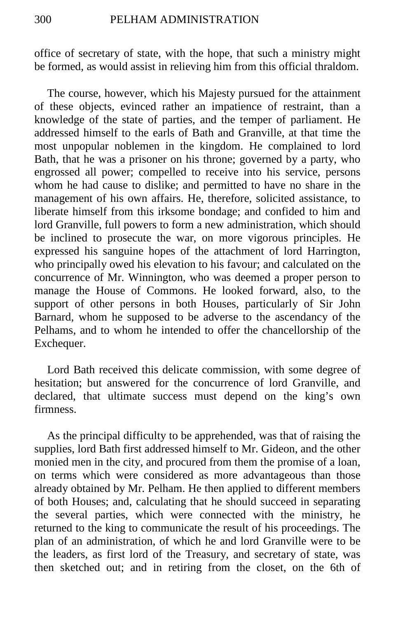office of secretary of state, with the hope, that such a ministry might be formed, as would assist in relieving him from this official thraldom.

The course, however, which his Majesty pursued for the attainment of these objects, evinced rather an impatience of restraint, than a knowledge of the state of parties, and the temper of parliament. He addressed himself to the earls of Bath and Granville, at that time the most unpopular noblemen in the kingdom. He complained to lord Bath, that he was a prisoner on his throne; governed by a party, who engrossed all power; compelled to receive into his service, persons whom he had cause to dislike; and permitted to have no share in the management of his own affairs. He, therefore, solicited assistance, to liberate himself from this irksome bondage; and confided to him and lord Granville, full powers to form a new administration, which should be inclined to prosecute the war, on more vigorous principles. He expressed his sanguine hopes of the attachment of lord Harrington, who principally owed his elevation to his favour; and calculated on the concurrence of Mr. Winnington, who was deemed a proper person to manage the House of Commons. He looked forward, also, to the support of other persons in both Houses, particularly of Sir John Barnard, whom he supposed to be adverse to the ascendancy of the Pelhams, and to whom he intended to offer the chancellorship of the Exchequer.

Lord Bath received this delicate commission, with some degree of hesitation; but answered for the concurrence of lord Granville, and declared, that ultimate success must depend on the king's own firmness.

As the principal difficulty to be apprehended, was that of raising the supplies, lord Bath first addressed himself to Mr. Gideon, and the other monied men in the city, and procured from them the promise of a loan, on terms which were considered as more advantageous than those already obtained by Mr. Pelham. He then applied to different members of both Houses; and, calculating that he should succeed in separating the several parties, which were connected with the ministry, he returned to the king to communicate the result of his proceedings. The plan of an administration, of which he and lord Granville were to be the leaders, as first lord of the Treasury, and secretary of state, was then sketched out; and in retiring from the closet, on the 6th of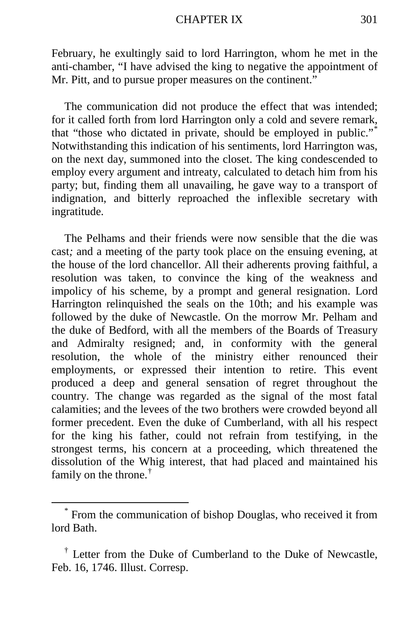February, he exultingly said to lord Harrington, whom he met in the anti-chamber, "I have advised the king to negative the appointment of Mr. Pitt, and to pursue proper measures on the continent."

The communication did not produce the effect that was intended; for it called forth from lord Harrington only a cold and severe remark, that "those who dictated in private, should be employed in public."[\\*](#page-112-0) Notwithstanding this indication of his sentiments, lord Harrington was, on the next day, summoned into the closet. The king condescended to employ every argument and intreaty, calculated to detach him from his party; but, finding them all unavailing, he gave way to a transport of indignation, and bitterly reproached the inflexible secretary with ingratitude.

The Pelhams and their friends were now sensible that the die was cast*;* and a meeting of the party took place on the ensuing evening, at the house of the lord chancellor. All their adherents proving faithful, a resolution was taken, to convince the king of the weakness and impolicy of his scheme, by a prompt and general resignation. Lord Harrington relinquished the seals on the 10th; and his example was followed by the duke of Newcastle. On the morrow Mr. Pelham and the duke of Bedford, with all the members of the Boards of Treasury and Admiralty resigned; and, in conformity with the general resolution, the whole of the ministry either renounced their employments, or expressed their intention to retire. This event produced a deep and general sensation of regret throughout the country. The change was regarded as the signal of the most fatal calamities; and the levees of the two brothers were crowded beyond all former precedent. Even the duke of Cumberland, with all his respect for the king his father, could not refrain from testifying, in the strongest terms, his concern at a proceeding, which threatened the dissolution of the Whig interest, that had placed and maintained his family on the throne.[†](#page-112-1)

<span id="page-112-0"></span> <sup>\*</sup> From the communication of bishop Douglas, who received it from lord Bath.

<span id="page-112-1"></span><sup>&</sup>lt;sup>†</sup> Letter from the Duke of Cumberland to the Duke of Newcastle, Feb. 16, 1746. Illust. Corresp.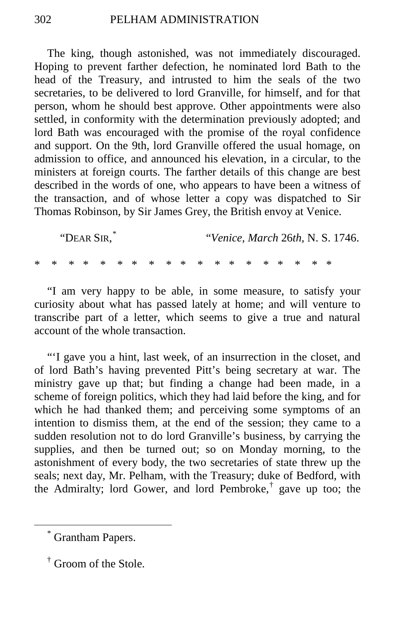The king, though astonished, was not immediately discouraged. Hoping to prevent farther defection, he nominated lord Bath to the head of the Treasury, and intrusted to him the seals of the two secretaries, to be delivered to lord Granville, for himself, and for that person, whom he should best approve. Other appointments were also settled, in conformity with the determination previously adopted; and lord Bath was encouraged with the promise of the royal confidence and support. On the 9th, lord Granville offered the usual homage, on admission to office, and announced his elevation, in a circular, to the ministers at foreign courts. The farther details of this change are best described in the words of one, who appears to have been a witness of the transaction, and of whose letter a copy was dispatched to Sir Thomas Robinson, by Sir James Grey, the British envoy at Venice.

"DEAR SIR, [\\*](#page-113-0) "*Venice, March* 26*th,* N. S. 1746. \* \* \* \* \* \* \* \* \* \* \* \* \* \* \* \* \* \* \*

"I am very happy to be able, in some measure, to satisfy your curiosity about what has passed lately at home; and will venture to transcribe part of a letter, which seems to give a true and natural account of the whole transaction.

"'I gave you a hint, last week, of an insurrection in the closet, and of lord Bath's having prevented Pitt's being secretary at war. The ministry gave up that; but finding a change had been made, in a scheme of foreign politics, which they had laid before the king, and for which he had thanked them; and perceiving some symptoms of an intention to dismiss them, at the end of the session; they came to a sudden resolution not to do lord Granville's business, by carrying the supplies, and then be turned out; so on Monday morning, to the astonishment of every body, the two secretaries of state threw up the seals; next day, Mr. Pelham, with the Treasury; duke of Bedford, with the Admiralty; lord Gower, and lord Pembroke,<sup>[†](#page-113-1)</sup> gave up too; the

<span id="page-113-0"></span> <sup>\*</sup> Grantham Papers.

<span id="page-113-1"></span><sup>†</sup> Groom of the Stole.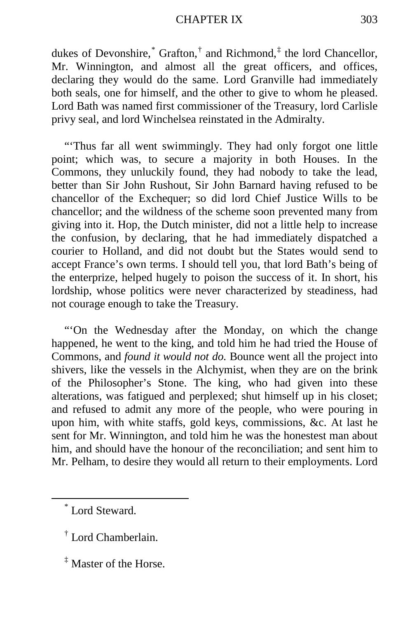dukes of Devonshire, $*$  Grafton, $*$  and Richmond, $*$  the lord Chancellor, Mr. Winnington, and almost all the great officers, and offices, declaring they would do the same. Lord Granville had immediately both seals, one for himself, and the other to give to whom he pleased. Lord Bath was named first commissioner of the Treasury, lord Carlisle privy seal, and lord Winchelsea reinstated in the Admiralty.

"Thus far all went swimmingly. They had only forgot one little point; which was, to secure a majority in both Houses. In the Commons, they unluckily found, they had nobody to take the lead, better than Sir John Rushout, Sir John Barnard having refused to be chancellor of the Exchequer; so did lord Chief Justice Wills to be chancellor; and the wildness of the scheme soon prevented many from giving into it. Hop, the Dutch minister, did not a little help to increase the confusion, by declaring, that he had immediately dispatched a courier to Holland, and did not doubt but the States would send to accept France's own terms. I should tell you, that lord Bath's being of the enterprize, helped hugely to poison the success of it. In short, his lordship, whose politics were never characterized by steadiness, had not courage enough to take the Treasury.

"'On the Wednesday after the Monday, on which the change happened, he went to the king, and told him he had tried the House of Commons, and *found it would not do.* Bounce went all the project into shivers, like the vessels in the Alchymist, when they are on the brink of the Philosopher's Stone. The king, who had given into these alterations, was fatigued and perplexed; shut himself up in his closet; and refused to admit any more of the people, who were pouring in upon him, with white staffs, gold keys, commissions, &c. At last he sent for Mr. Winnington, and told him he was the honestest man about him, and should have the honour of the reconciliation; and sent him to Mr. Pelham, to desire they would all return to their employments. Lord

<span id="page-114-0"></span>\* Lord Steward.

<span id="page-114-2"></span> $\frac{1}{4}$  Master of the Horse.

<span id="page-114-1"></span><sup>†</sup> Lord Chamberlain.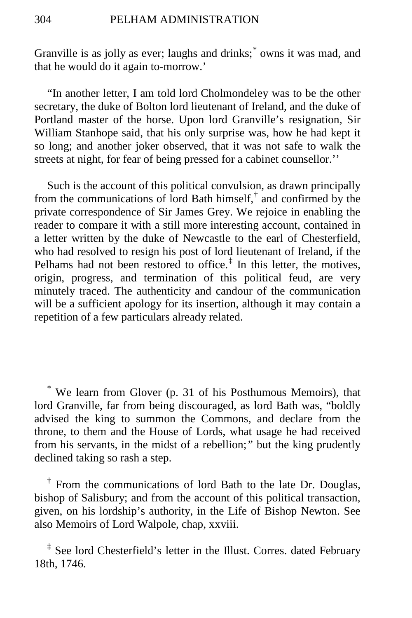Granville is as jolly as ever; laughs and drinks; [\\*](#page-115-0) owns it was mad, and that he would do it again to-morrow.'

"In another letter, I am told lord Cholmondeley was to be the other secretary, the duke of Bolton lord lieutenant of Ireland, and the duke of Portland master of the horse. Upon lord Granville's resignation, Sir William Stanhope said, that his only surprise was, how he had kept it so long; and another joker observed, that it was not safe to walk the streets at night, for fear of being pressed for a cabinet counsellor.''

Such is the account of this political convulsion, as drawn principally from the communications of lord Bath himself, $\phi$  and confirmed by the private correspondence of Sir James Grey. We rejoice in enabling the reader to compare it with a still more interesting account, contained in a letter written by the duke of Newcastle to the earl of Chesterfield, who had resolved to resign his post of lord lieutenant of Ireland, if the Pelhams had not been restored to office.<sup> $\ddagger$ </sup> In this letter, the motives, origin, progress, and termination of this political feud, are very minutely traced. The authenticity and candour of the communication will be a sufficient apology for its insertion, although it may contain a repetition of a few particulars already related.

<span id="page-115-1"></span>† From the communications of lord Bath to the late Dr. Douglas, bishop of Salisbury; and from the account of this political transaction, given, on his lordship's authority, in the Life of Bishop Newton. See also Memoirs of Lord Walpole, chap, xxviii.

<span id="page-115-0"></span> <sup>\*</sup> We learn from Glover (p. 31 of his Posthumous Memoirs), that lord Granville, far from being discouraged, as lord Bath was, "boldly advised the king to summon the Commons, and declare from the throne, to them and the House of Lords, what usage he had received from his servants, in the midst of a rebellion;*"* but the king prudently declined taking so rash a step.

<span id="page-115-2"></span><sup>&</sup>lt;sup>‡</sup> See lord Chesterfield's letter in the Illust. Corres. dated February 18th, 1746.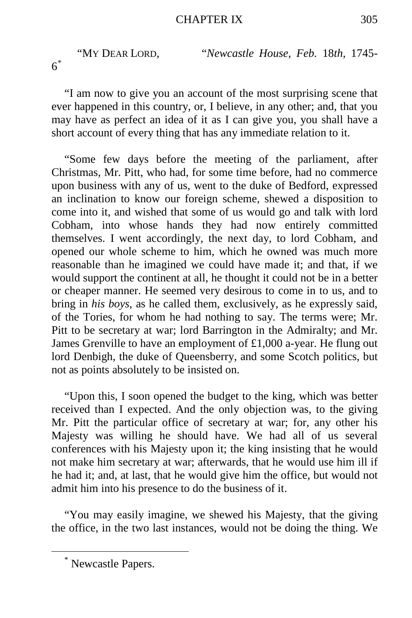"MY DEAR LORD, "*Newcastle House, Feb.* 18*th,* 1745- 6[\\*](#page-116-0)

"I am now to give you an account of the most surprising scene that ever happened in this country, or, I believe, in any other; and, that you may have as perfect an idea of it as I can give you, you shall have a short account of every thing that has any immediate relation to it.

"Some few days before the meeting of the parliament, after Christmas, Mr. Pitt, who had, for some time before, had no commerce upon business with any of us, went to the duke of Bedford, expressed an inclination to know our foreign scheme, shewed a disposition to come into it, and wished that some of us would go and talk with lord Cobham, into whose hands they had now entirely committed themselves. I went accordingly, the next day, to lord Cobham, and opened our whole scheme to him, which he owned was much more reasonable than he imagined we could have made it; and that, if we would support the continent at all, he thought it could not be in a better or cheaper manner. He seemed very desirous to come in to us, and to bring in *his boys,* as he called them, exclusively, as he expressly said, of the Tories, for whom he had nothing to say. The terms were; Mr. Pitt to be secretary at war; lord Barrington in the Admiralty; and Mr. James Grenville to have an employment of £1,000 a-year. He flung out lord Denbigh, the duke of Queensberry, and some Scotch politics, but not as points absolutely to be insisted on.

"Upon this, I soon opened the budget to the king, which was better received than I expected. And the only objection was, to the giving Mr. Pitt the particular office of secretary at war; for, any other his Majesty was willing he should have. We had all of us several conferences with his Majesty upon it; the king insisting that he would not make him secretary at war; afterwards, that he would use him ill if he had it; and, at last, that he would give him the office, but would not admit him into his presence to do the business of it.

"You may easily imagine, we shewed his Majesty, that the giving the office, in the two last instances, would not be doing the thing. We

<span id="page-116-0"></span> <sup>\*</sup> Newcastle Papers.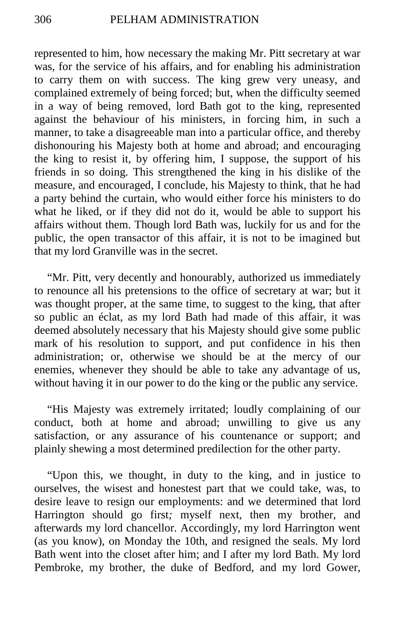represented to him, how necessary the making Mr. Pitt secretary at war was, for the service of his affairs, and for enabling his administration to carry them on with success. The king grew very uneasy, and complained extremely of being forced; but, when the difficulty seemed in a way of being removed, lord Bath got to the king, represented against the behaviour of his ministers, in forcing him, in such a manner, to take a disagreeable man into a particular office, and thereby dishonouring his Majesty both at home and abroad; and encouraging the king to resist it, by offering him, I suppose, the support of his friends in so doing. This strengthened the king in his dislike of the measure, and encouraged, I conclude, his Majesty to think, that he had a party behind the curtain, who would either force his ministers to do what he liked, or if they did not do it, would be able to support his affairs without them. Though lord Bath was, luckily for us and for the public, the open transactor of this affair, it is not to be imagined but that my lord Granville was in the secret.

"Mr. Pitt, very decently and honourably, authorized us immediately to renounce all his pretensions to the office of secretary at war; but it was thought proper, at the same time, to suggest to the king, that after so public an éclat, as my lord Bath had made of this affair, it was deemed absolutely necessary that his Majesty should give some public mark of his resolution to support, and put confidence in his then administration; or, otherwise we should be at the mercy of our enemies, whenever they should be able to take any advantage of us, without having it in our power to do the king or the public any service.

"His Majesty was extremely irritated; loudly complaining of our conduct, both at home and abroad; unwilling to give us any satisfaction, or any assurance of his countenance or support; and plainly shewing a most determined predilection for the other party.

"Upon this, we thought, in duty to the king, and in justice to ourselves, the wisest and honestest part that we could take, was, to desire leave to resign our employments: and we determined that lord Harrington should go first*;* myself next, then my brother, and afterwards my lord chancellor. Accordingly, my lord Harrington went (as you know), on Monday the 10th, and resigned the seals. My lord Bath went into the closet after him; and I after my lord Bath. My lord Pembroke, my brother, the duke of Bedford, and my lord Gower,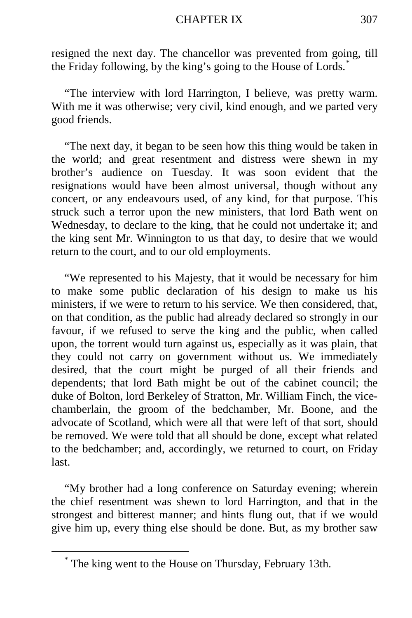#### CHAPTER IX 307

resigned the next day. The chancellor was prevented from going, till the Friday following, by the king's going to the House of Lords.[\\*](#page-118-0)

"The interview with lord Harrington, I believe, was pretty warm. With me it was otherwise; very civil, kind enough, and we parted very good friends.

"The next day, it began to be seen how this thing would be taken in the world; and great resentment and distress were shewn in my brother's audience on Tuesday. It was soon evident that the resignations would have been almost universal, though without any concert, or any endeavours used, of any kind, for that purpose. This struck such a terror upon the new ministers, that lord Bath went on Wednesday, to declare to the king, that he could not undertake it; and the king sent Mr. Winnington to us that day, to desire that we would return to the court, and to our old employments.

"We represented to his Majesty, that it would be necessary for him to make some public declaration of his design to make us his ministers, if we were to return to his service. We then considered, that, on that condition, as the public had already declared so strongly in our favour, if we refused to serve the king and the public, when called upon, the torrent would turn against us, especially as it was plain, that they could not carry on government without us. We immediately desired, that the court might be purged of all their friends and dependents; that lord Bath might be out of the cabinet council; the duke of Bolton, lord Berkeley of Stratton, Mr. William Finch, the vicechamberlain, the groom of the bedchamber, Mr. Boone, and the advocate of Scotland, which were all that were left of that sort, should be removed. We were told that all should be done, except what related to the bedchamber; and, accordingly, we returned to court, on Friday last.

"My brother had a long conference on Saturday evening; wherein the chief resentment was shewn to lord Harrington, and that in the strongest and bitterest manner; and hints flung out, that if we would give him up, every thing else should be done. But, as my brother saw

<span id="page-118-0"></span>The king went to the House on Thursday, February 13th.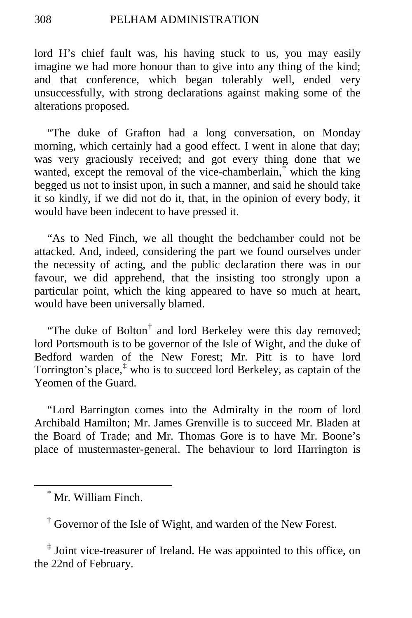lord H's chief fault was, his having stuck to us, you may easily imagine we had more honour than to give into any thing of the kind; and that conference, which began tolerably well, ended very unsuccessfully, with strong declarations against making some of the alterations proposed.

"The duke of Grafton had a long conversation, on Monday morning, which certainly had a good effect. I went in alone that day; was very graciously received; and got every thing done that we wanted, except the removal of the vice-chamberlain,<sup>[\\*](#page-119-0)</sup> which the king begged us not to insist upon, in such a manner, and said he should take it so kindly, if we did not do it, that, in the opinion of every body, it would have been indecent to have pressed it.

"As to Ned Finch, we all thought the bedchamber could not be attacked. And, indeed, considering the part we found ourselves under the necessity of acting, and the public declaration there was in our favour, we did apprehend, that the insisting too strongly upon a particular point, which the king appeared to have so much at heart, would have been universally blamed.

"The duke of Bolton<sup>[†](#page-119-1)</sup> and lord Berkeley were this day removed; lord Portsmouth is to be governor of the Isle of Wight, and the duke of Bedford warden of the New Forest; Mr. Pitt is to have lord Torrington's place,  $\frac{1}{k}$  who is to succeed lord Berkeley, as captain of the Yeomen of the Guard.

"Lord Barrington comes into the Admiralty in the room of lord Archibald Hamilton; Mr. James Grenville is to succeed Mr. Bladen at the Board of Trade; and Mr. Thomas Gore is to have Mr. Boone's place of mustermaster-general. The behaviour to lord Harrington is

<span id="page-119-0"></span>\* Mr. William Finch.

<sup>†</sup> Governor of the Isle of Wight, and warden of the New Forest.

<span id="page-119-2"></span><span id="page-119-1"></span><sup>‡</sup> Joint vice-treasurer of Ireland. He was appointed to this office, on the 22nd of February.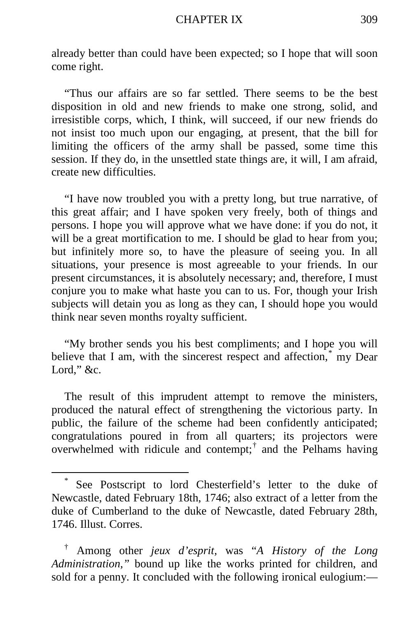already better than could have been expected; so I hope that will soon come right.

"Thus our affairs are so far settled. There seems to be the best disposition in old and new friends to make one strong, solid, and irresistible corps, which, I think, will succeed, if our new friends do not insist too much upon our engaging, at present, that the bill for limiting the officers of the army shall be passed, some time this session. If they do, in the unsettled state things are, it will, I am afraid, create new difficulties.

"I have now troubled you with a pretty long, but true narrative, of this great affair; and I have spoken very freely, both of things and persons. I hope you will approve what we have done: if you do not, it will be a great mortification to me. I should be glad to hear from you; but infinitely more so, to have the pleasure of seeing you. In all situations, your presence is most agreeable to your friends. In our present circumstances, it is absolutely necessary; and, therefore, I must conjure you to make what haste you can to us. For, though your Irish subjects will detain you as long as they can, I should hope you would think near seven months royalty sufficient.

"My brother sends you his best compliments; and I hope you will believe that I am, with the sincerest respect and affection,<sup>[\\*](#page-120-0)</sup> my Dear Lord," &c.

The result of this imprudent attempt to remove the ministers, produced the natural effect of strengthening the victorious party. In public, the failure of the scheme had been confidently anticipated; congratulations poured in from all quarters; its projectors were overwhelmed with ridicule and contempt;[†](#page-120-1) and the Pelhams having

<span id="page-120-0"></span>See Postscript to lord Chesterfield's letter to the duke of Newcastle, dated February 18th, 1746; also extract of a letter from the duke of Cumberland to the duke of Newcastle, dated February 28th, 1746. Illust. Corres.

<span id="page-120-1"></span><sup>†</sup> Among other *jeux d'esprit,* was "*A History of the Long Administration,"* bound up like the works printed for children, and sold for a penny. It concluded with the following ironical eulogium:—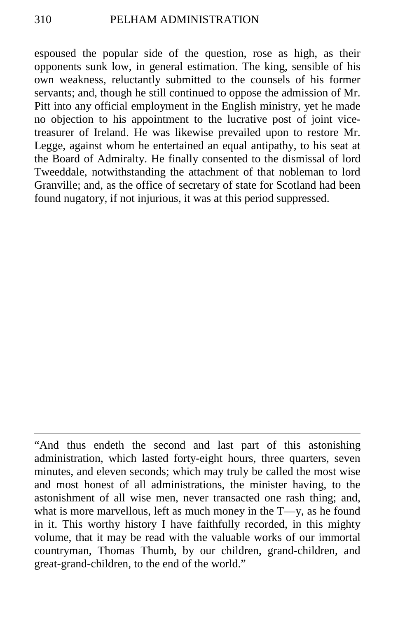espoused the popular side of the question, rose as high, as their opponents sunk low, in general estimation. The king, sensible of his own weakness, reluctantly submitted to the counsels of his former servants; and, though he still continued to oppose the admission of Mr. Pitt into any official employment in the English ministry, yet he made no objection to his appointment to the lucrative post of joint vicetreasurer of Ireland. He was likewise prevailed upon to restore Mr. Legge, against whom he entertained an equal antipathy, to his seat at the Board of Admiralty. He finally consented to the dismissal of lord Tweeddale, notwithstanding the attachment of that nobleman to lord Granville; and, as the office of secretary of state for Scotland had been found nugatory, if not injurious, it was at this period suppressed.

 $\overline{a}$ 

<sup>&</sup>quot;And thus endeth the second and last part of this astonishing administration, which lasted forty-eight hours, three quarters, seven minutes, and eleven seconds; which may truly be called the most wise and most honest of all administrations, the minister having, to the astonishment of all wise men, never transacted one rash thing; and, what is more marvellous, left as much money in the T—y, as he found in it. This worthy history I have faithfully recorded, in this mighty volume, that it may be read with the valuable works of our immortal countryman, Thomas Thumb, by our children, grand-children, and great-grand-children, to the end of the world."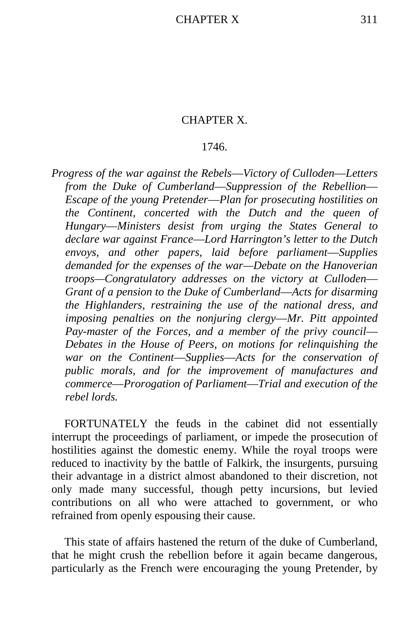## CHAPTER X.

## 1746.

*Progress of the war against the Rebels*—*Victory of Culloden*—*Letters from the Duke of Cumberland*—*Suppression of the Rebellion*— *Escape of the young Pretender*—*Plan for prosecuting hostilities on the Continent, concerted with the Dutch and the queen of Hungary*—*Ministers desist from urging the States General to declare war against France*—*Lord Harrington's letter to the Dutch envoys, and other papers, laid before parliament*—*Supplies demanded for the expenses of the war—Debate on the Hanoverian troops—Congratulatory addresses on the victory at Culloden*— *Grant of a pension to the Duke of Cumberland*—*Acts for disarming the Highlanders, restraining the use of the national dress, and imposing penalties on the nonjuring clergy*—*Mr. Pitt appointed*  Pay-master of the Forces, and a member of the privy council— *Debates in the House of Peers, on motions for relinquishing the war on the Continent*—*Supplies*—*Acts for the conservation of public morals, and for the improvement of manufactures and commerce*—*Prorogation of Parliament*—*Trial and execution of the rebel lords.*

FORTUNATELY the feuds in the cabinet did not essentially interrupt the proceedings of parliament, or impede the prosecution of hostilities against the domestic enemy. While the royal troops were reduced to inactivity by the battle of Falkirk, the insurgents, pursuing their advantage in a district almost abandoned to their discretion, not only made many successful, though petty incursions, but levied contributions on all who were attached to government, or who refrained from openly espousing their cause.

This state of affairs hastened the return of the duke of Cumberland, that he might crush the rebellion before it again became dangerous, particularly as the French were encouraging the young Pretender, by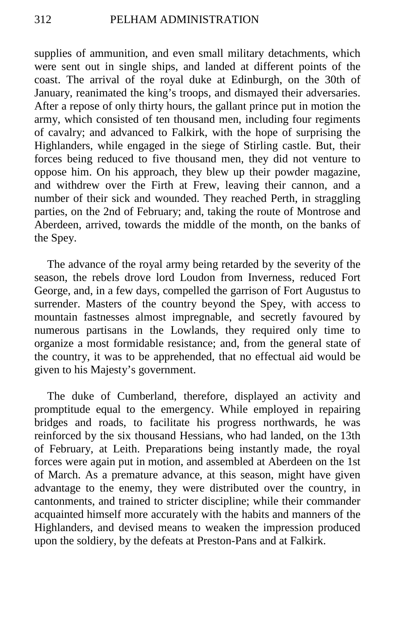supplies of ammunition, and even small military detachments, which were sent out in single ships, and landed at different points of the coast. The arrival of the royal duke at Edinburgh, on the 30th of January, reanimated the king's troops, and dismayed their adversaries. After a repose of only thirty hours, the gallant prince put in motion the army, which consisted of ten thousand men, including four regiments of cavalry; and advanced to Falkirk, with the hope of surprising the Highlanders, while engaged in the siege of Stirling castle. But, their forces being reduced to five thousand men, they did not venture to oppose him. On his approach, they blew up their powder magazine, and withdrew over the Firth at Frew, leaving their cannon, and a number of their sick and wounded. They reached Perth, in straggling parties, on the 2nd of February; and, taking the route of Montrose and Aberdeen, arrived, towards the middle of the month, on the banks of the Spey.

The advance of the royal army being retarded by the severity of the season, the rebels drove lord Loudon from Inverness, reduced Fort George, and, in a few days, compelled the garrison of Fort Augustus to surrender. Masters of the country beyond the Spey, with access to mountain fastnesses almost impregnable, and secretly favoured by numerous partisans in the Lowlands, they required only time to organize a most formidable resistance; and, from the general state of the country, it was to be apprehended, that no effectual aid would be given to his Majesty's government.

The duke of Cumberland, therefore, displayed an activity and promptitude equal to the emergency. While employed in repairing bridges and roads, to facilitate his progress northwards, he was reinforced by the six thousand Hessians, who had landed, on the 13th of February, at Leith. Preparations being instantly made, the royal forces were again put in motion, and assembled at Aberdeen on the 1st of March. As a premature advance, at this season, might have given advantage to the enemy, they were distributed over the country, in cantonments, and trained to stricter discipline; while their commander acquainted himself more accurately with the habits and manners of the Highlanders, and devised means to weaken the impression produced upon the soldiery, by the defeats at Preston-Pans and at Falkirk.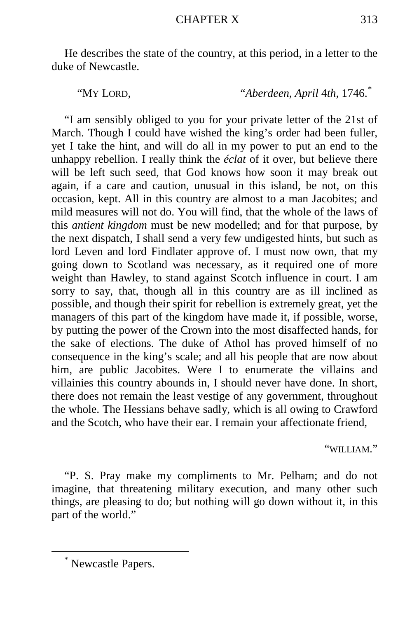He describes the state of the country, at this period, in a letter to the duke of Newcastle.

"MY LORD, "*Aberdeen, April* 4*th,* 1746.[\\*](#page-124-0)

"I am sensibly obliged to you for your private letter of the 21st of March. Though I could have wished the king's order had been fuller, yet I take the hint, and will do all in my power to put an end to the unhappy rebellion. I really think the *éclat* of it over, but believe there will be left such seed, that God knows how soon it may break out again, if a care and caution, unusual in this island, be not, on this occasion, kept. All in this country are almost to a man Jacobites; and mild measures will not do. You will find, that the whole of the laws of this *antient kingdom* must be new modelled; and for that purpose, by the next dispatch, I shall send a very few undigested hints, but such as lord Leven and lord Findlater approve of. I must now own, that my going down to Scotland was necessary, as it required one of more weight than Hawley, to stand against Scotch influence in court. I am sorry to say, that, though all in this country are as ill inclined as possible, and though their spirit for rebellion is extremely great, yet the managers of this part of the kingdom have made it, if possible, worse, by putting the power of the Crown into the most disaffected hands, for the sake of elections. The duke of Athol has proved himself of no consequence in the king's scale; and all his people that are now about him, are public Jacobites. Were I to enumerate the villains and villainies this country abounds in, I should never have done. In short, there does not remain the least vestige of any government, throughout the whole. The Hessians behave sadly, which is all owing to Crawford and the Scotch, who have their ear. I remain your affectionate friend,

"WILLIAM."

"P. S. Pray make my compliments to Mr. Pelham; and do not imagine, that threatening military execution, and many other such things, are pleasing to do; but nothing will go down without it, in this part of the world."

<span id="page-124-0"></span> <sup>\*</sup> Newcastle Papers.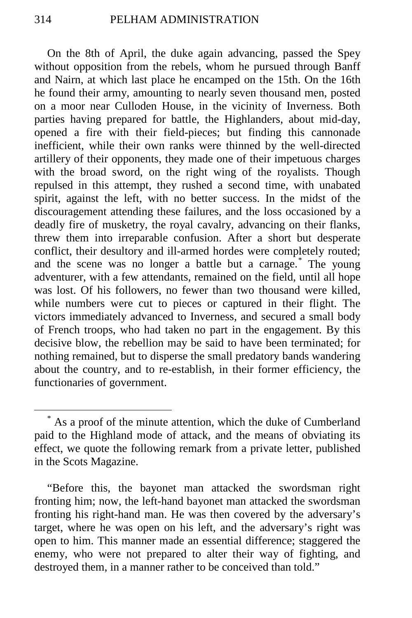On the 8th of April, the duke again advancing, passed the Spey without opposition from the rebels, whom he pursued through Banff and Nairn, at which last place he encamped on the 15th. On the 16th he found their army, amounting to nearly seven thousand men, posted on a moor near Culloden House, in the vicinity of Inverness. Both parties having prepared for battle, the Highlanders, about mid-day, opened a fire with their field-pieces; but finding this cannonade inefficient, while their own ranks were thinned by the well-directed artillery of their opponents, they made one of their impetuous charges with the broad sword, on the right wing of the royalists. Though repulsed in this attempt, they rushed a second time, with unabated spirit, against the left, with no better success. In the midst of the discouragement attending these failures, and the loss occasioned by a deadly fire of musketry, the royal cavalry, advancing on their flanks, threw them into irreparable confusion. After a short but desperate conflict, their desultory and ill-armed hordes were completely routed; and the scene was no longer a battle but a carnage.<sup>[\\*](#page-125-0)</sup> The young adventurer, with a few attendants, remained on the field, until all hope was lost. Of his followers, no fewer than two thousand were killed, while numbers were cut to pieces or captured in their flight. The victors immediately advanced to Inverness, and secured a small body of French troops, who had taken no part in the engagement. By this decisive blow, the rebellion may be said to have been terminated; for nothing remained, but to disperse the small predatory bands wandering about the country, and to re-establish, in their former efficiency, the functionaries of government.

<span id="page-125-0"></span> <sup>\*</sup> As a proof of the minute attention, which the duke of Cumberland paid to the Highland mode of attack, and the means of obviating its effect, we quote the following remark from a private letter, published in the Scots Magazine.

<sup>&</sup>quot;Before this, the bayonet man attacked the swordsman right fronting him; now, the left-hand bayonet man attacked the swordsman fronting his right-hand man. He was then covered by the adversary's target, where he was open on his left, and the adversary's right was open to him. This manner made an essential difference; staggered the enemy, who were not prepared to alter their way of fighting, and destroyed them, in a manner rather to be conceived than told."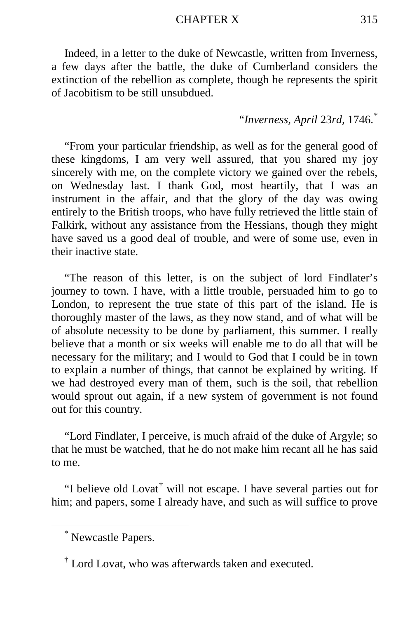#### CHAPTER X 315

Indeed, in a letter to the duke of Newcastle, written from Inverness, a few days after the battle, the duke of Cumberland considers the extinction of the rebellion as complete, though he represents the spirit of Jacobitism to be still unsubdued.

# "*Inverness, April* 23*rd,* 1746.[\\*](#page-126-0)

"From your particular friendship, as well as for the general good of these kingdoms, I am very well assured, that you shared my joy sincerely with me, on the complete victory we gained over the rebels, on Wednesday last. I thank God, most heartily, that I was an instrument in the affair, and that the glory of the day was owing entirely to the British troops, who have fully retrieved the little stain of Falkirk, without any assistance from the Hessians, though they might have saved us a good deal of trouble, and were of some use, even in their inactive state.

"The reason of this letter, is on the subject of lord Findlater's journey to town. I have, with a little trouble, persuaded him to go to London, to represent the true state of this part of the island. He is thoroughly master of the laws, as they now stand, and of what will be of absolute necessity to be done by parliament, this summer. I really believe that a month or six weeks will enable me to do all that will be necessary for the military; and I would to God that I could be in town to explain a number of things, that cannot be explained by writing. If we had destroyed every man of them, such is the soil, that rebellion would sprout out again, if a new system of government is not found out for this country.

"Lord Findlater, I perceive, is much afraid of the duke of Argyle; so that he must be watched, that he do not make him recant all he has said to me.

"I believe old Lovat<sup>[†](#page-126-1)</sup> will not escape. I have several parties out for him; and papers, some I already have, and such as will suffice to prove

<span id="page-126-0"></span> <sup>\*</sup> Newcastle Papers.

<span id="page-126-1"></span><sup>†</sup> Lord Lovat, who was afterwards taken and executed.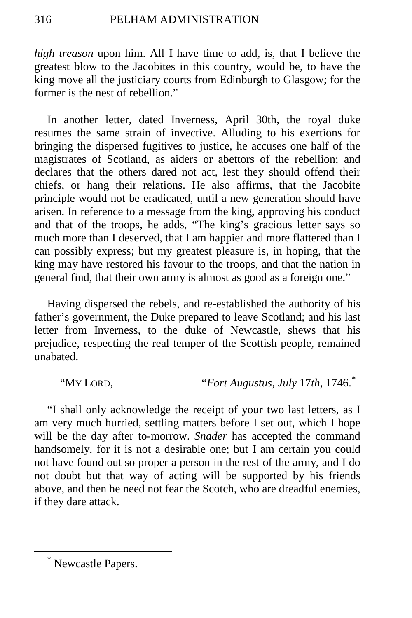*high treason* upon him. All I have time to add, is, that I believe the greatest blow to the Jacobites in this country, would be, to have the king move all the justiciary courts from Edinburgh to Glasgow; for the former is the nest of rebellion."

In another letter, dated Inverness, April 30th, the royal duke resumes the same strain of invective. Alluding to his exertions for bringing the dispersed fugitives to justice, he accuses one half of the magistrates of Scotland, as aiders or abettors of the rebellion; and declares that the others dared not act, lest they should offend their chiefs, or hang their relations. He also affirms, that the Jacobite principle would not be eradicated, until a new generation should have arisen. In reference to a message from the king, approving his conduct and that of the troops, he adds, "The king's gracious letter says so much more than I deserved, that I am happier and more flattered than I can possibly express; but my greatest pleasure is, in hoping, that the king may have restored his favour to the troops, and that the nation in general find, that their own army is almost as good as a foreign one."

Having dispersed the rebels, and re-established the authority of his father's government, the Duke prepared to leave Scotland; and his last letter from Inverness, to the duke of Newcastle, shews that his prejudice, respecting the real temper of the Scottish people, remained unabated.

"MY LORD, "*Fort Augustus, July* 17*th,* 1746.[\\*](#page-127-0)

"I shall only acknowledge the receipt of your two last letters, as I am very much hurried, settling matters before I set out, which I hope will be the day after to-morrow. *Snader* has accepted the command handsomely, for it is not a desirable one; but I am certain you could not have found out so proper a person in the rest of the army, and I do not doubt but that way of acting will be supported by his friends above, and then he need not fear the Scotch, who are dreadful enemies, if they dare attack.

<span id="page-127-0"></span> <sup>\*</sup> Newcastle Papers.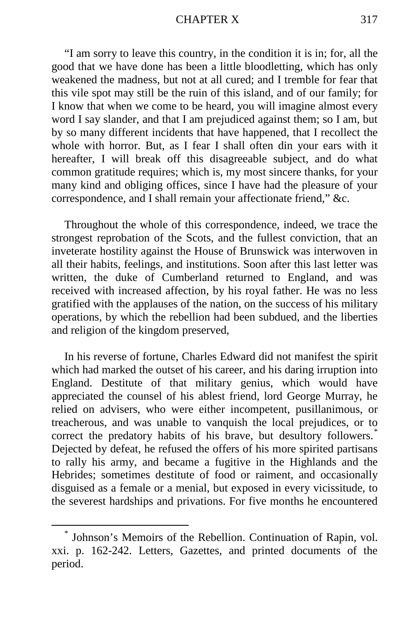#### CHAPTER X 317

"I am sorry to leave this country, in the condition it is in; for, all the good that we have done has been a little bloodletting, which has only weakened the madness, but not at all cured; and I tremble for fear that this vile spot may still be the ruin of this island, and of our family; for I know that when we come to be heard, you will imagine almost every word I say slander, and that I am prejudiced against them; so I am, but by so many different incidents that have happened, that I recollect the whole with horror. But, as I fear I shall often din your ears with it hereafter, I will break off this disagreeable subject, and do what common gratitude requires; which is, my most sincere thanks, for your many kind and obliging offices, since I have had the pleasure of your correspondence, and I shall remain your affectionate friend," &c.

Throughout the whole of this correspondence, indeed, we trace the strongest reprobation of the Scots, and the fullest conviction, that an inveterate hostility against the House of Brunswick was interwoven in all their habits, feelings, and institutions. Soon after this last letter was written, the duke of Cumberland returned to England, and was received with increased affection, by his royal father. He was no less gratified with the applauses of the nation, on the success of his military operations, by which the rebellion had been subdued, and the liberties and religion of the kingdom preserved,

In his reverse of fortune, Charles Edward did not manifest the spirit which had marked the outset of his career, and his daring irruption into England. Destitute of that military genius, which would have appreciated the counsel of his ablest friend, lord George Murray, he relied on advisers, who were either incompetent, pusillanimous, or treacherous, and was unable to vanquish the local prejudices, or to correct the predatory habits of his brave, but desultory followers.<sup>[\\*](#page-128-0)</sup> Dejected by defeat, he refused the offers of his more spirited partisans to rally his army, and became a fugitive in the Highlands and the Hebrides; sometimes destitute of food or raiment, and occasionally disguised as a female or a menial, but exposed in every vicissitude, to the severest hardships and privations. For five months he encountered

<span id="page-128-0"></span> <sup>\*</sup> Johnson's Memoirs of the Rebellion. Continuation of Rapin, vol. xxi. p. 162-242. Letters, Gazettes, and printed documents of the period.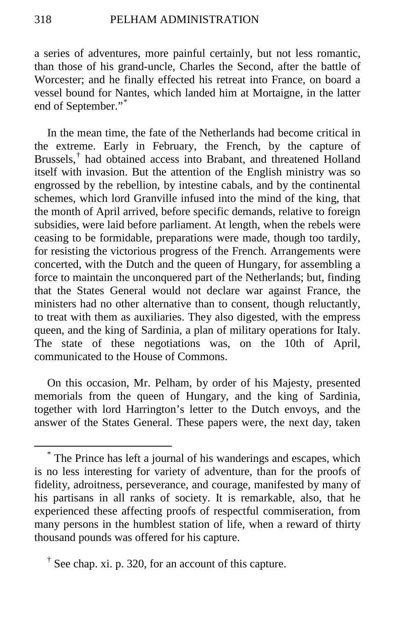a series of adventures, more painful certainly, but not less romantic, than those of his grand-uncle, Charles the Second, after the battle of Worcester; and he finally effected his retreat into France, on board a vessel bound for Nantes, which landed him at Mortaigne, in the latter end of September."[\\*](#page-129-0)

In the mean time, the fate of the Netherlands had become critical in the extreme. Early in February, the French, by the capture of Brussels,<sup>[†](#page-129-1)</sup> had obtained access into Brabant, and threatened Holland itself with invasion. But the attention of the English ministry was so engrossed by the rebellion, by intestine cabals, and by the continental schemes, which lord Granville infused into the mind of the king, that the month of April arrived, before specific demands, relative to foreign subsidies, were laid before parliament. At length, when the rebels were ceasing to be formidable, preparations were made, though too tardily, for resisting the victorious progress of the French. Arrangements were concerted, with the Dutch and the queen of Hungary, for assembling a force to maintain the unconquered part of the Netherlands; but, finding that the States General would not declare war against France, the ministers had no other alternative than to consent, though reluctantly, to treat with them as auxiliaries. They also digested, with the empress queen, and the king of Sardinia, a plan of military operations for Italy. The state of these negotiations was, on the 10th of April, communicated to the House of Commons.

On this occasion, Mr. Pelham, by order of his Majesty, presented memorials from the queen of Hungary, and the king of Sardinia, together with lord Harrington's letter to the Dutch envoys, and the answer of the States General. These papers were, the next day, taken

<span id="page-129-0"></span> <sup>\*</sup> The Prince has left a journal of his wanderings and escapes, which is no less interesting for variety of adventure, than for the proofs of fidelity, adroitness, perseverance, and courage, manifested by many of his partisans in all ranks of society. It is remarkable, also, that he experienced these affecting proofs of respectful commiseration, from many persons in the humblest station of life, when a reward of thirty thousand pounds was offered for his capture.

<span id="page-129-1"></span><sup>&</sup>lt;sup> $\dagger$ </sup> See chap. xi. p. 320, for an account of this capture.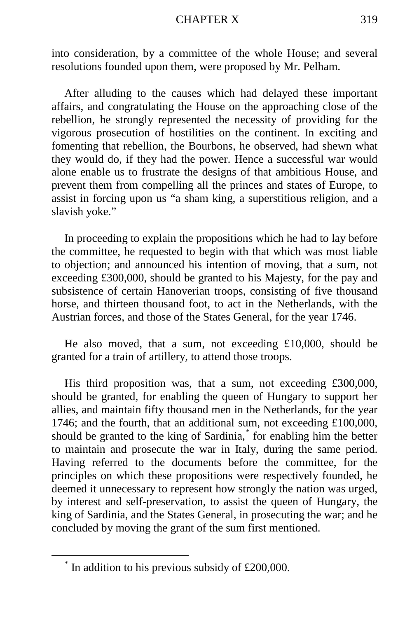#### CHAPTER X 319

into consideration, by a committee of the whole House; and several resolutions founded upon them, were proposed by Mr. Pelham.

After alluding to the causes which had delayed these important affairs, and congratulating the House on the approaching close of the rebellion, he strongly represented the necessity of providing for the vigorous prosecution of hostilities on the continent. In exciting and fomenting that rebellion, the Bourbons, he observed, had shewn what they would do, if they had the power. Hence a successful war would alone enable us to frustrate the designs of that ambitious House, and prevent them from compelling all the princes and states of Europe, to assist in forcing upon us "a sham king, a superstitious religion, and a slavish yoke."

In proceeding to explain the propositions which he had to lay before the committee, he requested to begin with that which was most liable to objection; and announced his intention of moving, that a sum, not exceeding £300,000, should be granted to his Majesty, for the pay and subsistence of certain Hanoverian troops, consisting of five thousand horse, and thirteen thousand foot, to act in the Netherlands, with the Austrian forces, and those of the States General, for the year 1746.

He also moved, that a sum, not exceeding £10,000, should be granted for a train of artillery, to attend those troops.

His third proposition was, that a sum, not exceeding £300,000, should be granted, for enabling the queen of Hungary to support her allies, and maintain fifty thousand men in the Netherlands, for the year 1746; and the fourth, that an additional sum, not exceeding £100,000, should be granted to the king of Sardinia,[\\*](#page-130-0) for enabling him the better to maintain and prosecute the war in Italy, during the same period. Having referred to the documents before the committee, for the principles on which these propositions were respectively founded, he deemed it unnecessary to represent how strongly the nation was urged, by interest and self-preservation, to assist the queen of Hungary, the king of Sardinia, and the States General, in prosecuting the war; and he concluded by moving the grant of the sum first mentioned.

<span id="page-130-0"></span> $*$  In addition to his previous subsidy of £200,000.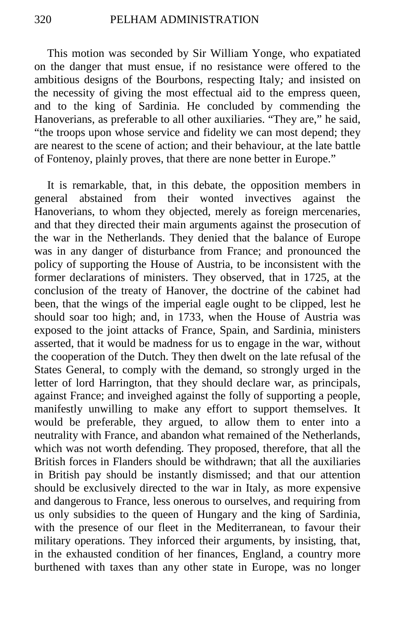This motion was seconded by Sir William Yonge, who expatiated on the danger that must ensue, if no resistance were offered to the ambitious designs of the Bourbons, respecting Italy*;* and insisted on the necessity of giving the most effectual aid to the empress queen, and to the king of Sardinia. He concluded by commending the Hanoverians, as preferable to all other auxiliaries. "They are," he said, "the troops upon whose service and fidelity we can most depend; they are nearest to the scene of action; and their behaviour, at the late battle of Fontenoy, plainly proves, that there are none better in Europe."

It is remarkable, that, in this debate, the opposition members in general abstained from their wonted invectives against the Hanoverians, to whom they objected, merely as foreign mercenaries, and that they directed their main arguments against the prosecution of the war in the Netherlands. They denied that the balance of Europe was in any danger of disturbance from France; and pronounced the policy of supporting the House of Austria, to be inconsistent with the former declarations of ministers. They observed, that in 1725, at the conclusion of the treaty of Hanover, the doctrine of the cabinet had been, that the wings of the imperial eagle ought to be clipped, lest he should soar too high; and, in 1733, when the House of Austria was exposed to the joint attacks of France, Spain, and Sardinia, ministers asserted, that it would be madness for us to engage in the war, without the cooperation of the Dutch. They then dwelt on the late refusal of the States General, to comply with the demand, so strongly urged in the letter of lord Harrington, that they should declare war, as principals, against France; and inveighed against the folly of supporting a people, manifestly unwilling to make any effort to support themselves. It would be preferable, they argued, to allow them to enter into a neutrality with France, and abandon what remained of the Netherlands, which was not worth defending. They proposed, therefore, that all the British forces in Flanders should be withdrawn; that all the auxiliaries in British pay should be instantly dismissed; and that our attention should be exclusively directed to the war in Italy, as more expensive and dangerous to France, less onerous to ourselves, and requiring from us only subsidies to the queen of Hungary and the king of Sardinia, with the presence of our fleet in the Mediterranean, to favour their military operations. They inforced their arguments, by insisting, that, in the exhausted condition of her finances, England, a country more burthened with taxes than any other state in Europe, was no longer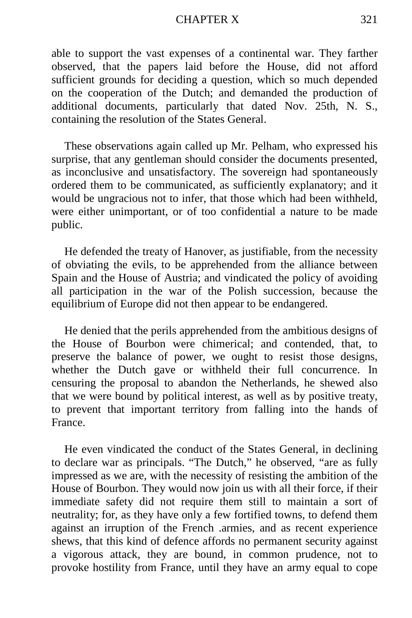#### CHAPTER X 321

able to support the vast expenses of a continental war. They farther observed, that the papers laid before the House, did not afford sufficient grounds for deciding a question, which so much depended on the cooperation of the Dutch; and demanded the production of additional documents, particularly that dated Nov. 25th, N. S., containing the resolution of the States General.

These observations again called up Mr. Pelham, who expressed his surprise, that any gentleman should consider the documents presented, as inconclusive and unsatisfactory. The sovereign had spontaneously ordered them to be communicated, as sufficiently explanatory; and it would be ungracious not to infer, that those which had been withheld, were either unimportant, or of too confidential a nature to be made public.

He defended the treaty of Hanover, as justifiable, from the necessity of obviating the evils, to be apprehended from the alliance between Spain and the House of Austria; and vindicated the policy of avoiding all participation in the war of the Polish succession, because the equilibrium of Europe did not then appear to be endangered.

He denied that the perils apprehended from the ambitious designs of the House of Bourbon were chimerical; and contended, that, to preserve the balance of power, we ought to resist those designs, whether the Dutch gave or withheld their full concurrence. In censuring the proposal to abandon the Netherlands, he shewed also that we were bound by political interest, as well as by positive treaty, to prevent that important territory from falling into the hands of France.

He even vindicated the conduct of the States General, in declining to declare war as principals. "The Dutch," he observed, "are as fully impressed as we are, with the necessity of resisting the ambition of the House of Bourbon. They would now join us with all their force, if their immediate safety did not require them still to maintain a sort of neutrality; for, as they have only a few fortified towns, to defend them against an irruption of the French .armies, and as recent experience shews, that this kind of defence affords no permanent security against a vigorous attack, they are bound, in common prudence, not to provoke hostility from France, until they have an army equal to cope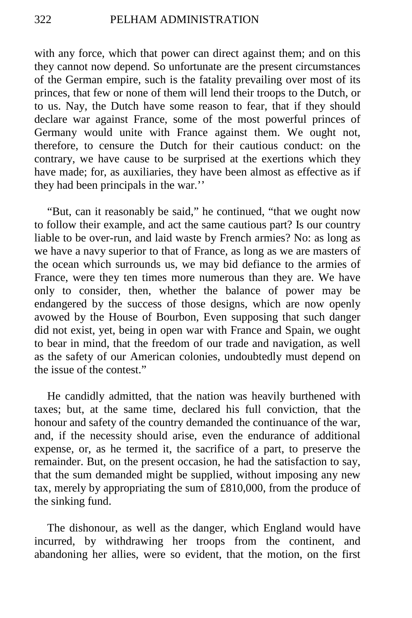with any force, which that power can direct against them; and on this they cannot now depend. So unfortunate are the present circumstances of the German empire, such is the fatality prevailing over most of its princes, that few or none of them will lend their troops to the Dutch, or to us. Nay, the Dutch have some reason to fear, that if they should declare war against France, some of the most powerful princes of Germany would unite with France against them. We ought not, therefore, to censure the Dutch for their cautious conduct: on the contrary, we have cause to be surprised at the exertions which they have made; for, as auxiliaries, they have been almost as effective as if they had been principals in the war.''

"But, can it reasonably be said," he continued, "that we ought now to follow their example, and act the same cautious part? Is our country liable to be over-run, and laid waste by French armies? No: as long as we have a navy superior to that of France, as long as we are masters of the ocean which surrounds us, we may bid defiance to the armies of France, were they ten times more numerous than they are. We have only to consider, then, whether the balance of power may be endangered by the success of those designs, which are now openly avowed by the House of Bourbon, Even supposing that such danger did not exist, yet, being in open war with France and Spain, we ought to bear in mind, that the freedom of our trade and navigation, as well as the safety of our American colonies, undoubtedly must depend on the issue of the contest."

He candidly admitted, that the nation was heavily burthened with taxes; but, at the same time, declared his full conviction, that the honour and safety of the country demanded the continuance of the war, and, if the necessity should arise, even the endurance of additional expense, or, as he termed it, the sacrifice of a part, to preserve the remainder. But, on the present occasion, he had the satisfaction to say, that the sum demanded might be supplied, without imposing any new tax, merely by appropriating the sum of £810,000, from the produce of the sinking fund.

The dishonour, as well as the danger, which England would have incurred, by withdrawing her troops from the continent, and abandoning her allies, were so evident, that the motion, on the first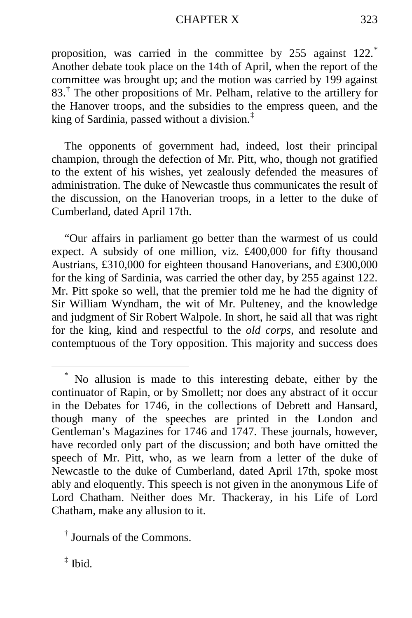### CHAPTER X 323

proposition, was carried in the committee by 255 against 122.<sup>[\\*](#page-134-0)</sup> Another debate took place on the 14th of April, when the report of the committee was brought up; and the motion was carried by 199 against  $83<sup>†</sup>$  $83<sup>†</sup>$  $83<sup>†</sup>$  The other propositions of Mr. Pelham, relative to the artillery for the Hanover troops, and the subsidies to the empress queen, and the king of Sardinia, passed without a division.[‡](#page-134-2)

The opponents of government had, indeed, lost their principal champion, through the defection of Mr. Pitt, who, though not gratified to the extent of his wishes, yet zealously defended the measures of administration. The duke of Newcastle thus communicates the result of the discussion, on the Hanoverian troops, in a letter to the duke of Cumberland, dated April 17th.

"Our affairs in parliament go better than the warmest of us could expect. A subsidy of one million, viz. £400,000 for fifty thousand Austrians, £310,000 for eighteen thousand Hanoverians, and £300,000 for the king of Sardinia, was carried the other day, by 255 against 122. Mr. Pitt spoke so well, that the premier told me he had the dignity of Sir William Wyndham, the wit of Mr. Pulteney, and the knowledge and judgment of Sir Robert Walpole. In short, he said all that was right for the king, kind and respectful to the *old corps,* and resolute and contemptuous of the Tory opposition. This majority and success does

<span id="page-134-0"></span>No allusion is made to this interesting debate, either by the continuator of Rapin, or by Smollett; nor does any abstract of it occur in the Debates for 1746, in the collections of Debrett and Hansard, though many of the speeches are printed in the London and Gentleman's Magazines for 1746 and 1747. These journals, however, have recorded only part of the discussion; and both have omitted the speech of Mr. Pitt, who, as we learn from a letter of the duke of Newcastle to the duke of Cumberland, dated April 17th, spoke most ably and eloquently. This speech is not given in the anonymous Life of Lord Chatham. Neither does Mr. Thackeray, in his Life of Lord Chatham, make any allusion to it.

<span id="page-134-1"></span><sup>†</sup> Journals of the Commons.

<span id="page-134-2"></span> $\ddagger$  Ibid.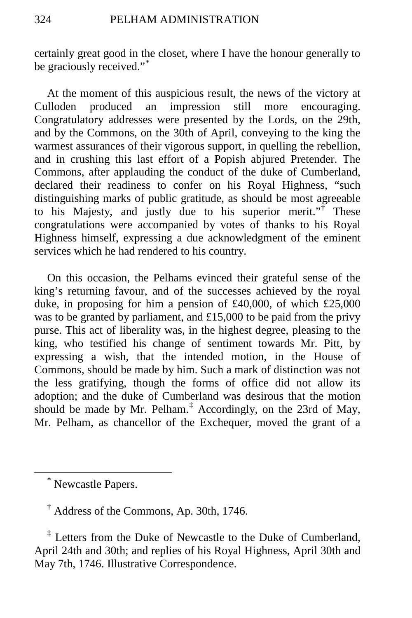certainly great good in the closet, where I have the honour generally to be graciously received."[\\*](#page-135-0)

At the moment of this auspicious result, the news of the victory at Culloden produced an impression still more encouraging. Congratulatory addresses were presented by the Lords, on the 29th, and by the Commons, on the 30th of April, conveying to the king the warmest assurances of their vigorous support, in quelling the rebellion, and in crushing this last effort of a Popish abjured Pretender. The Commons, after applauding the conduct of the duke of Cumberland, declared their readiness to confer on his Royal Highness, "such distinguishing marks of public gratitude, as should be most agreeable to his Majesty, and justly due to his superior merit."[†](#page-135-1) These congratulations were accompanied by votes of thanks to his Royal Highness himself, expressing a due acknowledgment of the eminent services which he had rendered to his country.

On this occasion, the Pelhams evinced their grateful sense of the king's returning favour, and of the successes achieved by the royal duke, in proposing for him a pension of £40,000, of which £25,000 was to be granted by parliament, and £15,000 to be paid from the privy purse. This act of liberality was, in the highest degree, pleasing to the king, who testified his change of sentiment towards Mr. Pitt, by expressing a wish, that the intended motion, in the House of Commons, should be made by him. Such a mark of distinction was not the less gratifying, though the forms of office did not allow its adoption; and the duke of Cumberland was desirous that the motion should be made by Mr. Pelham.<sup> $\ddagger$ </sup> Accordingly, on the 23rd of May, Mr. Pelham, as chancellor of the Exchequer, moved the grant of a

<span id="page-135-2"></span><span id="page-135-1"></span><sup>‡</sup> Letters from the Duke of Newcastle to the Duke of Cumberland, April 24th and 30th; and replies of his Royal Highness, April 30th and May 7th, 1746. Illustrative Correspondence.

<span id="page-135-0"></span> <sup>\*</sup> Newcastle Papers.

<sup>†</sup> Address of the Commons, Ap. 30th, 1746.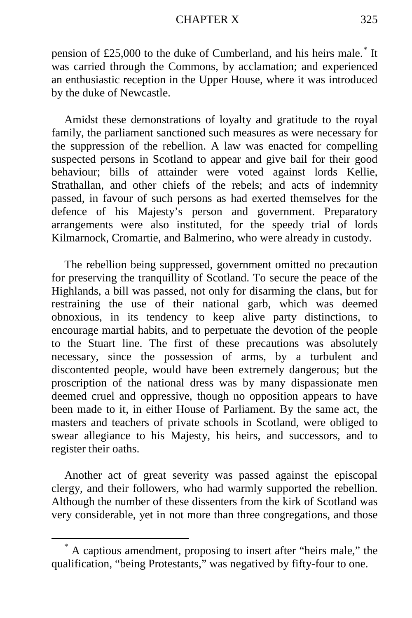pension of £25,000 to the duke of Cumberland, and his heirs male.[\\*](#page-136-0) It was carried through the Commons, by acclamation; and experienced an enthusiastic reception in the Upper House, where it was introduced by the duke of Newcastle.

Amidst these demonstrations of loyalty and gratitude to the royal family, the parliament sanctioned such measures as were necessary for the suppression of the rebellion. A law was enacted for compelling suspected persons in Scotland to appear and give bail for their good behaviour; bills of attainder were voted against lords Kellie, Strathallan, and other chiefs of the rebels; and acts of indemnity passed, in favour of such persons as had exerted themselves for the defence of his Majesty's person and government. Preparatory arrangements were also instituted, for the speedy trial of lords Kilmarnock, Cromartie, and Balmerino, who were already in custody.

The rebellion being suppressed, government omitted no precaution for preserving the tranquillity of Scotland. To secure the peace of the Highlands, a bill was passed, not only for disarming the clans, but for restraining the use of their national garb, which was deemed obnoxious, in its tendency to keep alive party distinctions, to encourage martial habits, and to perpetuate the devotion of the people to the Stuart line. The first of these precautions was absolutely necessary, since the possession of arms, by a turbulent and discontented people, would have been extremely dangerous; but the proscription of the national dress was by many dispassionate men deemed cruel and oppressive, though no opposition appears to have been made to it, in either House of Parliament. By the same act, the masters and teachers of private schools in Scotland, were obliged to swear allegiance to his Majesty, his heirs, and successors, and to register their oaths.

Another act of great severity was passed against the episcopal clergy, and their followers, who had warmly supported the rebellion. Although the number of these dissenters from the kirk of Scotland was very considerable, yet in not more than three congregations, and those

<span id="page-136-0"></span> <sup>\*</sup> A captious amendment, proposing to insert after "heirs male," the qualification, "being Protestants," was negatived by fifty-four to one.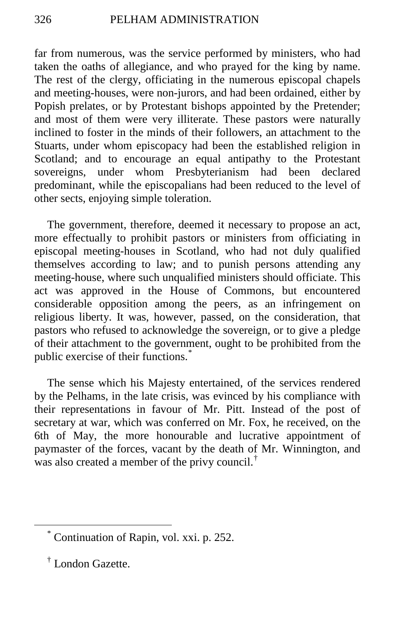far from numerous, was the service performed by ministers, who had taken the oaths of allegiance, and who prayed for the king by name. The rest of the clergy, officiating in the numerous episcopal chapels and meeting-houses, were non-jurors, and had been ordained, either by Popish prelates, or by Protestant bishops appointed by the Pretender; and most of them were very illiterate. These pastors were naturally inclined to foster in the minds of their followers, an attachment to the Stuarts, under whom episcopacy had been the established religion in Scotland; and to encourage an equal antipathy to the Protestant sovereigns, under whom Presbyterianism had been declared predominant, while the episcopalians had been reduced to the level of other sects, enjoying simple toleration.

The government, therefore, deemed it necessary to propose an act, more effectually to prohibit pastors or ministers from officiating in episcopal meeting-houses in Scotland, who had not duly qualified themselves according to law; and to punish persons attending any meeting-house, where such unqualified ministers should officiate. This act was approved in the House of Commons, but encountered considerable opposition among the peers, as an infringement on religious liberty. It was, however, passed, on the consideration, that pastors who refused to acknowledge the sovereign, or to give a pledge of their attachment to the government, ought to be prohibited from the public exercise of their functions.<sup>[\\*](#page-137-0)</sup>

The sense which his Majesty entertained, of the services rendered by the Pelhams, in the late crisis, was evinced by his compliance with their representations in favour of Mr. Pitt. Instead of the post of secretary at war, which was conferred on Mr. Fox, he received, on the 6th of May, the more honourable and lucrative appointment of paymaster of the forces, vacant by the death of Mr. Winnington, and was also created a member of the privy council.<sup>[†](#page-137-1)</sup>

<span id="page-137-0"></span> <sup>\*</sup> Continuation of Rapin, vol. xxi. p. 252.

<span id="page-137-1"></span><sup>†</sup> London Gazette.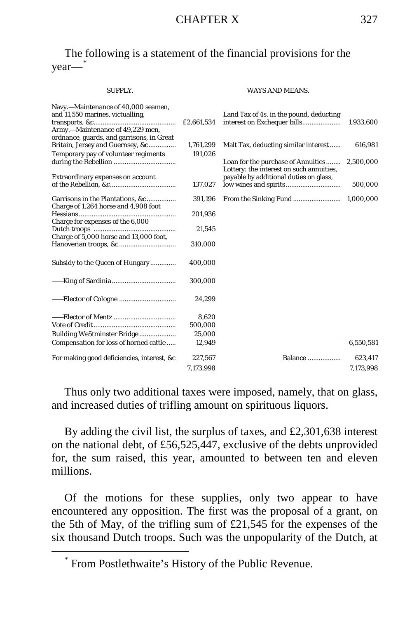# The following is a statement of the financial provisions for the year—[\\*](#page-138-0)

#### SUPPLY. WAYS AND MEANS.

| Navy.-Maintenance of 40,000 seamen,<br>and 11,550 marines, victualling,<br>Army.-Maintenance of 49,229 men,<br>ordnance, guards, and garrisons, in Great | £2,661,534 | Land Tax of 4s. in the pound, deducting                                        | 1,933,600 |
|----------------------------------------------------------------------------------------------------------------------------------------------------------|------------|--------------------------------------------------------------------------------|-----------|
| Britain, Jersey and Guernsey, &c                                                                                                                         | 1,761,299  | Malt Tax, deducting similar interest                                           | 616,981   |
| Temporary pay of volunteer regiments                                                                                                                     | 191.026    |                                                                                |           |
|                                                                                                                                                          |            | Loan for the purchase of Annuities<br>Lottery: the interest on such annuities, | 2,500,000 |
| Extraordinary expenses on account                                                                                                                        |            | payable by additional duties on glass,                                         |           |
|                                                                                                                                                          | 137,027    |                                                                                | 500,000   |
| Garrisons in the Plantations, &c<br>Charge of 1,264 horse and 4,908 foot                                                                                 | 391,196    |                                                                                | 1,000,000 |
|                                                                                                                                                          | 201,936    |                                                                                |           |
| Charge for expenses of the 6,000                                                                                                                         |            |                                                                                |           |
| Charge of 5,000 horse and 13,000 foot,                                                                                                                   | 21,545     |                                                                                |           |
|                                                                                                                                                          | 310,000    |                                                                                |           |
| Subsidy to the Queen of Hungary                                                                                                                          | 400,000    |                                                                                |           |
|                                                                                                                                                          | 300,000    |                                                                                |           |
|                                                                                                                                                          | 24,299     |                                                                                |           |
|                                                                                                                                                          | 8,620      |                                                                                |           |
|                                                                                                                                                          | 500,000    |                                                                                |           |
| Building We5tminster Bridge                                                                                                                              | 25.000     |                                                                                |           |
| Compensation for loss of horned cattle                                                                                                                   | 12,949     |                                                                                | 6,550,581 |
| For making good deficiencies, interest, &c                                                                                                               | 227,567    | Balance                                                                        | 623,417   |
|                                                                                                                                                          | 7,173,998  |                                                                                | 7,173,998 |

Thus only two additional taxes were imposed, namely, that on glass, and increased duties of trifling amount on spirituous liquors.

By adding the civil list, the surplus of taxes, and £2,301,638 interest on the national debt, of £56,525,447, exclusive of the debts unprovided for, the sum raised, this year, amounted to between ten and eleven millions.

Of the motions for these supplies, only two appear to have encountered any opposition. The first was the proposal of a grant, on the 5th of May, of the trifling sum of £21,545 for the expenses of the six thousand Dutch troops. Such was the unpopularity of the Dutch, at

<span id="page-138-0"></span> <sup>\*</sup> From Postlethwaite's History of the Public Revenue.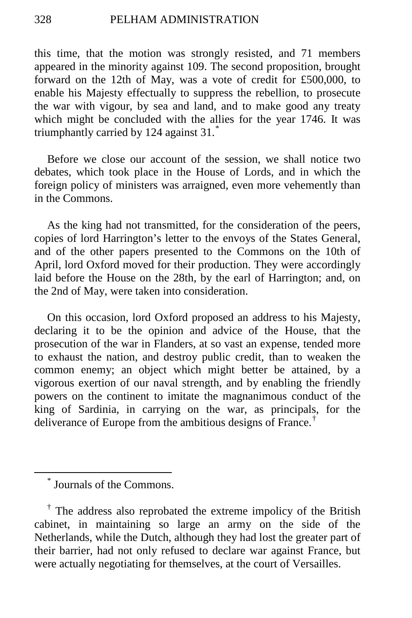this time, that the motion was strongly resisted, and 71 members appeared in the minority against 109. The second proposition, brought forward on the 12th of May, was a vote of credit for £500,000, to enable his Majesty effectually to suppress the rebellion, to prosecute the war with vigour, by sea and land, and to make good any treaty which might be concluded with the allies for the year 1746. It was triumphantly carried by 124 against 31.[\\*](#page-139-0)

Before we close our account of the session, we shall notice two debates, which took place in the House of Lords, and in which the foreign policy of ministers was arraigned, even more vehemently than in the Commons.

As the king had not transmitted, for the consideration of the peers, copies of lord Harrington's letter to the envoys of the States General, and of the other papers presented to the Commons on the 10th of April, lord Oxford moved for their production. They were accordingly laid before the House on the 28th, by the earl of Harrington; and, on the 2nd of May, were taken into consideration.

On this occasion, lord Oxford proposed an address to his Majesty, declaring it to be the opinion and advice of the House, that the prosecution of the war in Flanders, at so vast an expense, tended more to exhaust the nation, and destroy public credit, than to weaken the common enemy; an object which might better be attained, by a vigorous exertion of our naval strength, and by enabling the friendly powers on the continent to imitate the magnanimous conduct of the king of Sardinia, in carrying on the war, as principals, for the deliverance of Europe from the ambitious designs of France.[†](#page-139-1)

 <sup>\*</sup> Journals of the Commons.

<span id="page-139-1"></span><span id="page-139-0"></span><sup>†</sup> The address also reprobated the extreme impolicy of the British cabinet, in maintaining so large an army on the side of the Netherlands, while the Dutch, although they had lost the greater part of their barrier, had not only refused to declare war against France, but were actually negotiating for themselves, at the court of Versailles.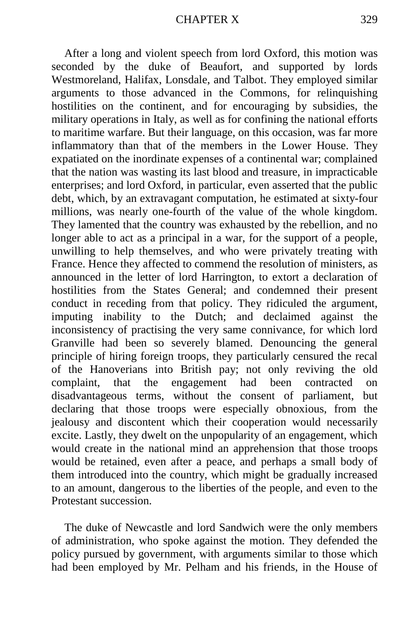After a long and violent speech from lord Oxford, this motion was seconded by the duke of Beaufort, and supported by lords Westmoreland, Halifax, Lonsdale, and Talbot. They employed similar arguments to those advanced in the Commons, for relinquishing hostilities on the continent, and for encouraging by subsidies, the military operations in Italy, as well as for confining the national efforts to maritime warfare. But their language, on this occasion, was far more inflammatory than that of the members in the Lower House. They expatiated on the inordinate expenses of a continental war; complained that the nation was wasting its last blood and treasure, in impracticable enterprises; and lord Oxford, in particular, even asserted that the public debt, which, by an extravagant computation, he estimated at sixty-four millions, was nearly one-fourth of the value of the whole kingdom. They lamented that the country was exhausted by the rebellion, and no longer able to act as a principal in a war, for the support of a people, unwilling to help themselves, and who were privately treating with France. Hence they affected to commend the resolution of ministers, as announced in the letter of lord Harrington, to extort a declaration of hostilities from the States General; and condemned their present conduct in receding from that policy. They ridiculed the argument, imputing inability to the Dutch; and declaimed against the inconsistency of practising the very same connivance, for which lord Granville had been so severely blamed. Denouncing the general principle of hiring foreign troops, they particularly censured the recal of the Hanoverians into British pay; not only reviving the old complaint, that the engagement had been contracted on disadvantageous terms, without the consent of parliament, but declaring that those troops were especially obnoxious, from the jealousy and discontent which their cooperation would necessarily excite. Lastly, they dwelt on the unpopularity of an engagement, which would create in the national mind an apprehension that those troops would be retained, even after a peace, and perhaps a small body of them introduced into the country, which might be gradually increased to an amount, dangerous to the liberties of the people, and even to the Protestant succession.

The duke of Newcastle and lord Sandwich were the only members of administration, who spoke against the motion. They defended the policy pursued by government, with arguments similar to those which had been employed by Mr. Pelham and his friends, in the House of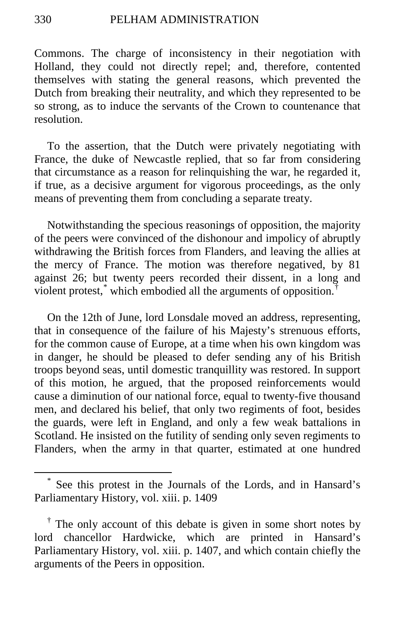Commons. The charge of inconsistency in their negotiation with Holland, they could not directly repel; and, therefore, contented themselves with stating the general reasons, which prevented the Dutch from breaking their neutrality, and which they represented to be so strong, as to induce the servants of the Crown to countenance that resolution.

To the assertion, that the Dutch were privately negotiating with France, the duke of Newcastle replied, that so far from considering that circumstance as a reason for relinquishing the war, he regarded it, if true, as a decisive argument for vigorous proceedings, as the only means of preventing them from concluding a separate treaty.

Notwithstanding the specious reasonings of opposition, the majority of the peers were convinced of the dishonour and impolicy of abruptly withdrawing the British forces from Flanders, and leaving the allies at the mercy of France. The motion was therefore negatived, by 81 against 26; but twenty peers recorded their dissent, in a long and violent protest, $*$  which embodied all the arguments of opposition.<sup>[†](#page-141-1)</sup>

On the 12th of June, lord Lonsdale moved an address, representing, that in consequence of the failure of his Majesty's strenuous efforts, for the common cause of Europe, at a time when his own kingdom was in danger, he should be pleased to defer sending any of his British troops beyond seas, until domestic tranquillity was restored. In support of this motion, he argued, that the proposed reinforcements would cause a diminution of our national force, equal to twenty-five thousand men, and declared his belief, that only two regiments of foot, besides the guards, were left in England, and only a few weak battalions in Scotland. He insisted on the futility of sending only seven regiments to Flanders, when the army in that quarter, estimated at one hundred

<span id="page-141-0"></span>See this protest in the Journals of the Lords, and in Hansard's Parliamentary History, vol. xiii. p. 1409

<span id="page-141-1"></span><sup>†</sup> The only account of this debate is given in some short notes by lord chancellor Hardwicke, which are printed in Hansard's Parliamentary History, vol. xiii. p. 1407, and which contain chiefly the arguments of the Peers in opposition.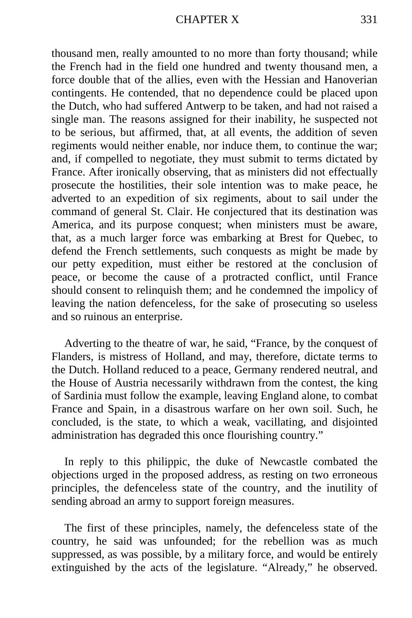#### CHAPTER X 331

thousand men, really amounted to no more than forty thousand; while the French had in the field one hundred and twenty thousand men, a force double that of the allies, even with the Hessian and Hanoverian contingents. He contended, that no dependence could be placed upon the Dutch, who had suffered Antwerp to be taken, and had not raised a single man. The reasons assigned for their inability, he suspected not to be serious, but affirmed, that, at all events, the addition of seven regiments would neither enable, nor induce them, to continue the war; and, if compelled to negotiate, they must submit to terms dictated by France. After ironically observing, that as ministers did not effectually prosecute the hostilities, their sole intention was to make peace, he adverted to an expedition of six regiments, about to sail under the command of general St. Clair. He conjectured that its destination was America, and its purpose conquest; when ministers must be aware, that, as a much larger force was embarking at Brest for Quebec, to defend the French settlements, such conquests as might be made by our petty expedition, must either be restored at the conclusion of peace, or become the cause of a protracted conflict, until France should consent to relinquish them; and he condemned the impolicy of leaving the nation defenceless, for the sake of prosecuting so useless and so ruinous an enterprise.

Adverting to the theatre of war, he said, "France, by the conquest of Flanders, is mistress of Holland, and may, therefore, dictate terms to the Dutch. Holland reduced to a peace, Germany rendered neutral, and the House of Austria necessarily withdrawn from the contest, the king of Sardinia must follow the example, leaving England alone, to combat France and Spain, in a disastrous warfare on her own soil. Such, he concluded, is the state, to which a weak, vacillating, and disjointed administration has degraded this once flourishing country."

In reply to this philippic, the duke of Newcastle combated the objections urged in the proposed address, as resting on two erroneous principles, the defenceless state of the country, and the inutility of sending abroad an army to support foreign measures.

The first of these principles, namely, the defenceless state of the country, he said was unfounded; for the rebellion was as much suppressed, as was possible, by a military force, and would be entirely extinguished by the acts of the legislature. "Already," he observed.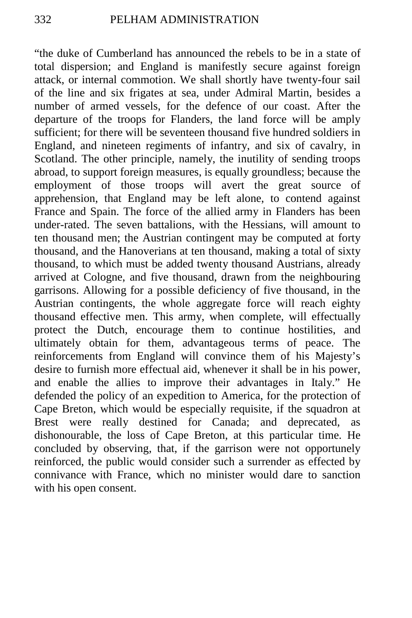"the duke of Cumberland has announced the rebels to be in a state of total dispersion; and England is manifestly secure against foreign attack, or internal commotion. We shall shortly have twenty-four sail of the line and six frigates at sea, under Admiral Martin, besides a number of armed vessels, for the defence of our coast. After the departure of the troops for Flanders, the land force will be amply sufficient; for there will be seventeen thousand five hundred soldiers in England, and nineteen regiments of infantry, and six of cavalry, in Scotland. The other principle, namely, the inutility of sending troops abroad, to support foreign measures, is equally groundless; because the employment of those troops will avert the great source of apprehension, that England may be left alone, to contend against France and Spain. The force of the allied army in Flanders has been under-rated. The seven battalions, with the Hessians, will amount to ten thousand men; the Austrian contingent may be computed at forty thousand, and the Hanoverians at ten thousand, making a total of sixty thousand, to which must be added twenty thousand Austrians, already arrived at Cologne, and five thousand, drawn from the neighbouring garrisons. Allowing for a possible deficiency of five thousand, in the Austrian contingents, the whole aggregate force will reach eighty thousand effective men. This army, when complete, will effectually protect the Dutch, encourage them to continue hostilities, and ultimately obtain for them, advantageous terms of peace. The reinforcements from England will convince them of his Majesty's desire to furnish more effectual aid, whenever it shall be in his power, and enable the allies to improve their advantages in Italy." He defended the policy of an expedition to America, for the protection of Cape Breton, which would be especially requisite, if the squadron at Brest were really destined for Canada; and deprecated, as dishonourable, the loss of Cape Breton, at this particular time. He concluded by observing, that, if the garrison were not opportunely reinforced, the public would consider such a surrender as effected by connivance with France, which no minister would dare to sanction with his open consent.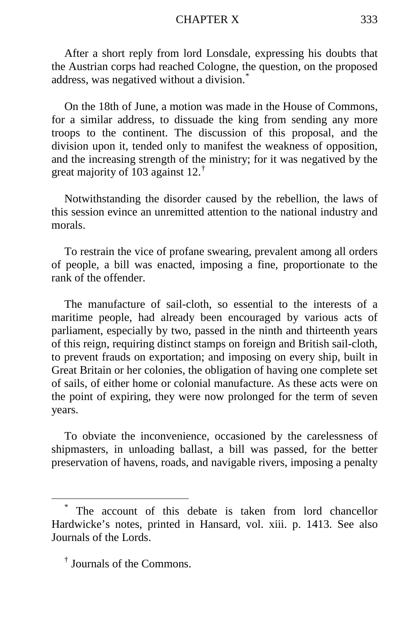## CHAPTER X 333

After a short reply from lord Lonsdale, expressing his doubts that the Austrian corps had reached Cologne, the question, on the proposed address, was negatived without a division.<sup>[\\*](#page-144-0)</sup>

On the 18th of June, a motion was made in the House of Commons, for a similar address, to dissuade the king from sending any more troops to the continent. The discussion of this proposal, and the division upon it, tended only to manifest the weakness of opposition, and the increasing strength of the ministry; for it was negatived by the great majority of 103 against 12.<sup>[†](#page-144-1)</sup>

Notwithstanding the disorder caused by the rebellion, the laws of this session evince an unremitted attention to the national industry and morals.

To restrain the vice of profane swearing, prevalent among all orders of people, a bill was enacted, imposing a fine, proportionate to the rank of the offender.

The manufacture of sail-cloth, so essential to the interests of a maritime people, had already been encouraged by various acts of parliament, especially by two, passed in the ninth and thirteenth years of this reign, requiring distinct stamps on foreign and British sail-cloth, to prevent frauds on exportation; and imposing on every ship, built in Great Britain or her colonies, the obligation of having one complete set of sails, of either home or colonial manufacture. As these acts were on the point of expiring, they were now prolonged for the term of seven years.

To obviate the inconvenience, occasioned by the carelessness of shipmasters, in unloading ballast, a bill was passed, for the better preservation of havens, roads, and navigable rivers, imposing a penalty

<span id="page-144-0"></span>The account of this debate is taken from lord chancellor Hardwicke's notes, printed in Hansard, vol. xiii. p. 1413. See also Journals of the Lords.

<span id="page-144-1"></span><sup>†</sup> Journals of the Commons.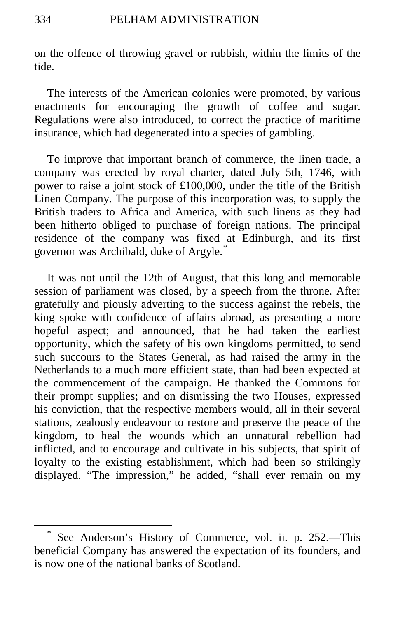on the offence of throwing gravel or rubbish, within the limits of the tide.

The interests of the American colonies were promoted, by various enactments for encouraging the growth of coffee and sugar. Regulations were also introduced, to correct the practice of maritime insurance, which had degenerated into a species of gambling.

To improve that important branch of commerce, the linen trade, a company was erected by royal charter, dated July 5th, 1746, with power to raise a joint stock of £100,000, under the title of the British Linen Company. The purpose of this incorporation was, to supply the British traders to Africa and America, with such linens as they had been hitherto obliged to purchase of foreign nations. The principal residence of the company was fixed at Edinburgh, and its first governor was Archibald, duke of Argyle.<sup>[\\*](#page-145-0)</sup>

It was not until the 12th of August, that this long and memorable session of parliament was closed, by a speech from the throne. After gratefully and piously adverting to the success against the rebels, the king spoke with confidence of affairs abroad, as presenting a more hopeful aspect; and announced, that he had taken the earliest opportunity, which the safety of his own kingdoms permitted, to send such succours to the States General, as had raised the army in the Netherlands to a much more efficient state, than had been expected at the commencement of the campaign. He thanked the Commons for their prompt supplies; and on dismissing the two Houses, expressed his conviction, that the respective members would, all in their several stations, zealously endeavour to restore and preserve the peace of the kingdom, to heal the wounds which an unnatural rebellion had inflicted, and to encourage and cultivate in his subjects, that spirit of loyalty to the existing establishment, which had been so strikingly displayed. "The impression," he added, "shall ever remain on my

<span id="page-145-0"></span>See Anderson's History of Commerce, vol. ii. p. 252.—This beneficial Company has answered the expectation of its founders, and is now one of the national banks of Scotland.